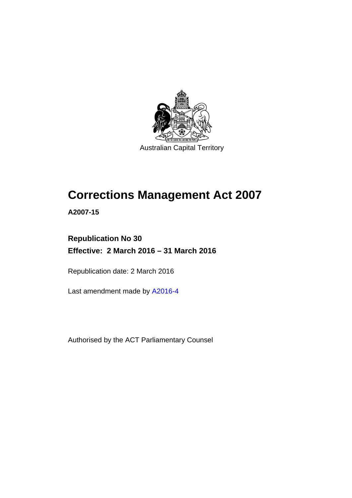

# **Corrections Management Act 2007**

**A2007-15** 

# **Republication No 30 Effective: 2 March 2016 – 31 March 2016**

Republication date: 2 March 2016

Last amendment made by [A2016-4](http://www.legislation.act.gov.au/a/2016-4)

Authorised by the ACT Parliamentary Counsel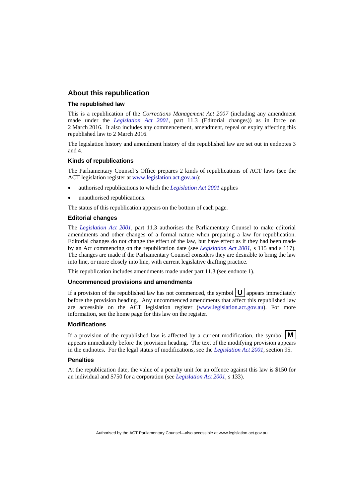#### **About this republication**

#### **The republished law**

This is a republication of the *Corrections Management Act 2007* (including any amendment made under the *[Legislation Act 2001](http://www.legislation.act.gov.au/a/2001-14)*, part 11.3 (Editorial changes)) as in force on 2 March 2016*.* It also includes any commencement, amendment, repeal or expiry affecting this republished law to 2 March 2016.

The legislation history and amendment history of the republished law are set out in endnotes 3 and 4.

#### **Kinds of republications**

The Parliamentary Counsel's Office prepares 2 kinds of republications of ACT laws (see the ACT legislation register at [www.legislation.act.gov.au](http://www.legislation.act.gov.au/)):

- authorised republications to which the *[Legislation Act 2001](http://www.legislation.act.gov.au/a/2001-14)* applies
- unauthorised republications.

The status of this republication appears on the bottom of each page.

#### **Editorial changes**

The *[Legislation Act 2001](http://www.legislation.act.gov.au/a/2001-14)*, part 11.3 authorises the Parliamentary Counsel to make editorial amendments and other changes of a formal nature when preparing a law for republication. Editorial changes do not change the effect of the law, but have effect as if they had been made by an Act commencing on the republication date (see *[Legislation Act 2001](http://www.legislation.act.gov.au/a/2001-14)*, s 115 and s 117). The changes are made if the Parliamentary Counsel considers they are desirable to bring the law into line, or more closely into line, with current legislative drafting practice.

This republication includes amendments made under part 11.3 (see endnote 1).

#### **Uncommenced provisions and amendments**

If a provision of the republished law has not commenced, the symbol  $\mathbf{U}$  appears immediately before the provision heading. Any uncommenced amendments that affect this republished law are accessible on the ACT legislation register [\(www.legislation.act.gov.au\)](http://www.legislation.act.gov.au/). For more information, see the home page for this law on the register.

#### **Modifications**

If a provision of the republished law is affected by a current modification, the symbol  $\mathbf{M}$ appears immediately before the provision heading. The text of the modifying provision appears in the endnotes. For the legal status of modifications, see the *[Legislation Act 2001](http://www.legislation.act.gov.au/a/2001-14)*, section 95.

#### **Penalties**

At the republication date, the value of a penalty unit for an offence against this law is \$150 for an individual and \$750 for a corporation (see *[Legislation Act 2001](http://www.legislation.act.gov.au/a/2001-14)*, s 133).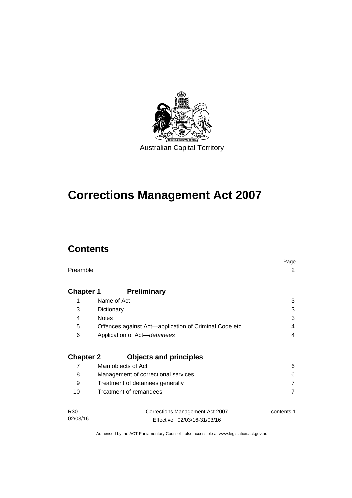

# **Corrections Management Act 2007**

# **Contents**

|                  |                                                       | Page       |
|------------------|-------------------------------------------------------|------------|
| Preamble         |                                                       | 2          |
|                  |                                                       |            |
| <b>Chapter 1</b> | <b>Preliminary</b>                                    |            |
| 1                | Name of Act                                           | 3          |
| 3                | Dictionary                                            | 3          |
| 4                | <b>Notes</b>                                          | 3          |
| 5                | Offences against Act—application of Criminal Code etc | 4          |
| 6                | Application of Act-detainees                          | 4          |
|                  |                                                       |            |
| <b>Chapter 2</b> | <b>Objects and principles</b>                         |            |
| 7                | Main objects of Act                                   | 6          |
| 8                | Management of correctional services                   | 6          |
| 9                | Treatment of detainees generally                      |            |
| 10               | Treatment of remandees                                |            |
|                  |                                                       |            |
| R <sub>30</sub>  | Corrections Management Act 2007                       | contents 1 |
| 02/03/16         | Effective: 02/03/16-31/03/16                          |            |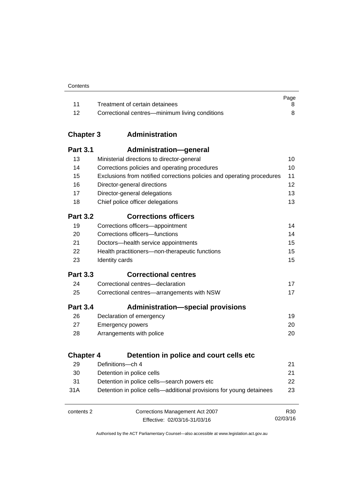| Contents |
|----------|
|----------|

|      |                                                | Page |
|------|------------------------------------------------|------|
|      | Treatment of certain detainees                 |      |
| - 12 | Correctional centres—minimum living conditions |      |

# **Chapter 3 [Administration](#page-23-0)**

| <b>Part 3.1</b>  | Administration-general                                                 |     |
|------------------|------------------------------------------------------------------------|-----|
| 13               | Ministerial directions to director-general                             | 10  |
| 14               | Corrections policies and operating procedures                          | 10  |
| 15               | Exclusions from notified corrections policies and operating procedures | 11  |
| 16               | Director-general directions                                            | 12  |
| 17               | Director-general delegations                                           | 13  |
| 18               | Chief police officer delegations                                       | 13  |
| <b>Part 3.2</b>  | <b>Corrections officers</b>                                            |     |
| 19               | Corrections officers-appointment                                       | 14  |
| 20               | Corrections officers-functions                                         | 14  |
| 21               | Doctors-health service appointments                                    | 15  |
| 22               | Health practitioners-non-therapeutic functions                         | 15  |
| 23               | Identity cards                                                         | 15  |
| <b>Part 3.3</b>  | <b>Correctional centres</b>                                            |     |
| 24               | Correctional centres-declaration                                       | 17  |
| 25               | Correctional centres-arrangements with NSW                             | 17  |
| <b>Part 3.4</b>  | <b>Administration-special provisions</b>                               |     |
| 26               | Declaration of emergency                                               | 19  |
| 27               | <b>Emergency powers</b>                                                | 20  |
| 28               | Arrangements with police                                               | 20  |
| <b>Chapter 4</b> | Detention in police and court cells etc                                |     |
| 29               | Definitions-ch 4                                                       | 21  |
| 30               | Detention in police cells                                              | 21  |
| 31               | Detention in police cells-search powers etc                            | 22  |
| 31A              | Detention in police cells—additional provisions for young detainees    | 23  |
| contents 2       | Corrections Management Act 2007                                        | R30 |

Effective: 02/03/16-31/03/16

02/03/16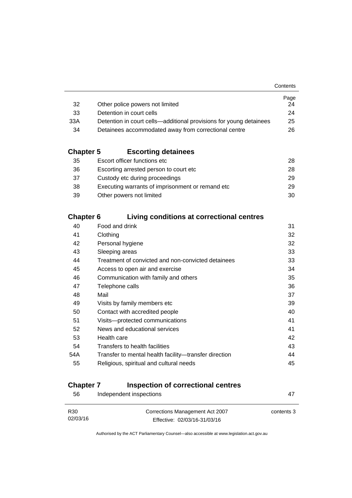|                                                                    | Page |
|--------------------------------------------------------------------|------|
| Other police powers not limited                                    | 24   |
| Detention in court cells                                           | 24   |
| Detention in court cells—additional provisions for young detainees | 25   |
| Detainees accommodated away from correctional centre               | 26.  |
|                                                                    |      |

# **Chapter 5 [Escorting detainees](#page-41-0)**

| 35 | Escort officer functions etc                      | 28. |
|----|---------------------------------------------------|-----|
| 36 | Escorting arrested person to court etc.           | 28. |
| 37 | Custody etc during proceedings                    | 29. |
| 38 | Executing warrants of imprisonment or remand etc. | 29  |
| 39 | Other powers not limited                          | 30. |

# **Chapter 6 [Living conditions at correctional centres](#page-44-0)**

| 40  | Food and drink                                        | 31 |
|-----|-------------------------------------------------------|----|
| 41  | Clothing                                              | 32 |
| 42  | Personal hygiene                                      | 32 |
| 43  | Sleeping areas                                        | 33 |
| 44  | Treatment of convicted and non-convicted detainees    | 33 |
| 45  | Access to open air and exercise                       | 34 |
| 46  | Communication with family and others                  | 35 |
| 47  | Telephone calls                                       | 36 |
| 48  | Mail                                                  | 37 |
| 49  | Visits by family members etc                          | 39 |
| 50  | Contact with accredited people                        | 40 |
| 51  | Visits-protected communications                       | 41 |
| 52  | News and educational services                         | 41 |
| 53  | Health care                                           | 42 |
| 54  | Transfers to health facilities                        | 43 |
| 54A | Transfer to mental health facility-transfer direction | 44 |
| 55  | Religious, spiritual and cultural needs               | 45 |
|     |                                                       |    |

# **Chapter 7 [Inspection of correctional centres](#page-60-0)**

| 56                          | Independent inspections                                         | 47         |
|-----------------------------|-----------------------------------------------------------------|------------|
| R <sub>30</sub><br>02/03/16 | Corrections Management Act 2007<br>Effective: 02/03/16-31/03/16 | contents 3 |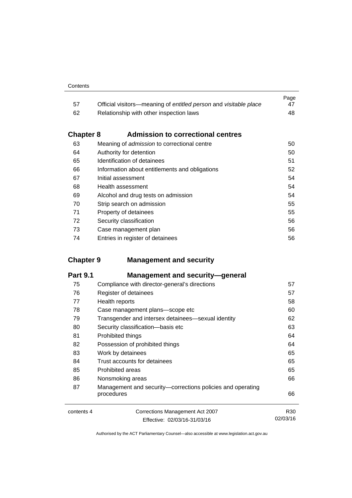|     |                                                                  | Page |
|-----|------------------------------------------------------------------|------|
| -57 | Official visitors—meaning of entitled person and visitable place | 47   |
| 62  | Relationship with other inspection laws                          | 48.  |

# **Chapter 8 [Admission to correctional centres](#page-63-0)**

| 63 | Meaning of admission to correctional centre    | 50 |
|----|------------------------------------------------|----|
| 64 | Authority for detention                        | 50 |
| 65 | Identification of detainees                    | 51 |
| 66 | Information about entitlements and obligations | 52 |
| 67 | Initial assessment                             | 54 |
| 68 | Health assessment                              | 54 |
| 69 | Alcohol and drug tests on admission            | 54 |
| 70 | Strip search on admission                      | 55 |
| 71 | Property of detainees                          | 55 |
| 72 | Security classification                        | 56 |
| 73 | Case management plan                           | 56 |
| 74 | Entries in register of detainees               | 56 |
|    |                                                |    |

# **Chapter 9 [Management and security](#page-70-0)**

| <b>Part 9.1</b> | <b>Management and security-general</b>                                   |                 |
|-----------------|--------------------------------------------------------------------------|-----------------|
| 75              | Compliance with director-general's directions                            | 57              |
| 76              | Register of detainees                                                    | 57              |
| 77              | Health reports                                                           | 58              |
| 78              | Case management plans-scope etc                                          | 60              |
| 79              | Transgender and intersex detainees—sexual identity                       | 62              |
| 80              | Security classification-basis etc                                        | 63              |
| 81              | Prohibited things                                                        | 64              |
| 82              | Possession of prohibited things                                          | 64              |
| 83              | Work by detainees                                                        | 65              |
| 84              | Trust accounts for detainees                                             | 65              |
| 85              | <b>Prohibited areas</b>                                                  | 65              |
| 86              | Nonsmoking areas                                                         | 66              |
| 87              | Management and security—corrections policies and operating<br>procedures | 66              |
| contents 4      | Corrections Management Act 2007                                          | R <sub>30</sub> |
|                 | Effective: 02/03/16-31/03/16                                             | 02/03/16        |

Effective: 02/03/16-31/03/16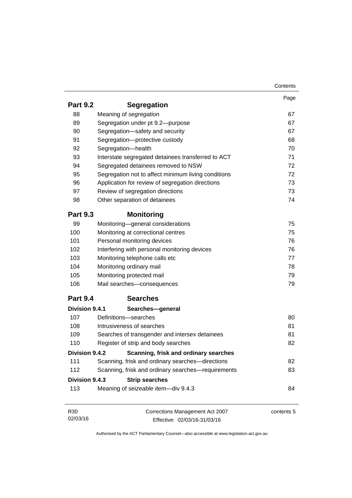|                 |                                                     | Contents   |
|-----------------|-----------------------------------------------------|------------|
|                 |                                                     | Page       |
| <b>Part 9.2</b> | <b>Segregation</b>                                  |            |
| 88              | Meaning of segregation                              | 67         |
| 89              | Segregation under pt 9.2-purpose                    | 67         |
| 90              | Segregation-safety and security                     | 67         |
| 91              | Segregation-protective custody                      | 68         |
| 92              | Segregation-health                                  | 70         |
| 93              | Interstate segregated detainees transferred to ACT  | 71         |
| 94              | Segregated detainees removed to NSW                 | 72         |
| 95              | Segregation not to affect minimum living conditions | 72         |
| 96              | Application for review of segregation directions    | 73         |
| 97              | Review of segregation directions                    | 73         |
| 98              | Other separation of detainees                       | 74         |
| <b>Part 9.3</b> | <b>Monitoring</b>                                   |            |
| 99              | Monitoring-general considerations                   | 75         |
| 100             | Monitoring at correctional centres                  | 75         |
| 101             | Personal monitoring devices                         | 76         |
| 102             | Interfering with personal monitoring devices        | 76         |
| 103             | Monitoring telephone calls etc                      | 77         |
| 104             | Monitoring ordinary mail                            | 78         |
| 105             | Monitoring protected mail                           | 79         |
| 106             | Mail searches-consequences                          | 79         |
| <b>Part 9.4</b> | <b>Searches</b>                                     |            |
| Division 9.4.1  | Searches-general                                    |            |
| 107             | Definitions-searches                                | 80         |
| 108             | Intrusiveness of searches                           | 81         |
| 109             | Searches of transgender and intersex detainees      | 81         |
| 110             | Register of strip and body searches                 | 82         |
| Division 9.4.2  | Scanning, frisk and ordinary searches               |            |
| 111             | Scanning, frisk and ordinary searches-directions    | 82         |
| 112             | Scanning, frisk and ordinary searches-requirements  | 83         |
| Division 9.4.3  | <b>Strip searches</b>                               |            |
| 113             | Meaning of seizeable item-div 9.4.3                 | 84         |
|                 |                                                     |            |
| R <sub>30</sub> | Corrections Management Act 2007                     | contents 5 |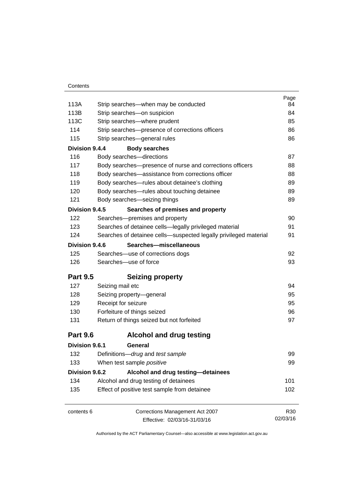|                 |                                                                  | Page            |
|-----------------|------------------------------------------------------------------|-----------------|
| 113A            | Strip searches—when may be conducted                             | 84              |
| 113B            | Strip searches-on suspicion                                      | 84              |
| 113C            | Strip searches-where prudent                                     | 85              |
| 114             | Strip searches-presence of corrections officers                  | 86              |
| 115             | Strip searches-general rules                                     | 86              |
| Division 9.4.4  | <b>Body searches</b>                                             |                 |
| 116             | Body searches-directions                                         | 87              |
| 117             | Body searches-presence of nurse and corrections officers         | 88              |
| 118             | Body searches—assistance from corrections officer                | 88              |
| 119             | Body searches-rules about detainee's clothing                    | 89              |
| 120             | Body searches-rules about touching detainee                      | 89              |
| 121             | Body searches-seizing things                                     | 89              |
| Division 9.4.5  | Searches of premises and property                                |                 |
| 122             | Searches-premises and property                                   | 90              |
| 123             | Searches of detainee cells-legally privileged material           | 91              |
| 124             | Searches of detainee cells-suspected legally privileged material | 91              |
| Division 9.4.6  | Searches-miscellaneous                                           |                 |
| 125             | Searches-use of corrections dogs                                 | 92              |
| 126             | Searches-use of force                                            | 93              |
| <b>Part 9.5</b> | <b>Seizing property</b>                                          |                 |
| 127             | Seizing mail etc                                                 | 94              |
| 128             | Seizing property-general                                         | 95              |
| 129             | Receipt for seizure                                              | 95              |
| 130             | Forfeiture of things seized                                      | 96              |
| 131             | Return of things seized but not forfeited                        | 97              |
| <b>Part 9.6</b> | <b>Alcohol and drug testing</b>                                  |                 |
| Division 9.6.1  | General                                                          |                 |
| 132             | Definitions-drug and test sample                                 | 99              |
| 133             | When test sample positive                                        | 99              |
| Division 9.6.2  | Alcohol and drug testing-detainees                               |                 |
| 134             | Alcohol and drug testing of detainees                            | 101             |
| 135             | Effect of positive test sample from detainee                     | 102             |
| contents 6      | Corrections Management Act 2007                                  | R <sub>30</sub> |
|                 | Effective: 02/03/16-31/03/16                                     | 02/03/16        |
|                 |                                                                  |                 |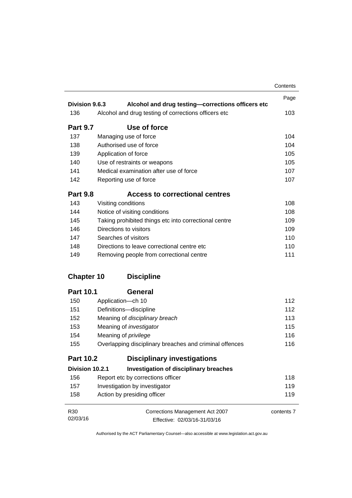|                   |                                                         | Contents   |
|-------------------|---------------------------------------------------------|------------|
|                   |                                                         | Page       |
| Division 9.6.3    | Alcohol and drug testing-corrections officers etc       |            |
| 136               | Alcohol and drug testing of corrections officers etc    | 103        |
| <b>Part 9.7</b>   | Use of force                                            |            |
| 137               | Managing use of force                                   | 104        |
| 138               | Authorised use of force                                 | 104        |
| 139               | Application of force                                    | 105        |
| 140               | Use of restraints or weapons                            | 105        |
| 141               | Medical examination after use of force                  | 107        |
| 142               | Reporting use of force                                  | 107        |
| <b>Part 9.8</b>   | <b>Access to correctional centres</b>                   |            |
| 143               | Visiting conditions                                     | 108        |
| 144               | Notice of visiting conditions                           | 108        |
| 145               | Taking prohibited things etc into correctional centre   | 109        |
| 146               | Directions to visitors                                  | 109        |
| 147               | Searches of visitors                                    | 110        |
| 148               | Directions to leave correctional centre etc.            | 110        |
| 149               | Removing people from correctional centre                | 111        |
| <b>Chapter 10</b> | <b>Discipline</b>                                       |            |
| <b>Part 10.1</b>  | General                                                 |            |
| 150               | Application-ch 10                                       | 112        |
| 151               | Definitions-discipline                                  | 112        |
| 152               | Meaning of disciplinary breach                          | 113        |
| 153               | Meaning of <i>investigator</i>                          | 115        |
| 154               | Meaning of <i>privilege</i>                             | 116        |
| 155               | Overlapping disciplinary breaches and criminal offences | 116        |
| <b>Part 10.2</b>  | <b>Disciplinary investigations</b>                      |            |
| Division 10.2.1   | <b>Investigation of disciplinary breaches</b>           |            |
| 156               | Report etc by corrections officer                       | 118        |
| 157               | Investigation by investigator                           | 119        |
| 158               | Action by presiding officer                             | 119        |
| R30               | Corrections Management Act 2007                         | contents 7 |
| 02/03/16          | Effective: 02/03/16-31/03/16                            |            |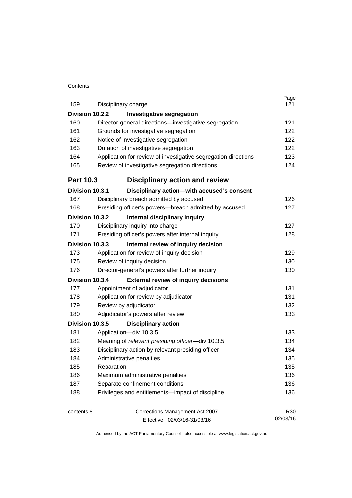#### **Contents**

| 159              | Disciplinary charge                                            | Page<br>121     |
|------------------|----------------------------------------------------------------|-----------------|
| Division 10.2.2  | <b>Investigative segregation</b>                               |                 |
| 160              | Director-general directions-investigative segregation          | 121             |
| 161              | Grounds for investigative segregation                          | 122             |
| 162              | Notice of investigative segregation                            | 122             |
| 163              | Duration of investigative segregation                          | 122             |
| 164              | Application for review of investigative segregation directions | 123             |
| 165              | Review of investigative segregation directions                 | 124             |
| <b>Part 10.3</b> | <b>Disciplinary action and review</b>                          |                 |
| Division 10.3.1  | Disciplinary action-with accused's consent                     |                 |
| 167              | Disciplinary breach admitted by accused                        | 126             |
| 168              | Presiding officer's powers--breach admitted by accused         | 127             |
| Division 10.3.2  | Internal disciplinary inquiry                                  |                 |
| 170              | Disciplinary inquiry into charge                               | 127             |
| 171              | Presiding officer's powers after internal inquiry              | 128             |
| Division 10.3.3  | Internal review of inquiry decision                            |                 |
| 173              | Application for review of inquiry decision                     | 129             |
| 175              | Review of inquiry decision                                     | 130             |
| 176              | Director-general's powers after further inquiry                | 130             |
| Division 10.3.4  | <b>External review of inquiry decisions</b>                    |                 |
| 177              | Appointment of adjudicator                                     | 131             |
| 178              | Application for review by adjudicator                          | 131             |
| 179              | Review by adjudicator                                          | 132             |
| 180              | Adjudicator's powers after review                              | 133             |
| Division 10.3.5  | <b>Disciplinary action</b>                                     |                 |
| 181              | Application-div 10.3.5                                         | 133             |
| 182              | Meaning of relevant presiding officer-div 10.3.5               | 134             |
| 183              | Disciplinary action by relevant presiding officer              | 134             |
| 184              | Administrative penalties                                       | 135             |
| 185              | Reparation                                                     | 135             |
| 186              | Maximum administrative penalties                               | 136             |
| 187              | Separate confinement conditions                                | 136             |
| 188              | Privileges and entitlements-impact of discipline               | 136             |
| contents 8       | Corrections Management Act 2007                                | R <sub>30</sub> |
|                  | Effective: 02/03/16-31/03/16                                   | 02/03/16        |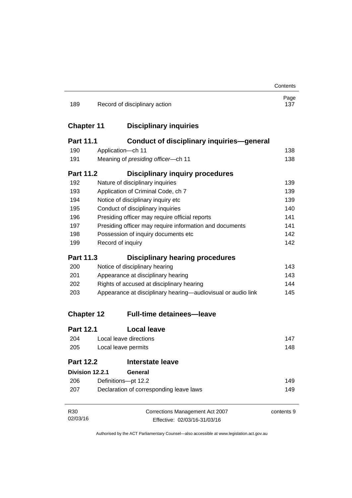|                   |                                                              |                                                         | Contents    |
|-------------------|--------------------------------------------------------------|---------------------------------------------------------|-------------|
| 189               | Record of disciplinary action                                |                                                         | Page<br>137 |
| <b>Chapter 11</b> |                                                              | <b>Disciplinary inquiries</b>                           |             |
| <b>Part 11.1</b>  |                                                              | <b>Conduct of disciplinary inquiries-general</b>        |             |
| 190               | Application-ch 11                                            |                                                         | 138         |
| 191               | Meaning of presiding officer-ch 11                           |                                                         | 138         |
| <b>Part 11.2</b>  |                                                              | <b>Disciplinary inquiry procedures</b>                  |             |
| 192               | Nature of disciplinary inquiries                             |                                                         | 139         |
| 193               | Application of Criminal Code, ch 7                           |                                                         | 139         |
| 194               | Notice of disciplinary inquiry etc                           |                                                         | 139         |
| 195               | Conduct of disciplinary inquiries                            |                                                         | 140         |
| 196               | Presiding officer may require official reports               |                                                         | 141         |
| 197               |                                                              | Presiding officer may require information and documents | 141         |
| 198               | Possession of inquiry documents etc                          |                                                         | 142         |
| 199               | Record of inquiry                                            |                                                         | 142         |
| <b>Part 11.3</b>  |                                                              | <b>Disciplinary hearing procedures</b>                  |             |
| 200               | Notice of disciplinary hearing                               |                                                         | 143         |
| 201               | Appearance at disciplinary hearing                           |                                                         | 143         |
| 202               | Rights of accused at disciplinary hearing                    |                                                         | 144         |
| 203               | Appearance at disciplinary hearing—audiovisual or audio link |                                                         | 145         |
| <b>Chapter 12</b> |                                                              | <b>Full-time detainees-leave</b>                        |             |
| <b>Part 12.1</b>  | <b>Local leave</b>                                           |                                                         |             |
| 204               | Local leave directions                                       |                                                         | 147         |
| 205               | Local leave permits                                          |                                                         | 148         |
| <b>Part 12.2</b>  | <b>Interstate leave</b>                                      |                                                         |             |
| Division 12.2.1   | General                                                      |                                                         |             |
| 206               | Definitions-pt 12.2                                          |                                                         | 149         |
| 207               | Declaration of corresponding leave laws                      |                                                         | 149         |
| R <sub>30</sub>   |                                                              | Corrections Management Act 2007                         | contents 9  |
| 02/03/16          |                                                              | Effective: 02/03/16-31/03/16                            |             |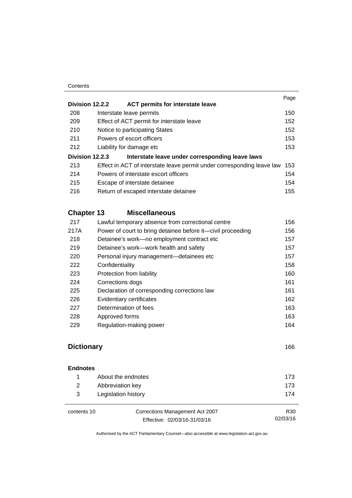#### **Contents**

|                 |                                                                        | Page |
|-----------------|------------------------------------------------------------------------|------|
| Division 12.2.2 | <b>ACT permits for interstate leave</b>                                |      |
| 208             | Interstate leave permits                                               | 150  |
| 209             | Effect of ACT permit for interstate leave                              | 152  |
| 210             | Notice to participating States                                         | 152  |
| 211             | Powers of escort officers                                              | 153  |
| 212             | Liability for damage etc                                               | 153  |
| Division 12.2.3 | Interstate leave under corresponding leave laws                        |      |
| 213             | Effect in ACT of interstate leave permit under corresponding leave law | 153  |
| 214             | Powers of interstate escort officers                                   | 154  |
| 215             | Escape of interstate detainee                                          | 154  |
| 216             | Return of escaped interstate detainee                                  | 155  |
|                 |                                                                        |      |

# **Chapter 13 [Miscellaneous](#page-169-0)**

| 217  | Lawful temporary absence from correctional centre           | 156 |
|------|-------------------------------------------------------------|-----|
| 217A | Power of court to bring detainee before it-civil proceeding | 156 |
| 218  | Detainee's work-no employment contract etc                  | 157 |
| 219  | Detainee's work—work health and safety                      | 157 |
| 220  | Personal injury management—detainees etc                    | 157 |
| 222  | Confidentiality                                             | 158 |
| 223  | Protection from liability                                   | 160 |
| 224  | Corrections dogs                                            | 161 |
| 225  | Declaration of corresponding corrections law                | 161 |
| 226  | Evidentiary certificates                                    | 162 |
| 227  | Determination of fees                                       | 163 |
| 228  | Approved forms                                              | 163 |
| 229  | Regulation-making power                                     | 164 |
|      |                                                             |     |

# **[Dictionary](#page-179-0)** [166](#page-179-0)

# **[Endnotes](#page-186-0)** [About the endnotes 173](#page-186-1) [Abbreviation key 173](#page-186-2) [Legislation history 174](#page-187-0)

contents 10 Corrections Management Act 2007 Effective: 02/03/16-31/03/16

R30 02/03/16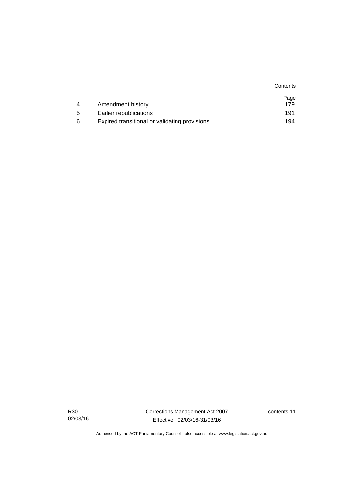|   |                                               | Contents |
|---|-----------------------------------------------|----------|
|   |                                               | Page     |
| 4 | Amendment history                             | 179      |
| 5 | Earlier republications                        | 191      |
| 6 | Expired transitional or validating provisions | 194      |

R30 02/03/16 Corrections Management Act 2007 Effective: 02/03/16-31/03/16

contents 11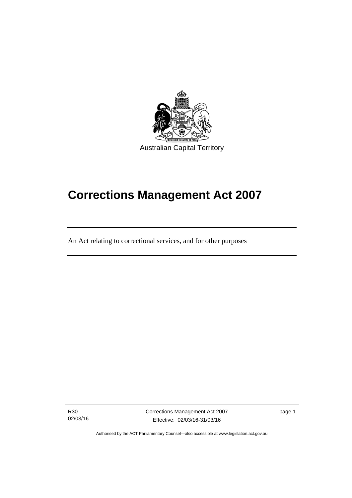

# **Corrections Management Act 2007**

An Act relating to correctional services, and for other purposes

R30 02/03/16

ׅ֚֡֡֡֡֬֝

Corrections Management Act 2007 Effective: 02/03/16-31/03/16

page 1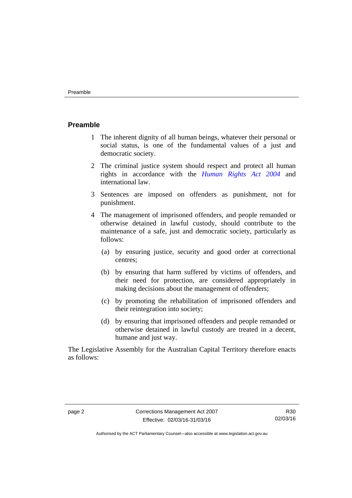#### <span id="page-15-0"></span>**Preamble**

- 1 The inherent dignity of all human beings, whatever their personal or social status, is one of the fundamental values of a just and democratic society.
- 2 The criminal justice system should respect and protect all human rights in accordance with the *[Human Rights Act 2004](http://www.legislation.act.gov.au/a/2004-5)* and international law.
- 3 Sentences are imposed on offenders as punishment, not for punishment.
- 4 The management of imprisoned offenders, and people remanded or otherwise detained in lawful custody, should contribute to the maintenance of a safe, just and democratic society, particularly as follows:
	- (a) by ensuring justice, security and good order at correctional centres;
	- (b) by ensuring that harm suffered by victims of offenders, and their need for protection, are considered appropriately in making decisions about the management of offenders;
	- (c) by promoting the rehabilitation of imprisoned offenders and their reintegration into society;
	- (d) by ensuring that imprisoned offenders and people remanded or otherwise detained in lawful custody are treated in a decent, humane and just way.

The Legislative Assembly for the Australian Capital Territory therefore enacts as follows:

R30 02/03/16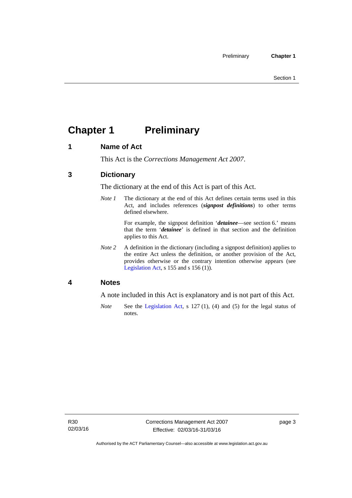# <span id="page-16-0"></span>**Chapter 1 Preliminary**

# <span id="page-16-1"></span>**1 Name of Act**

This Act is the *Corrections Management Act 2007*.

# <span id="page-16-2"></span>**3 Dictionary**

The dictionary at the end of this Act is part of this Act.

*Note 1* The dictionary at the end of this Act defines certain terms used in this Act, and includes references (*signpost definitions*) to other terms defined elsewhere.

> For example, the signpost definition '*detainee*—see section 6.' means that the term '*detainee*' is defined in that section and the definition applies to this Act.

*Note 2* A definition in the dictionary (including a signpost definition) applies to the entire Act unless the definition, or another provision of the Act, provides otherwise or the contrary intention otherwise appears (see [Legislation Act,](http://www.legislation.act.gov.au/a/2001-14) s 155 and s 156 (1)).

# <span id="page-16-3"></span>**4 Notes**

A note included in this Act is explanatory and is not part of this Act.

*Note* See the [Legislation Act,](http://www.legislation.act.gov.au/a/2001-14) s 127 (1), (4) and (5) for the legal status of notes.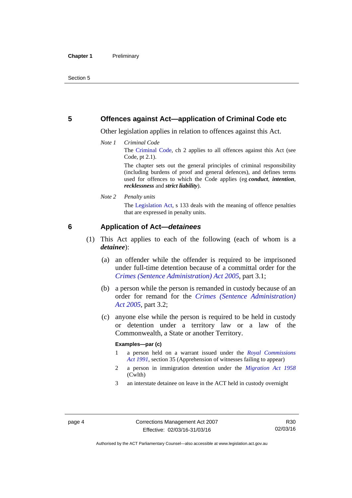### <span id="page-17-0"></span>**5 Offences against Act—application of Criminal Code etc**

Other legislation applies in relation to offences against this Act.

*Note 1 Criminal Code*

The [Criminal Code](http://www.legislation.act.gov.au/a/2002-51), ch 2 applies to all offences against this Act (see Code, pt 2.1).

The chapter sets out the general principles of criminal responsibility (including burdens of proof and general defences), and defines terms used for offences to which the Code applies (eg *conduct*, *intention*, *recklessness* and *strict liability*).

*Note 2 Penalty units* 

The [Legislation Act,](http://www.legislation.act.gov.au/a/2001-14) s 133 deals with the meaning of offence penalties that are expressed in penalty units.

### <span id="page-17-1"></span>**6 Application of Act—***detainees*

- (1) This Act applies to each of the following (each of whom is a *detainee*):
	- (a) an offender while the offender is required to be imprisoned under full-time detention because of a committal order for the *[Crimes \(Sentence Administration\) Act 2005](http://www.legislation.act.gov.au/a/2005-59)*, part 3.1;
	- (b) a person while the person is remanded in custody because of an order for remand for the *[Crimes \(Sentence Administration\)](http://www.legislation.act.gov.au/a/2005-59)  [Act 2005](http://www.legislation.act.gov.au/a/2005-59)*, part 3.2;
	- (c) anyone else while the person is required to be held in custody or detention under a territory law or a law of the Commonwealth, a State or another Territory.

#### **Examples—par (c)**

- 1 a person held on a warrant issued under the *[Royal Commissions](http://www.legislation.act.gov.au/a/1991-1)  [Act 1991](http://www.legislation.act.gov.au/a/1991-1)*, section 35 (Apprehension of witnesses failing to appear)
- 2 a person in immigration detention under the *[Migration Act 1958](http://www.comlaw.gov.au/Series/C2004A07412)* (Cwlth)
- 3 an interstate detainee on leave in the ACT held in custody overnight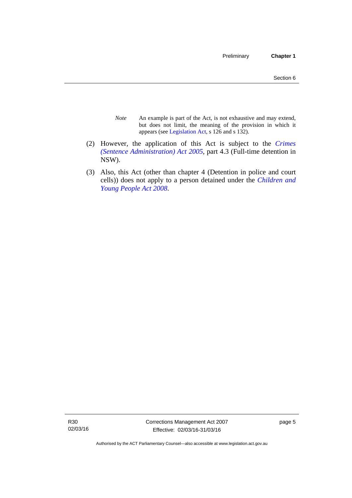- *Note* An example is part of the Act, is not exhaustive and may extend, but does not limit, the meaning of the provision in which it appears (see [Legislation Act,](http://www.legislation.act.gov.au/a/2001-14) s 126 and s 132).
- (2) However, the application of this Act is subject to the *[Crimes](http://www.legislation.act.gov.au/a/2005-59)  [\(Sentence Administration\) Act 2005](http://www.legislation.act.gov.au/a/2005-59)*, part 4.3 (Full-time detention in NSW).
- (3) Also, this Act (other than chapter 4 (Detention in police and court cells)) does not apply to a person detained under the *[Children and](http://www.legislation.act.gov.au/a/2008-19)  [Young People Act 2008](http://www.legislation.act.gov.au/a/2008-19)*.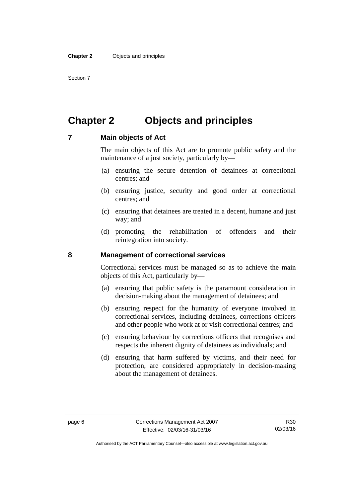Section 7

# <span id="page-19-0"></span>**Chapter 2 Objects and principles**

### <span id="page-19-1"></span>**7 Main objects of Act**

The main objects of this Act are to promote public safety and the maintenance of a just society, particularly by—

- (a) ensuring the secure detention of detainees at correctional centres; and
- (b) ensuring justice, security and good order at correctional centres; and
- (c) ensuring that detainees are treated in a decent, humane and just way; and
- (d) promoting the rehabilitation of offenders and their reintegration into society.

### <span id="page-19-2"></span>**8 Management of correctional services**

Correctional services must be managed so as to achieve the main objects of this Act, particularly by—

- (a) ensuring that public safety is the paramount consideration in decision-making about the management of detainees; and
- (b) ensuring respect for the humanity of everyone involved in correctional services, including detainees, corrections officers and other people who work at or visit correctional centres; and
- (c) ensuring behaviour by corrections officers that recognises and respects the inherent dignity of detainees as individuals; and
- (d) ensuring that harm suffered by victims, and their need for protection, are considered appropriately in decision-making about the management of detainees.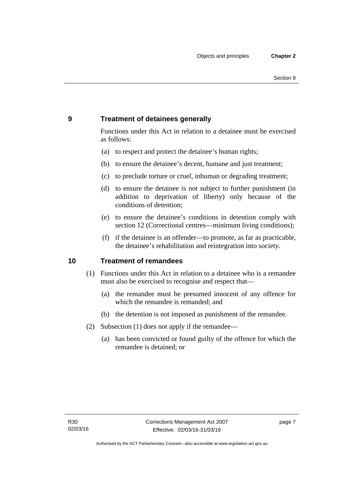# <span id="page-20-0"></span>**9 Treatment of detainees generally**

Functions under this Act in relation to a detainee must be exercised as follows:

- (a) to respect and protect the detainee's human rights;
- (b) to ensure the detainee's decent, humane and just treatment;
- (c) to preclude torture or cruel, inhuman or degrading treatment;
- (d) to ensure the detainee is not subject to further punishment (in addition to deprivation of liberty) only because of the conditions of detention;
- (e) to ensure the detainee's conditions in detention comply with section 12 (Correctional centres—minimum living conditions);
- (f) if the detainee is an offender—to promote, as far as practicable, the detainee's rehabilitation and reintegration into society.

### <span id="page-20-1"></span>**10 Treatment of remandees**

- (1) Functions under this Act in relation to a detainee who is a remandee must also be exercised to recognise and respect that—
	- (a) the remandee must be presumed innocent of any offence for which the remandee is remanded; and
	- (b) the detention is not imposed as punishment of the remandee.
- (2) Subsection (1) does not apply if the remandee—
	- (a) has been convicted or found guilty of the offence for which the remandee is detained; or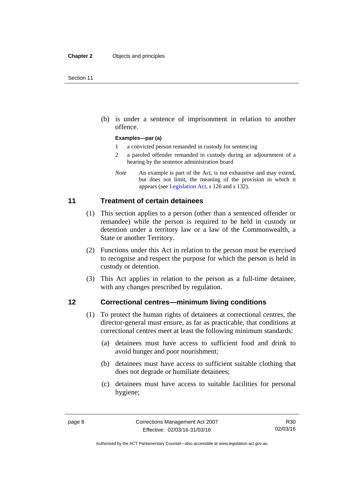(b) is under a sentence of imprisonment in relation to another offence.

#### **Examples—par (a)**

- 1 a convicted person remanded in custody for sentencing
- 2 a paroled offender remanded in custody during an adjournment of a hearing by the sentence administration board
- *Note* An example is part of the Act, is not exhaustive and may extend, but does not limit, the meaning of the provision in which it appears (see [Legislation Act,](http://www.legislation.act.gov.au/a/2001-14) s 126 and s 132).

### <span id="page-21-0"></span>**11 Treatment of certain detainees**

- (1) This section applies to a person (other than a sentenced offender or remandee) while the person is required to be held in custody or detention under a territory law or a law of the Commonwealth, a State or another Territory.
- (2) Functions under this Act in relation to the person must be exercised to recognise and respect the purpose for which the person is held in custody or detention.
- (3) This Act applies in relation to the person as a full-time detainee, with any changes prescribed by regulation.

### <span id="page-21-1"></span>**12 Correctional centres—minimum living conditions**

- (1) To protect the human rights of detainees at correctional centres, the director-general must ensure, as far as practicable, that conditions at correctional centres meet at least the following minimum standards:
	- (a) detainees must have access to sufficient food and drink to avoid hunger and poor nourishment;
	- (b) detainees must have access to sufficient suitable clothing that does not degrade or humiliate detainees;
	- (c) detainees must have access to suitable facilities for personal hygiene;

Authorised by the ACT Parliamentary Counsel—also accessible at www.legislation.act.gov.au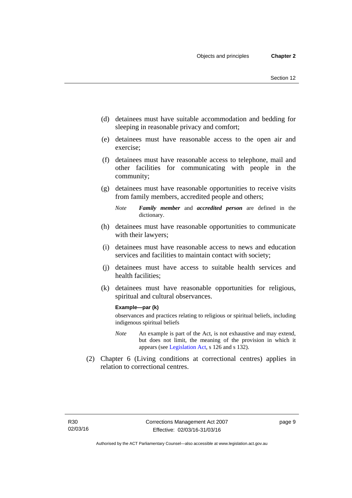- (d) detainees must have suitable accommodation and bedding for sleeping in reasonable privacy and comfort;
- (e) detainees must have reasonable access to the open air and exercise;
- (f) detainees must have reasonable access to telephone, mail and other facilities for communicating with people in the community;
- (g) detainees must have reasonable opportunities to receive visits from family members, accredited people and others;
	- *Note Family member* and *accredited person* are defined in the dictionary.
- (h) detainees must have reasonable opportunities to communicate with their lawyers;
- (i) detainees must have reasonable access to news and education services and facilities to maintain contact with society;
- (j) detainees must have access to suitable health services and health facilities;
- (k) detainees must have reasonable opportunities for religious, spiritual and cultural observances.

#### **Example—par (k)**

observances and practices relating to religious or spiritual beliefs, including indigenous spiritual beliefs

- *Note* An example is part of the Act, is not exhaustive and may extend, but does not limit, the meaning of the provision in which it appears (see [Legislation Act,](http://www.legislation.act.gov.au/a/2001-14) s 126 and s 132).
- (2) Chapter 6 (Living conditions at correctional centres) applies in relation to correctional centres.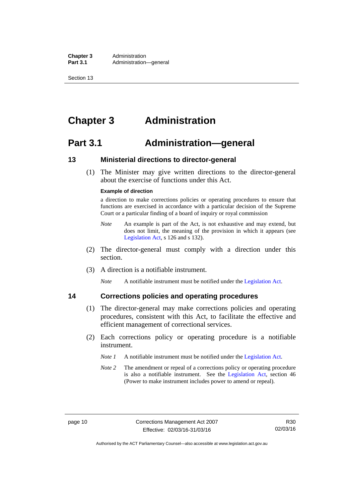**Chapter 3** Administration<br>**Part 3.1** Administration Administration—general

Section 13

# <span id="page-23-0"></span>**Chapter 3 Administration**

# <span id="page-23-1"></span>**Part 3.1 Administration—general**

### <span id="page-23-2"></span>**13 Ministerial directions to director-general**

 (1) The Minister may give written directions to the director-general about the exercise of functions under this Act.

#### **Example of direction**

a direction to make corrections policies or operating procedures to ensure that functions are exercised in accordance with a particular decision of the Supreme Court or a particular finding of a board of inquiry or royal commission

- *Note* An example is part of the Act, is not exhaustive and may extend, but does not limit, the meaning of the provision in which it appears (see [Legislation Act,](http://www.legislation.act.gov.au/a/2001-14) s 126 and s 132).
- (2) The director-general must comply with a direction under this section.
- (3) A direction is a notifiable instrument.

*Note* A notifiable instrument must be notified under the [Legislation Act](http://www.legislation.act.gov.au/a/2001-14).

# <span id="page-23-3"></span>**14 Corrections policies and operating procedures**

- (1) The director-general may make corrections policies and operating procedures, consistent with this Act, to facilitate the effective and efficient management of correctional services.
- (2) Each corrections policy or operating procedure is a notifiable instrument.
	- *Note 1* A notifiable instrument must be notified under the [Legislation Act](http://www.legislation.act.gov.au/a/2001-14).
	- *Note* 2 The amendment or repeal of a corrections policy or operating procedure is also a notifiable instrument. See the [Legislation Act,](http://www.legislation.act.gov.au/a/2001-14) section 46 (Power to make instrument includes power to amend or repeal).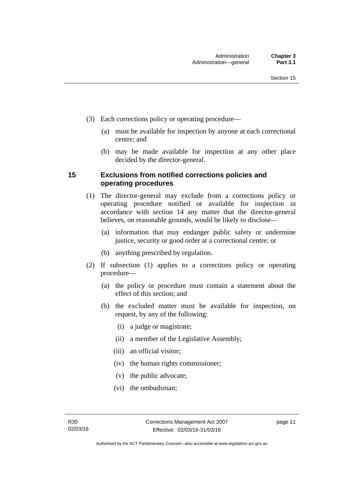- (3) Each corrections policy or operating procedure—
	- (a) must be available for inspection by anyone at each correctional centre; and
	- (b) may be made available for inspection at any other place decided by the director-general.

## <span id="page-24-0"></span>**15 Exclusions from notified corrections policies and operating procedures**

- (1) The director-general may exclude from a corrections policy or operating procedure notified or available for inspection in accordance with section 14 any matter that the director-general believes, on reasonable grounds, would be likely to disclose—
	- (a) information that may endanger public safety or undermine justice, security or good order at a correctional centre; or
	- (b) anything prescribed by regulation.
- (2) If subsection (1) applies to a corrections policy or operating procedure—
	- (a) the policy or procedure must contain a statement about the effect of this section; and
	- (b) the excluded matter must be available for inspection, on request, by any of the following:
		- (i) a judge or magistrate;
		- (ii) a member of the Legislative Assembly;
		- (iii) an official visitor;
		- (iv) the human rights commissioner;
		- (v) the public advocate;
		- (vi) the ombudsman;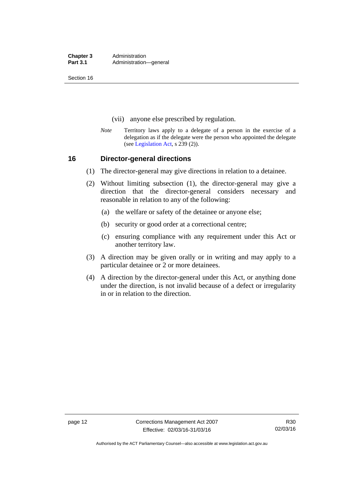**Chapter 3** Administration<br>**Part 3.1** Administration Administration—general

Section 16

- (vii) anyone else prescribed by regulation.
- *Note* Territory laws apply to a delegate of a person in the exercise of a delegation as if the delegate were the person who appointed the delegate (see [Legislation Act,](http://www.legislation.act.gov.au/a/2001-14) s 239 (2)).

### <span id="page-25-0"></span>**16 Director-general directions**

- (1) The director-general may give directions in relation to a detainee.
- (2) Without limiting subsection (1), the director-general may give a direction that the director-general considers necessary and reasonable in relation to any of the following:
	- (a) the welfare or safety of the detainee or anyone else;
	- (b) security or good order at a correctional centre;
	- (c) ensuring compliance with any requirement under this Act or another territory law.
- (3) A direction may be given orally or in writing and may apply to a particular detainee or 2 or more detainees.
- (4) A direction by the director-general under this Act, or anything done under the direction, is not invalid because of a defect or irregularity in or in relation to the direction.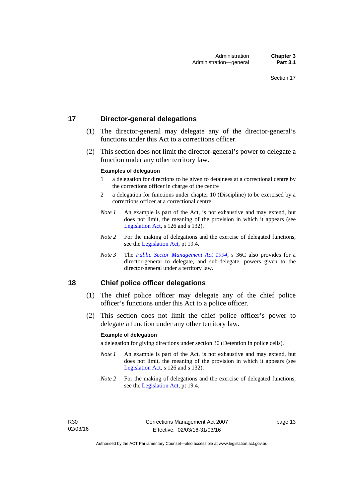### <span id="page-26-0"></span>**17 Director-general delegations**

- (1) The director-general may delegate any of the director-general's functions under this Act to a corrections officer.
- (2) This section does not limit the director-general's power to delegate a function under any other territory law.

#### **Examples of delegation**

- 1 a delegation for directions to be given to detainees at a correctional centre by the corrections officer in charge of the centre
- 2 a delegation for functions under chapter 10 (Discipline) to be exercised by a corrections officer at a correctional centre
- *Note 1* An example is part of the Act, is not exhaustive and may extend, but does not limit, the meaning of the provision in which it appears (see [Legislation Act,](http://www.legislation.act.gov.au/a/2001-14) s 126 and s 132).
- *Note* 2 For the making of delegations and the exercise of delegated functions, see the [Legislation Act,](http://www.legislation.act.gov.au/a/2001-14) pt 19.4.
- *Note 3* The *[Public Sector Management Act 1994](http://www.legislation.act.gov.au/a/1994-37)*, s 36C also provides for a director-general to delegate, and sub-delegate, powers given to the director-general under a territory law.

### <span id="page-26-1"></span>**18 Chief police officer delegations**

- (1) The chief police officer may delegate any of the chief police officer's functions under this Act to a police officer.
- (2) This section does not limit the chief police officer's power to delegate a function under any other territory law.

#### **Example of delegation**

a delegation for giving directions under section 30 (Detention in police cells).

- *Note 1* An example is part of the Act, is not exhaustive and may extend, but does not limit, the meaning of the provision in which it appears (see [Legislation Act,](http://www.legislation.act.gov.au/a/2001-14) s 126 and s 132).
- *Note* 2 For the making of delegations and the exercise of delegated functions, see the [Legislation Act,](http://www.legislation.act.gov.au/a/2001-14) pt 19.4.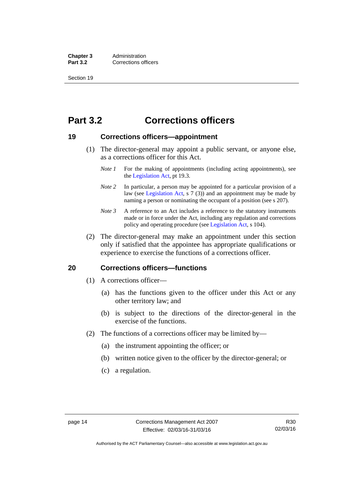**Chapter 3** Administration<br>**Part 3.2** Corrections of **Corrections officers** 

Section 19

# <span id="page-27-0"></span>**Part 3.2 Corrections officers**

### <span id="page-27-1"></span>**19 Corrections officers—appointment**

- (1) The director-general may appoint a public servant, or anyone else, as a corrections officer for this Act.
	- *Note 1* For the making of appointments (including acting appointments), see the [Legislation Act,](http://www.legislation.act.gov.au/a/2001-14) pt 19.3.
	- *Note* 2 In particular, a person may be appointed for a particular provision of a law (see [Legislation Act,](http://www.legislation.act.gov.au/a/2001-14) s 7 (3)) and an appointment may be made by naming a person or nominating the occupant of a position (see s 207).
	- *Note 3* A reference to an Act includes a reference to the statutory instruments made or in force under the Act, including any regulation and corrections policy and operating procedure (see [Legislation Act,](http://www.legislation.act.gov.au/a/2001-14) s 104).
- (2) The director-general may make an appointment under this section only if satisfied that the appointee has appropriate qualifications or experience to exercise the functions of a corrections officer.

### <span id="page-27-2"></span>**20 Corrections officers—functions**

- (1) A corrections officer—
	- (a) has the functions given to the officer under this Act or any other territory law; and
	- (b) is subject to the directions of the director-general in the exercise of the functions.
- (2) The functions of a corrections officer may be limited by—
	- (a) the instrument appointing the officer; or
	- (b) written notice given to the officer by the director-general; or
	- (c) a regulation.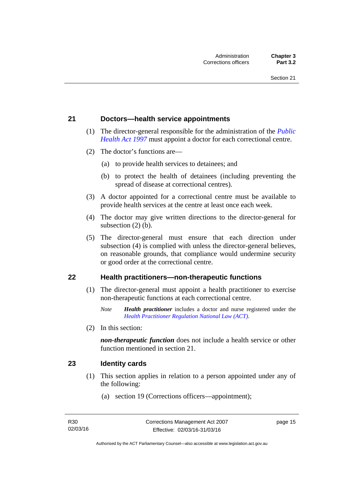### <span id="page-28-0"></span>**21 Doctors—health service appointments**

- (1) The director-general responsible for the administration of the *[Public](http://www.legislation.act.gov.au/a/1997-69)  [Health Act 1997](http://www.legislation.act.gov.au/a/1997-69)* must appoint a doctor for each correctional centre.
- (2) The doctor's functions are—
	- (a) to provide health services to detainees; and
	- (b) to protect the health of detainees (including preventing the spread of disease at correctional centres).
- (3) A doctor appointed for a correctional centre must be available to provide health services at the centre at least once each week.
- (4) The doctor may give written directions to the director-general for subsection (2) (b).
- (5) The director-general must ensure that each direction under subsection (4) is complied with unless the director-general believes, on reasonable grounds, that compliance would undermine security or good order at the correctional centre.

#### <span id="page-28-1"></span>**22 Health practitioners—non-therapeutic functions**

- (1) The director-general must appoint a health practitioner to exercise non-therapeutic functions at each correctional centre.
	- *Note Health practitioner* includes a doctor and nurse registered under the *[Health Practitioner Regulation National Law \(ACT\)](http://www.legislation.act.gov.au/a/db_39269/default.asp)*.
- (2) In this section:

*non-therapeutic function* does not include a health service or other function mentioned in section 21.

### <span id="page-28-2"></span>**23 Identity cards**

- (1) This section applies in relation to a person appointed under any of the following:
	- (a) section 19 (Corrections officers—appointment);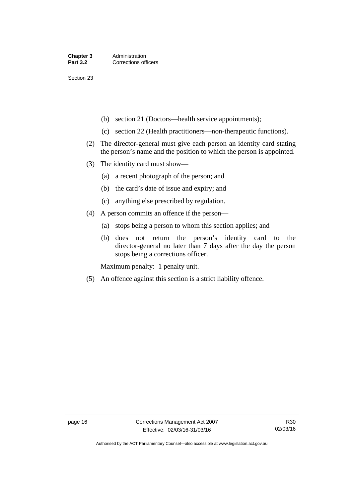Section 23

- (b) section 21 (Doctors—health service appointments);
- (c) section 22 (Health practitioners—non-therapeutic functions).
- (2) The director-general must give each person an identity card stating the person's name and the position to which the person is appointed.
- (3) The identity card must show—
	- (a) a recent photograph of the person; and
	- (b) the card's date of issue and expiry; and
	- (c) anything else prescribed by regulation.
- (4) A person commits an offence if the person—
	- (a) stops being a person to whom this section applies; and
	- (b) does not return the person's identity card to the director-general no later than 7 days after the day the person stops being a corrections officer.

Maximum penalty: 1 penalty unit.

(5) An offence against this section is a strict liability offence.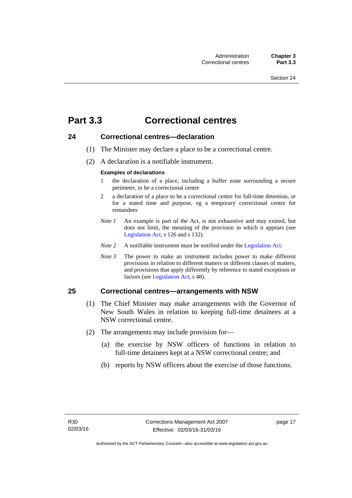# <span id="page-30-0"></span>**Part 3.3 Correctional centres**

### <span id="page-30-1"></span>**24 Correctional centres—declaration**

- (1) The Minister may declare a place to be a correctional centre.
- (2) A declaration is a notifiable instrument.

#### **Examples of declarations**

- 1 the declaration of a place, including a buffer zone surrounding a secure perimeter, to be a correctional centre
- 2 a declaration of a place to be a correctional centre for full-time detention, or for a stated time and purpose, eg a temporary correctional centre for remandees
- *Note 1* An example is part of the Act, is not exhaustive and may extend, but does not limit, the meaning of the provision in which it appears (see [Legislation Act,](http://www.legislation.act.gov.au/a/2001-14) s 126 and s 132).
- *Note 2* A notifiable instrument must be notified under the [Legislation Act](http://www.legislation.act.gov.au/a/2001-14).
- *Note 3* The power to make an instrument includes power to make different provisions in relation to different matters or different classes of matters, and provisions that apply differently by reference to stated exceptions or factors (see [Legislation Act](http://www.legislation.act.gov.au/a/2001-14), s 48).

# <span id="page-30-2"></span>**25 Correctional centres—arrangements with NSW**

- (1) The Chief Minister may make arrangements with the Governor of New South Wales in relation to keeping full-time detainees at a NSW correctional centre.
- (2) The arrangements may include provision for—
	- (a) the exercise by NSW officers of functions in relation to full-time detainees kept at a NSW correctional centre; and
	- (b) reports by NSW officers about the exercise of those functions.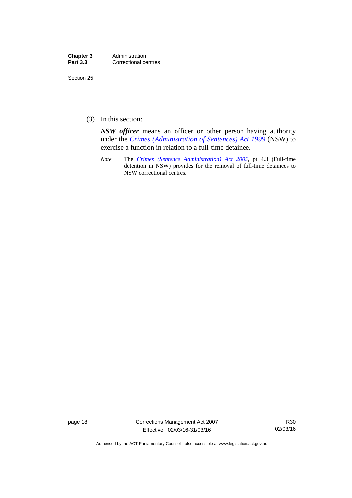| Chapter 3       | Administration       |
|-----------------|----------------------|
| <b>Part 3.3</b> | Correctional centres |

Section 25

(3) In this section:

*NSW officer* means an officer or other person having authority under the *[Crimes \(Administration of Sentences\) Act 1999](http://www.legislation.nsw.gov.au/maintop/view/inforce/act+93+1999+cd+0+N)* (NSW) to exercise a function in relation to a full-time detainee.

*Note* The *[Crimes \(Sentence Administration\) Act 2005](http://www.legislation.act.gov.au/a/2005-59)*, pt 4.3 (Full-time detention in NSW) provides for the removal of full-time detainees to NSW correctional centres.

page 18 Corrections Management Act 2007 Effective: 02/03/16-31/03/16

R30 02/03/16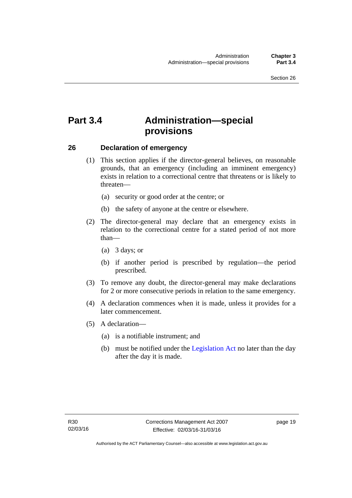# <span id="page-32-0"></span>**Part 3.4 Administration—special provisions**

### <span id="page-32-1"></span>**26 Declaration of emergency**

- (1) This section applies if the director-general believes, on reasonable grounds, that an emergency (including an imminent emergency) exists in relation to a correctional centre that threatens or is likely to threaten—
	- (a) security or good order at the centre; or
	- (b) the safety of anyone at the centre or elsewhere.
- (2) The director-general may declare that an emergency exists in relation to the correctional centre for a stated period of not more than—
	- (a) 3 days; or
	- (b) if another period is prescribed by regulation—the period prescribed.
- (3) To remove any doubt, the director-general may make declarations for 2 or more consecutive periods in relation to the same emergency.
- (4) A declaration commences when it is made, unless it provides for a later commencement.
- (5) A declaration—
	- (a) is a notifiable instrument; and
	- (b) must be notified under the [Legislation Act](http://www.legislation.act.gov.au/a/2001-14) no later than the day after the day it is made.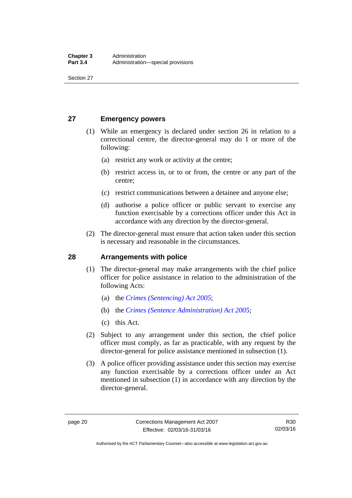Section 27

# <span id="page-33-0"></span>**27 Emergency powers**

- (1) While an emergency is declared under section 26 in relation to a correctional centre, the director-general may do 1 or more of the following:
	- (a) restrict any work or activity at the centre;
	- (b) restrict access in, or to or from, the centre or any part of the centre;
	- (c) restrict communications between a detainee and anyone else;
	- (d) authorise a police officer or public servant to exercise any function exercisable by a corrections officer under this Act in accordance with any direction by the director-general.
- (2) The director-general must ensure that action taken under this section is necessary and reasonable in the circumstances.

# <span id="page-33-1"></span>**28 Arrangements with police**

- (1) The director-general may make arrangements with the chief police officer for police assistance in relation to the administration of the following Acts:
	- (a) the *[Crimes \(Sentencing\) Act 2005](http://www.legislation.act.gov.au/a/2005-58)*;
	- (b) the *[Crimes \(Sentence Administration\) Act 2005](http://www.legislation.act.gov.au/a/2005-59)*;
	- (c) this Act.
- (2) Subject to any arrangement under this section, the chief police officer must comply, as far as practicable, with any request by the director-general for police assistance mentioned in subsection (1).
- (3) A police officer providing assistance under this section may exercise any function exercisable by a corrections officer under an Act mentioned in subsection (1) in accordance with any direction by the director-general.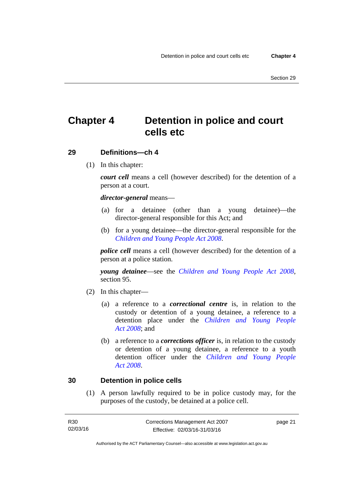# <span id="page-34-0"></span>**Chapter 4 Detention in police and court cells etc**

### <span id="page-34-1"></span>**29 Definitions—ch 4**

(1) In this chapter:

*court cell* means a cell (however described) for the detention of a person at a court.

#### *director-general* means—

- (a) for a detainee (other than a young detainee)—the director-general responsible for this Act; and
- (b) for a young detainee—the director-general responsible for the *[Children and Young People Act 2008](http://www.legislation.act.gov.au/a/2008-19)*.

*police cell* means a cell (however described) for the detention of a person at a police station.

*young detainee*—see the *[Children and Young People Act 2008](http://www.legislation.act.gov.au/a/2008-19)*, section 95.

- (2) In this chapter—
	- (a) a reference to a *correctional centre* is, in relation to the custody or detention of a young detainee, a reference to a detention place under the *[Children and Young People](http://www.legislation.act.gov.au/a/2008-19)  [Act 2008](http://www.legislation.act.gov.au/a/2008-19)*; and
	- (b) a reference to a *corrections officer* is, in relation to the custody or detention of a young detainee, a reference to a youth detention officer under the *[Children and Young People](http://www.legislation.act.gov.au/a/2008-19)  [Act 2008](http://www.legislation.act.gov.au/a/2008-19)*.

### <span id="page-34-2"></span>**30 Detention in police cells**

(1) A person lawfully required to be in police custody may, for the purposes of the custody, be detained at a police cell.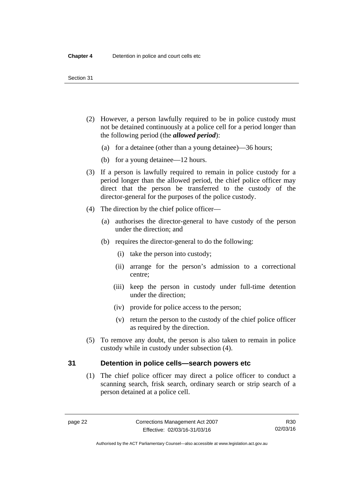- (2) However, a person lawfully required to be in police custody must not be detained continuously at a police cell for a period longer than the following period (the *allowed period*):
	- (a) for a detainee (other than a young detainee)—36 hours;
	- (b) for a young detainee—12 hours.
- (3) If a person is lawfully required to remain in police custody for a period longer than the allowed period, the chief police officer may direct that the person be transferred to the custody of the director-general for the purposes of the police custody.
- (4) The direction by the chief police officer—
	- (a) authorises the director-general to have custody of the person under the direction; and
	- (b) requires the director-general to do the following:
		- (i) take the person into custody;
		- (ii) arrange for the person's admission to a correctional centre;
		- (iii) keep the person in custody under full-time detention under the direction;
		- (iv) provide for police access to the person;
		- (v) return the person to the custody of the chief police officer as required by the direction.
- (5) To remove any doubt, the person is also taken to remain in police custody while in custody under subsection (4).

### <span id="page-35-0"></span>**31 Detention in police cells—search powers etc**

(1) The chief police officer may direct a police officer to conduct a scanning search, frisk search, ordinary search or strip search of a person detained at a police cell.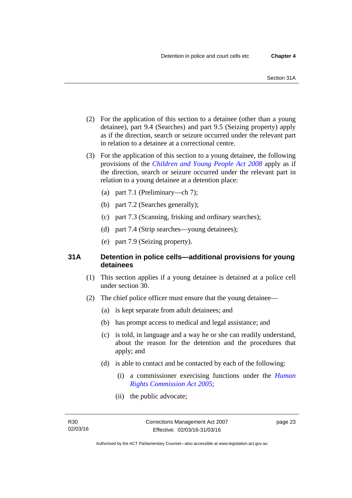- (2) For the application of this section to a detainee (other than a young detainee), part 9.4 (Searches) and part 9.5 (Seizing property) apply as if the direction, search or seizure occurred under the relevant part in relation to a detainee at a correctional centre.
- (3) For the application of this section to a young detainee, the following provisions of the *[Children and Young People Act 2008](http://www.legislation.act.gov.au/a/2008-19)* apply as if the direction, search or seizure occurred under the relevant part in relation to a young detainee at a detention place:
	- (a) part 7.1 (Preliminary—ch 7);
	- (b) part 7.2 (Searches generally);
	- (c) part 7.3 (Scanning, frisking and ordinary searches);
	- (d) part 7.4 (Strip searches—young detainees);
	- (e) part 7.9 (Seizing property).

## **31A Detention in police cells—additional provisions for young detainees**

- (1) This section applies if a young detainee is detained at a police cell under section 30.
- (2) The chief police officer must ensure that the young detainee—
	- (a) is kept separate from adult detainees; and
	- (b) has prompt access to medical and legal assistance; and
	- (c) is told, in language and a way he or she can readily understand, about the reason for the detention and the procedures that apply; and
	- (d) is able to contact and be contacted by each of the following:
		- (i) a commissioner exercising functions under the *[Human](http://www.legislation.act.gov.au/a/2005-40)  [Rights Commission Act 2005](http://www.legislation.act.gov.au/a/2005-40)*;
		- (ii) the public advocate;

page 23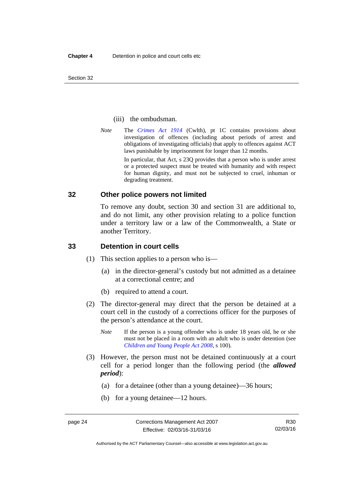Section 32

#### (iii) the ombudsman.

*Note* The *[Crimes Act 1914](http://www.comlaw.gov.au/Series/C2004A07391)* (Cwlth), pt 1C contains provisions about investigation of offences (including about periods of arrest and obligations of investigating officials) that apply to offences against ACT laws punishable by imprisonment for longer than 12 months.

In particular, that Act, s 23Q provides that a person who is under arrest or a protected suspect must be treated with humanity and with respect for human dignity, and must not be subjected to cruel, inhuman or degrading treatment.

## **32 Other police powers not limited**

To remove any doubt, section 30 and section 31 are additional to, and do not limit, any other provision relating to a police function under a territory law or a law of the Commonwealth, a State or another Territory.

## **33 Detention in court cells**

- (1) This section applies to a person who is—
	- (a) in the director-general's custody but not admitted as a detainee at a correctional centre; and
	- (b) required to attend a court.
- (2) The director-general may direct that the person be detained at a court cell in the custody of a corrections officer for the purposes of the person's attendance at the court.
	- *Note* If the person is a young offender who is under 18 years old, he or she must not be placed in a room with an adult who is under detention (see *[Children and Young People Act 2008](http://www.legislation.act.gov.au/a/2008-19)*, s 100).
- (3) However, the person must not be detained continuously at a court cell for a period longer than the following period (the *allowed period*):
	- (a) for a detainee (other than a young detainee)—36 hours;
	- (b) for a young detainee—12 hours.

R30 02/03/16

Authorised by the ACT Parliamentary Counsel—also accessible at www.legislation.act.gov.au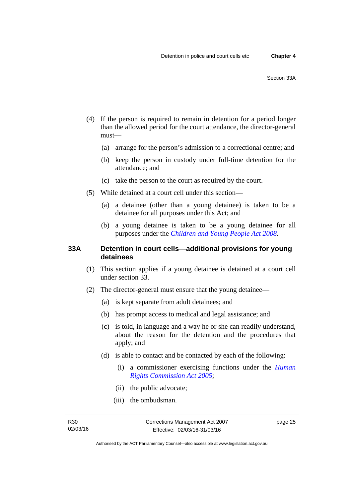- (4) If the person is required to remain in detention for a period longer than the allowed period for the court attendance, the director-general must—
	- (a) arrange for the person's admission to a correctional centre; and
	- (b) keep the person in custody under full-time detention for the attendance; and
	- (c) take the person to the court as required by the court.
- (5) While detained at a court cell under this section—
	- (a) a detainee (other than a young detainee) is taken to be a detainee for all purposes under this Act; and
	- (b) a young detainee is taken to be a young detainee for all purposes under the *[Children and Young People Act 2008](http://www.legislation.act.gov.au/a/2008-19)*.

## **33A Detention in court cells—additional provisions for young detainees**

- (1) This section applies if a young detainee is detained at a court cell under section 33.
- (2) The director-general must ensure that the young detainee—
	- (a) is kept separate from adult detainees; and
	- (b) has prompt access to medical and legal assistance; and
	- (c) is told, in language and a way he or she can readily understand, about the reason for the detention and the procedures that apply; and
	- (d) is able to contact and be contacted by each of the following:
		- (i) a commissioner exercising functions under the *[Human](http://www.legislation.act.gov.au/a/2005-40)  [Rights Commission Act 2005](http://www.legislation.act.gov.au/a/2005-40)*;
		- (ii) the public advocate;
		- (iii) the ombudsman.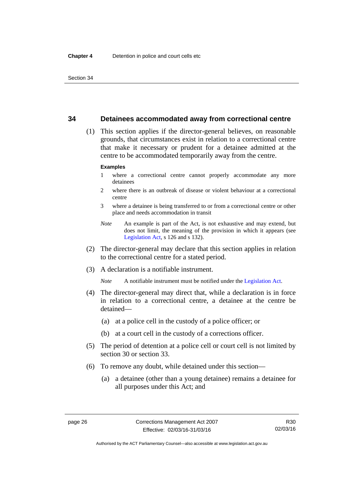## **34 Detainees accommodated away from correctional centre**

 (1) This section applies if the director-general believes, on reasonable grounds, that circumstances exist in relation to a correctional centre that make it necessary or prudent for a detainee admitted at the centre to be accommodated temporarily away from the centre.

#### **Examples**

- 1 where a correctional centre cannot properly accommodate any more detainees
- 2 where there is an outbreak of disease or violent behaviour at a correctional centre
- 3 where a detainee is being transferred to or from a correctional centre or other place and needs accommodation in transit
- *Note* An example is part of the Act, is not exhaustive and may extend, but does not limit, the meaning of the provision in which it appears (see [Legislation Act,](http://www.legislation.act.gov.au/a/2001-14) s 126 and s 132).
- (2) The director-general may declare that this section applies in relation to the correctional centre for a stated period.
- (3) A declaration is a notifiable instrument.

*Note* A notifiable instrument must be notified under the [Legislation Act](http://www.legislation.act.gov.au/a/2001-14).

- (4) The director-general may direct that, while a declaration is in force in relation to a correctional centre, a detainee at the centre be detained—
	- (a) at a police cell in the custody of a police officer; or
	- (b) at a court cell in the custody of a corrections officer.
- (5) The period of detention at a police cell or court cell is not limited by section 30 or section 33.
- (6) To remove any doubt, while detained under this section—
	- (a) a detainee (other than a young detainee) remains a detainee for all purposes under this Act; and

Authorised by the ACT Parliamentary Counsel—also accessible at www.legislation.act.gov.au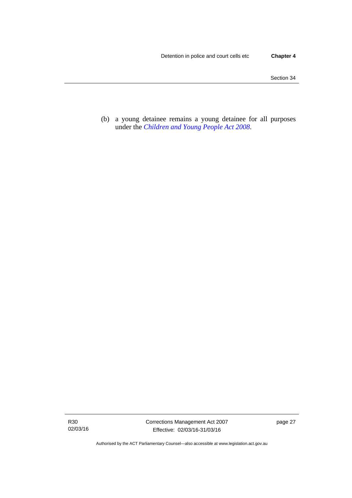(b) a young detainee remains a young detainee for all purposes under the *[Children and Young People Act 2008](http://www.legislation.act.gov.au/a/2008-19)*.

Authorised by the ACT Parliamentary Counsel—also accessible at www.legislation.act.gov.au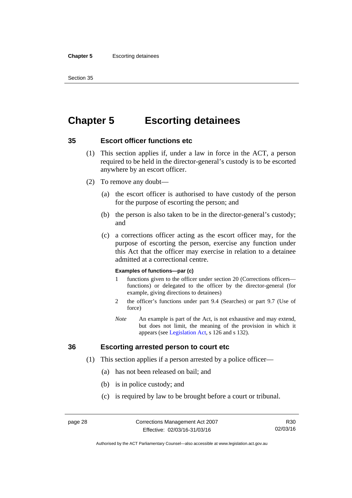#### **Chapter 5** Escorting detainees

Section 35

# **Chapter 5 Escorting detainees**

## **35 Escort officer functions etc**

- (1) This section applies if, under a law in force in the ACT, a person required to be held in the director-general's custody is to be escorted anywhere by an escort officer.
- (2) To remove any doubt—
	- (a) the escort officer is authorised to have custody of the person for the purpose of escorting the person; and
	- (b) the person is also taken to be in the director-general's custody; and
	- (c) a corrections officer acting as the escort officer may, for the purpose of escorting the person, exercise any function under this Act that the officer may exercise in relation to a detainee admitted at a correctional centre.

#### **Examples of functions—par (c)**

- 1 functions given to the officer under section 20 (Corrections officers functions) or delegated to the officer by the director-general (for example, giving directions to detainees)
- 2 the officer's functions under part 9.4 (Searches) or part 9.7 (Use of force)
- *Note* An example is part of the Act, is not exhaustive and may extend, but does not limit, the meaning of the provision in which it appears (see [Legislation Act,](http://www.legislation.act.gov.au/a/2001-14) s 126 and s 132).

## **36 Escorting arrested person to court etc**

- (1) This section applies if a person arrested by a police officer—
	- (a) has not been released on bail; and
	- (b) is in police custody; and
	- (c) is required by law to be brought before a court or tribunal.

R30 02/03/16

Authorised by the ACT Parliamentary Counsel—also accessible at www.legislation.act.gov.au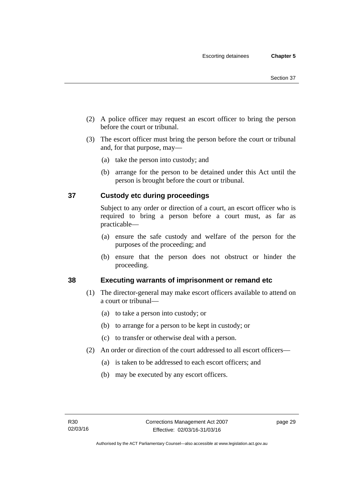- (2) A police officer may request an escort officer to bring the person before the court or tribunal.
- (3) The escort officer must bring the person before the court or tribunal and, for that purpose, may—
	- (a) take the person into custody; and
	- (b) arrange for the person to be detained under this Act until the person is brought before the court or tribunal.

# **37 Custody etc during proceedings**

Subject to any order or direction of a court, an escort officer who is required to bring a person before a court must, as far as practicable—

- (a) ensure the safe custody and welfare of the person for the purposes of the proceeding; and
- (b) ensure that the person does not obstruct or hinder the proceeding.

# **38 Executing warrants of imprisonment or remand etc**

- (1) The director-general may make escort officers available to attend on a court or tribunal—
	- (a) to take a person into custody; or
	- (b) to arrange for a person to be kept in custody; or
	- (c) to transfer or otherwise deal with a person.
- (2) An order or direction of the court addressed to all escort officers—
	- (a) is taken to be addressed to each escort officers; and
	- (b) may be executed by any escort officers.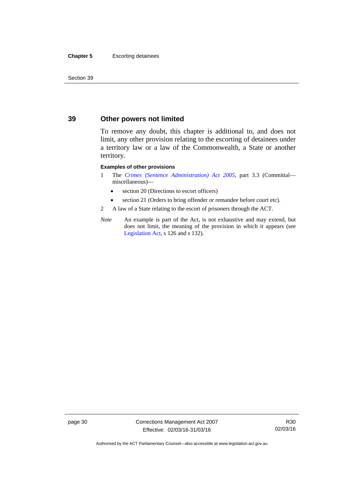#### **Chapter 5** Escorting detainees

Section 39

## **39 Other powers not limited**

To remove any doubt, this chapter is additional to, and does not limit, any other provision relating to the escorting of detainees under a territory law or a law of the Commonwealth, a State or another territory.

#### **Examples of other provisions**

- 1 The *[Crimes \(Sentence Administration\) Act 2005](http://www.legislation.act.gov.au/a/2005-59)*, part 3.3 (Committal miscellaneous)—
	- section 20 (Directions to escort officers)
	- section 21 (Orders to bring offender or remandee before court etc).
- 2 A law of a State relating to the escort of prisoners through the ACT.
- *Note* An example is part of the Act, is not exhaustive and may extend, but does not limit, the meaning of the provision in which it appears (see [Legislation Act,](http://www.legislation.act.gov.au/a/2001-14) s 126 and s 132).

page 30 Corrections Management Act 2007 Effective: 02/03/16-31/03/16

R30 02/03/16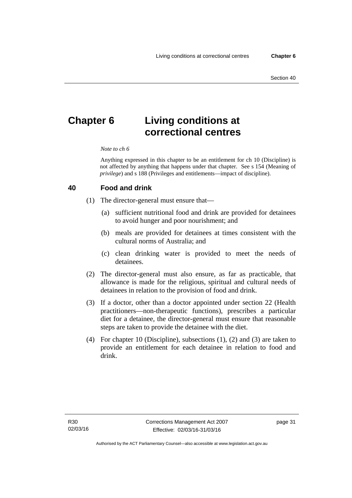# **Chapter 6 Living conditions at correctional centres**

#### *Note to ch 6*

Anything expressed in this chapter to be an entitlement for ch 10 (Discipline) is not affected by anything that happens under that chapter. See s 154 (Meaning of *privilege*) and s 188 (Privileges and entitlements—impact of discipline).

#### **40 Food and drink**

- (1) The director-general must ensure that—
	- (a) sufficient nutritional food and drink are provided for detainees to avoid hunger and poor nourishment; and
	- (b) meals are provided for detainees at times consistent with the cultural norms of Australia; and
	- (c) clean drinking water is provided to meet the needs of detainees.
- (2) The director-general must also ensure, as far as practicable, that allowance is made for the religious, spiritual and cultural needs of detainees in relation to the provision of food and drink.
- (3) If a doctor, other than a doctor appointed under section 22 (Health practitioners—non-therapeutic functions), prescribes a particular diet for a detainee, the director-general must ensure that reasonable steps are taken to provide the detainee with the diet.
- (4) For chapter 10 (Discipline), subsections (1), (2) and (3) are taken to provide an entitlement for each detainee in relation to food and drink.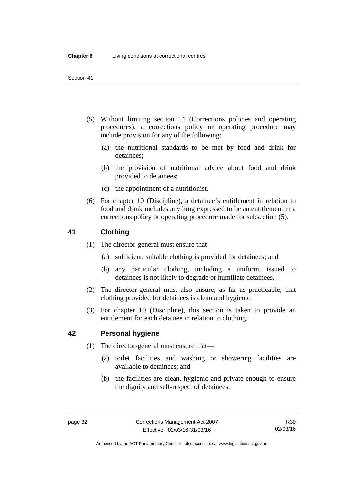- (5) Without limiting section 14 (Corrections policies and operating procedures), a corrections policy or operating procedure may include provision for any of the following:
	- (a) the nutritional standards to be met by food and drink for detainees;
	- (b) the provision of nutritional advice about food and drink provided to detainees;
	- (c) the appointment of a nutritionist.
- (6) For chapter 10 (Discipline), a detainee's entitlement in relation to food and drink includes anything expressed to be an entitlement in a corrections policy or operating procedure made for subsection (5).

## **41 Clothing**

- (1) The director-general must ensure that—
	- (a) sufficient, suitable clothing is provided for detainees; and
	- (b) any particular clothing, including a uniform, issued to detainees is not likely to degrade or humiliate detainees.
- (2) The director-general must also ensure, as far as practicable, that clothing provided for detainees is clean and hygienic.
- (3) For chapter 10 (Discipline), this section is taken to provide an entitlement for each detainee in relation to clothing.

## **42 Personal hygiene**

- (1) The director-general must ensure that—
	- (a) toilet facilities and washing or showering facilities are available to detainees; and
	- (b) the facilities are clean, hygienic and private enough to ensure the dignity and self-respect of detainees.

Authorised by the ACT Parliamentary Counsel—also accessible at www.legislation.act.gov.au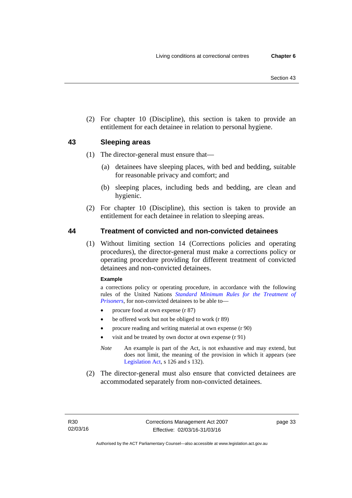(2) For chapter 10 (Discipline), this section is taken to provide an entitlement for each detainee in relation to personal hygiene.

## **43 Sleeping areas**

- (1) The director-general must ensure that—
	- (a) detainees have sleeping places, with bed and bedding, suitable for reasonable privacy and comfort; and
	- (b) sleeping places, including beds and bedding, are clean and hygienic.
- (2) For chapter 10 (Discipline), this section is taken to provide an entitlement for each detainee in relation to sleeping areas.

## **44 Treatment of convicted and non-convicted detainees**

(1) Without limiting section 14 (Corrections policies and operating procedures), the director-general must make a corrections policy or operating procedure providing for different treatment of convicted detainees and non-convicted detainees.

#### **Example**

a corrections policy or operating procedure, in accordance with the following rules of the United Nations *[Standard Minimum Rules for the Treatment of](http://www2.ohchr.org/english/law/treatmentprisoners.htm)  [Prisoners](http://www2.ohchr.org/english/law/treatmentprisoners.htm)*, for non-convicted detainees to be able to—

- procure food at own expense (r 87)
- be offered work but not be obliged to work (r 89)
- procure reading and writing material at own expense (r 90)
- visit and be treated by own doctor at own expense (r 91)
- *Note* An example is part of the Act, is not exhaustive and may extend, but does not limit, the meaning of the provision in which it appears (see [Legislation Act,](http://www.legislation.act.gov.au/a/2001-14) s 126 and s 132).
- (2) The director-general must also ensure that convicted detainees are accommodated separately from non-convicted detainees.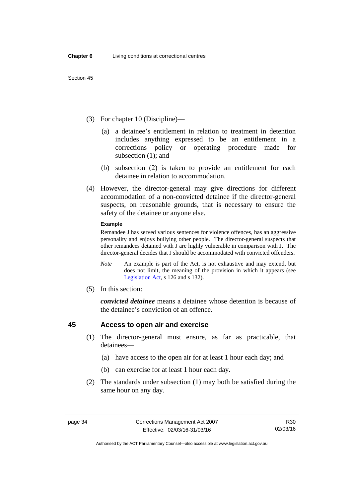- (3) For chapter 10 (Discipline)—
	- (a) a detainee's entitlement in relation to treatment in detention includes anything expressed to be an entitlement in a corrections policy or operating procedure made for subsection (1); and
	- (b) subsection (2) is taken to provide an entitlement for each detainee in relation to accommodation.
- (4) However, the director-general may give directions for different accommodation of a non-convicted detainee if the director-general suspects, on reasonable grounds, that is necessary to ensure the safety of the detainee or anyone else.

#### **Example**

Remandee J has served various sentences for violence offences, has an aggressive personality and enjoys bullying other people. The director-general suspects that other remandees detained with J are highly vulnerable in comparison with J. The director-general decides that J should be accommodated with convicted offenders.

- *Note* An example is part of the Act, is not exhaustive and may extend, but does not limit, the meaning of the provision in which it appears (see [Legislation Act,](http://www.legislation.act.gov.au/a/2001-14) s 126 and s 132).
- (5) In this section:

*convicted detainee* means a detainee whose detention is because of the detainee's conviction of an offence.

## <span id="page-47-0"></span>**45 Access to open air and exercise**

- (1) The director-general must ensure, as far as practicable, that detainees—
	- (a) have access to the open air for at least 1 hour each day; and
	- (b) can exercise for at least 1 hour each day.
- (2) The standards under subsection (1) may both be satisfied during the same hour on any day.

Authorised by the ACT Parliamentary Counsel—also accessible at www.legislation.act.gov.au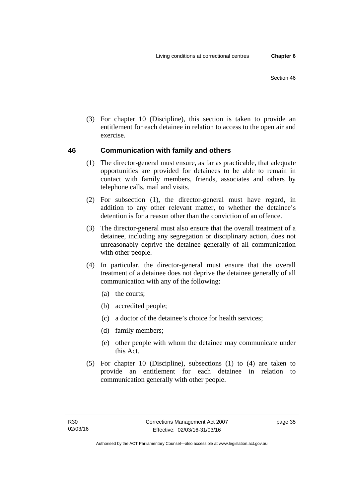(3) For chapter 10 (Discipline), this section is taken to provide an entitlement for each detainee in relation to access to the open air and exercise.

# **46 Communication with family and others**

- (1) The director-general must ensure, as far as practicable, that adequate opportunities are provided for detainees to be able to remain in contact with family members, friends, associates and others by telephone calls, mail and visits.
- (2) For subsection (1), the director-general must have regard, in addition to any other relevant matter, to whether the detainee's detention is for a reason other than the conviction of an offence.
- (3) The director-general must also ensure that the overall treatment of a detainee, including any segregation or disciplinary action, does not unreasonably deprive the detainee generally of all communication with other people.
- (4) In particular, the director-general must ensure that the overall treatment of a detainee does not deprive the detainee generally of all communication with any of the following:
	- (a) the courts;
	- (b) accredited people;
	- (c) a doctor of the detainee's choice for health services;
	- (d) family members;
	- (e) other people with whom the detainee may communicate under this Act.
- (5) For chapter 10 (Discipline), subsections (1) to (4) are taken to provide an entitlement for each detainee in relation to communication generally with other people.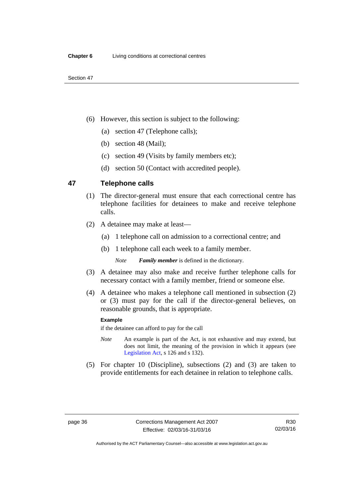- (6) However, this section is subject to the following:
	- (a) section 47 (Telephone calls);
	- (b) section 48 (Mail);
	- (c) section 49 (Visits by family members etc);
	- (d) section 50 (Contact with accredited people).

## <span id="page-49-0"></span>**47 Telephone calls**

- (1) The director-general must ensure that each correctional centre has telephone facilities for detainees to make and receive telephone calls.
- (2) A detainee may make at least—
	- (a) 1 telephone call on admission to a correctional centre; and
	- (b) 1 telephone call each week to a family member.

*Note Family member* is defined in the dictionary.

- (3) A detainee may also make and receive further telephone calls for necessary contact with a family member, friend or someone else.
- (4) A detainee who makes a telephone call mentioned in subsection (2) or (3) must pay for the call if the director-general believes, on reasonable grounds, that is appropriate.

#### **Example**

if the detainee can afford to pay for the call

- *Note* An example is part of the Act, is not exhaustive and may extend, but does not limit, the meaning of the provision in which it appears (see [Legislation Act,](http://www.legislation.act.gov.au/a/2001-14) s 126 and s 132).
- (5) For chapter 10 (Discipline), subsections (2) and (3) are taken to provide entitlements for each detainee in relation to telephone calls.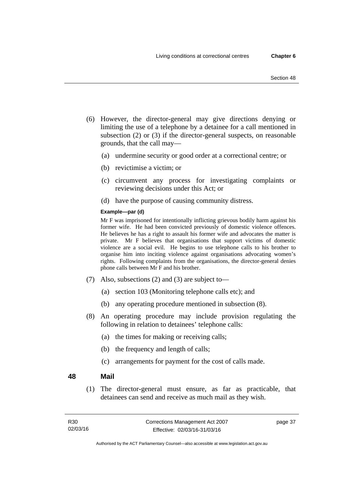- (6) However, the director-general may give directions denying or limiting the use of a telephone by a detainee for a call mentioned in subsection (2) or (3) if the director-general suspects, on reasonable grounds, that the call may—
	- (a) undermine security or good order at a correctional centre; or
	- (b) revictimise a victim; or
	- (c) circumvent any process for investigating complaints or reviewing decisions under this Act; or
	- (d) have the purpose of causing community distress.

#### **Example—par (d)**

Mr F was imprisoned for intentionally inflicting grievous bodily harm against his former wife. He had been convicted previously of domestic violence offences. He believes he has a right to assault his former wife and advocates the matter is private. Mr F believes that organisations that support victims of domestic violence are a social evil. He begins to use telephone calls to his brother to organise him into inciting violence against organisations advocating women's rights. Following complaints from the organisations, the director-general denies phone calls between Mr F and his brother.

- (7) Also, subsections (2) and (3) are subject to—
	- (a) section 103 (Monitoring telephone calls etc); and
	- (b) any operating procedure mentioned in subsection (8).
- (8) An operating procedure may include provision regulating the following in relation to detainees' telephone calls:
	- (a) the times for making or receiving calls;
	- (b) the frequency and length of calls;
	- (c) arrangements for payment for the cost of calls made.

#### **48 Mail**

(1) The director-general must ensure, as far as practicable, that detainees can send and receive as much mail as they wish.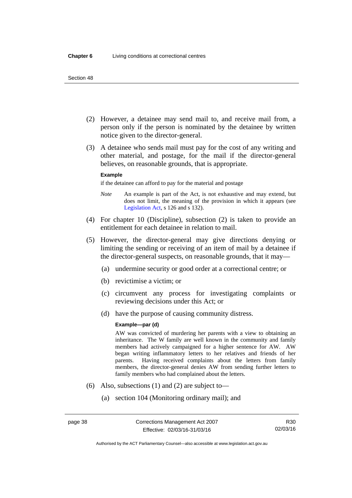- (2) However, a detainee may send mail to, and receive mail from, a person only if the person is nominated by the detainee by written notice given to the director-general.
- (3) A detainee who sends mail must pay for the cost of any writing and other material, and postage, for the mail if the director-general believes, on reasonable grounds, that is appropriate.

#### **Example**

if the detainee can afford to pay for the material and postage

- *Note* An example is part of the Act, is not exhaustive and may extend, but does not limit, the meaning of the provision in which it appears (see [Legislation Act,](http://www.legislation.act.gov.au/a/2001-14) s 126 and s 132).
- (4) For chapter 10 (Discipline), subsection (2) is taken to provide an entitlement for each detainee in relation to mail.
- (5) However, the director-general may give directions denying or limiting the sending or receiving of an item of mail by a detainee if the director-general suspects, on reasonable grounds, that it may—
	- (a) undermine security or good order at a correctional centre; or
	- (b) revictimise a victim; or
	- (c) circumvent any process for investigating complaints or reviewing decisions under this Act; or
	- (d) have the purpose of causing community distress.

#### **Example—par (d)**

AW was convicted of murdering her parents with a view to obtaining an inheritance. The W family are well known in the community and family members had actively campaigned for a higher sentence for AW. AW began writing inflammatory letters to her relatives and friends of her parents. Having received complaints about the letters from family members, the director-general denies AW from sending further letters to family members who had complained about the letters.

- (6) Also, subsections (1) and (2) are subject to—
	- (a) section 104 (Monitoring ordinary mail); and

Authorised by the ACT Parliamentary Counsel—also accessible at www.legislation.act.gov.au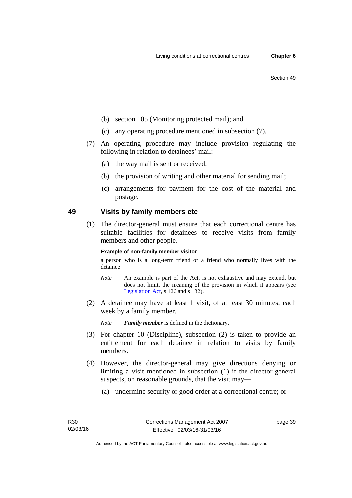- (b) section 105 (Monitoring protected mail); and
- (c) any operating procedure mentioned in subsection (7).
- (7) An operating procedure may include provision regulating the following in relation to detainees' mail:
	- (a) the way mail is sent or received;
	- (b) the provision of writing and other material for sending mail;
	- (c) arrangements for payment for the cost of the material and postage.

## **49 Visits by family members etc**

(1) The director-general must ensure that each correctional centre has suitable facilities for detainees to receive visits from family members and other people.

#### **Example of non-family member visitor**

a person who is a long-term friend or a friend who normally lives with the detainee

- *Note* An example is part of the Act, is not exhaustive and may extend, but does not limit, the meaning of the provision in which it appears (see [Legislation Act,](http://www.legislation.act.gov.au/a/2001-14) s 126 and s 132).
- (2) A detainee may have at least 1 visit, of at least 30 minutes, each week by a family member.

*Note Family member* is defined in the dictionary.

- (3) For chapter 10 (Discipline), subsection (2) is taken to provide an entitlement for each detainee in relation to visits by family members.
- (4) However, the director-general may give directions denying or limiting a visit mentioned in subsection (1) if the director-general suspects, on reasonable grounds, that the visit may—
	- (a) undermine security or good order at a correctional centre; or

page 39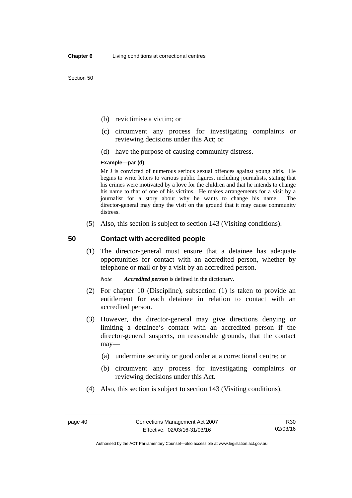- (b) revictimise a victim; or
- (c) circumvent any process for investigating complaints or reviewing decisions under this Act; or
- (d) have the purpose of causing community distress.

#### **Example—par (d)**

Mr J is convicted of numerous serious sexual offences against young girls. He begins to write letters to various public figures, including journalists, stating that his crimes were motivated by a love for the children and that he intends to change his name to that of one of his victims. He makes arrangements for a visit by a journalist for a story about why he wants to change his name. The director-general may deny the visit on the ground that it may cause community distress.

(5) Also, this section is subject to section 143 (Visiting conditions).

## **50 Contact with accredited people**

(1) The director-general must ensure that a detainee has adequate opportunities for contact with an accredited person, whether by telephone or mail or by a visit by an accredited person.

*Note Accredited person* is defined in the dictionary.

- (2) For chapter 10 (Discipline), subsection (1) is taken to provide an entitlement for each detainee in relation to contact with an accredited person.
- (3) However, the director-general may give directions denying or limiting a detainee's contact with an accredited person if the director-general suspects, on reasonable grounds, that the contact may—
	- (a) undermine security or good order at a correctional centre; or
	- (b) circumvent any process for investigating complaints or reviewing decisions under this Act.
- (4) Also, this section is subject to section 143 (Visiting conditions).

R30 02/03/16

Authorised by the ACT Parliamentary Counsel—also accessible at www.legislation.act.gov.au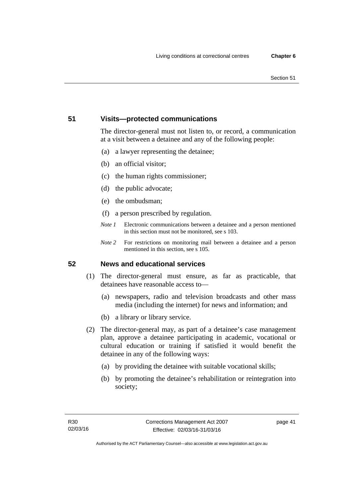#### Section 51

## **51 Visits—protected communications**

The director-general must not listen to, or record, a communication at a visit between a detainee and any of the following people:

- (a) a lawyer representing the detainee;
- (b) an official visitor;
- (c) the human rights commissioner;
- (d) the public advocate;
- (e) the ombudsman;
- (f) a person prescribed by regulation.
- *Note 1* Electronic communications between a detainee and a person mentioned in this section must not be monitored, see s 103.
- *Note 2* For restrictions on monitoring mail between a detainee and a person mentioned in this section, see s 105.

## **52 News and educational services**

- (1) The director-general must ensure, as far as practicable, that detainees have reasonable access to—
	- (a) newspapers, radio and television broadcasts and other mass media (including the internet) for news and information; and
	- (b) a library or library service.
- (2) The director-general may, as part of a detainee's case management plan, approve a detainee participating in academic, vocational or cultural education or training if satisfied it would benefit the detainee in any of the following ways:
	- (a) by providing the detainee with suitable vocational skills;
	- (b) by promoting the detainee's rehabilitation or reintegration into society;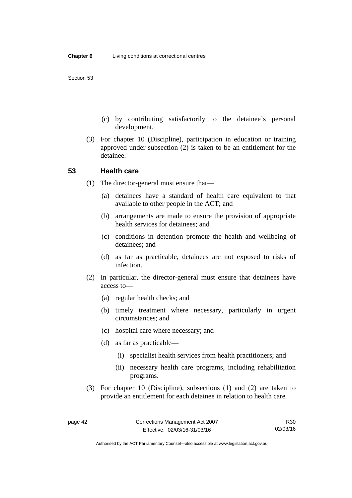- (c) by contributing satisfactorily to the detainee's personal development.
- (3) For chapter 10 (Discipline), participation in education or training approved under subsection (2) is taken to be an entitlement for the detainee.

## **53 Health care**

- (1) The director-general must ensure that—
	- (a) detainees have a standard of health care equivalent to that available to other people in the ACT; and
	- (b) arrangements are made to ensure the provision of appropriate health services for detainees; and
	- (c) conditions in detention promote the health and wellbeing of detainees; and
	- (d) as far as practicable, detainees are not exposed to risks of infection.
- (2) In particular, the director-general must ensure that detainees have access to—
	- (a) regular health checks; and
	- (b) timely treatment where necessary, particularly in urgent circumstances; and
	- (c) hospital care where necessary; and
	- (d) as far as practicable—
		- (i) specialist health services from health practitioners; and
		- (ii) necessary health care programs, including rehabilitation programs.
- (3) For chapter 10 (Discipline), subsections (1) and (2) are taken to provide an entitlement for each detainee in relation to health care.

R30 02/03/16

Authorised by the ACT Parliamentary Counsel—also accessible at www.legislation.act.gov.au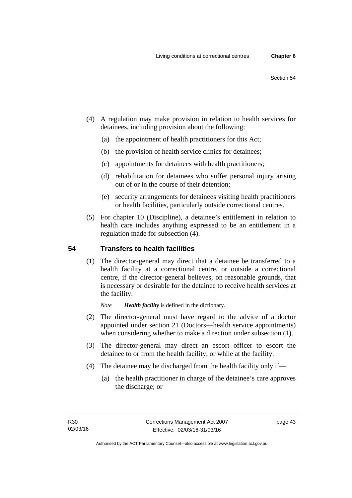- (4) A regulation may make provision in relation to health services for detainees, including provision about the following:
	- (a) the appointment of health practitioners for this Act;
	- (b) the provision of health service clinics for detainees;
	- (c) appointments for detainees with health practitioners;
	- (d) rehabilitation for detainees who suffer personal injury arising out of or in the course of their detention;
	- (e) security arrangements for detainees visiting health practitioners or health facilities, particularly outside correctional centres.
- (5) For chapter 10 (Discipline), a detainee's entitlement in relation to health care includes anything expressed to be an entitlement in a regulation made for subsection (4).

# **54 Transfers to health facilities**

(1) The director-general may direct that a detainee be transferred to a health facility at a correctional centre, or outside a correctional centre, if the director-general believes, on reasonable grounds, that is necessary or desirable for the detainee to receive health services at the facility.

*Note Health facility* is defined in the dictionary.

- (2) The director-general must have regard to the advice of a doctor appointed under section 21 (Doctors—health service appointments) when considering whether to make a direction under subsection  $(1)$ .
- (3) The director-general may direct an escort officer to escort the detainee to or from the health facility, or while at the facility.
- (4) The detainee may be discharged from the health facility only if—
	- (a) the health practitioner in charge of the detainee's care approves the discharge; or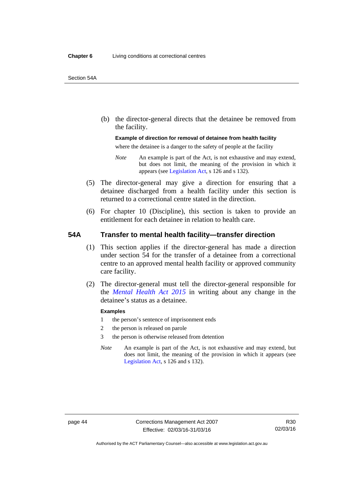(b) the director-general directs that the detainee be removed from the facility.

## **Example of direction for removal of detainee from health facility**

where the detainee is a danger to the safety of people at the facility

- *Note* An example is part of the Act, is not exhaustive and may extend, but does not limit, the meaning of the provision in which it appears (see [Legislation Act,](http://www.legislation.act.gov.au/a/2001-14) s 126 and s 132).
- (5) The director-general may give a direction for ensuring that a detainee discharged from a health facility under this section is returned to a correctional centre stated in the direction.
- (6) For chapter 10 (Discipline), this section is taken to provide an entitlement for each detainee in relation to health care.

## **54A Transfer to mental health facility—transfer direction**

- (1) This section applies if the director-general has made a direction under section 54 for the transfer of a detainee from a correctional centre to an approved mental health facility or approved community care facility.
- (2) The director-general must tell the director-general responsible for the *[Mental Health Act 2015](http://www.legislation.act.gov.au/a/2015-38/default.asp)* in writing about any change in the detainee's status as a detainee.

#### **Examples**

- 1 the person's sentence of imprisonment ends
- 2 the person is released on parole
- 3 the person is otherwise released from detention
- *Note* An example is part of the Act, is not exhaustive and may extend, but does not limit, the meaning of the provision in which it appears (see [Legislation Act,](http://www.legislation.act.gov.au/a/2001-14) s 126 and s 132).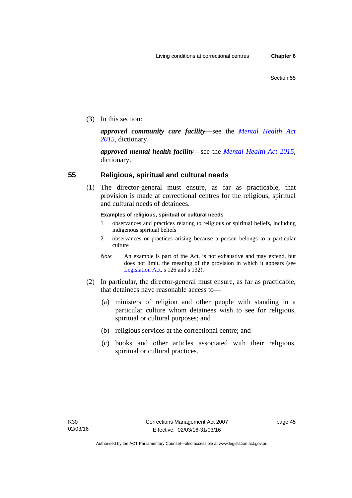(3) In this section:

*approved community care facility*—see the *[Mental Health Act](http://www.legislation.act.gov.au/a/2015-38/default.asp)  [2015](http://www.legislation.act.gov.au/a/2015-38/default.asp)*, dictionary.

*approved mental health facility*—see the *[Mental Health Act 2015](http://www.legislation.act.gov.au/a/2015-38/default.asp)*, dictionary.

# **55 Religious, spiritual and cultural needs**

(1) The director-general must ensure, as far as practicable, that provision is made at correctional centres for the religious, spiritual and cultural needs of detainees.

## **Examples of religious, spiritual or cultural needs**

- 1 observances and practices relating to religious or spiritual beliefs, including indigenous spiritual beliefs
- 2 observances or practices arising because a person belongs to a particular culture
- *Note* An example is part of the Act, is not exhaustive and may extend, but does not limit, the meaning of the provision in which it appears (see [Legislation Act,](http://www.legislation.act.gov.au/a/2001-14) s 126 and s 132).
- (2) In particular, the director-general must ensure, as far as practicable, that detainees have reasonable access to—
	- (a) ministers of religion and other people with standing in a particular culture whom detainees wish to see for religious, spiritual or cultural purposes; and
	- (b) religious services at the correctional centre; and
	- (c) books and other articles associated with their religious, spiritual or cultural practices.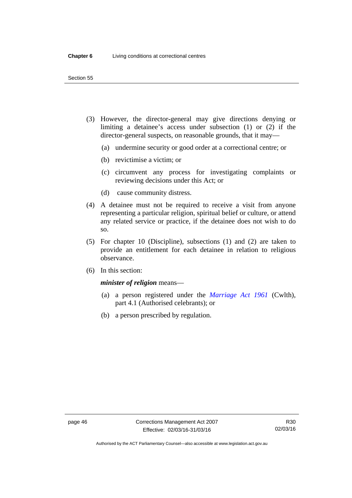#### Section 55

- (3) However, the director-general may give directions denying or limiting a detainee's access under subsection (1) or (2) if the director-general suspects, on reasonable grounds, that it may—
	- (a) undermine security or good order at a correctional centre; or
	- (b) revictimise a victim; or
	- (c) circumvent any process for investigating complaints or reviewing decisions under this Act; or
	- (d) cause community distress.
- (4) A detainee must not be required to receive a visit from anyone representing a particular religion, spiritual belief or culture, or attend any related service or practice, if the detainee does not wish to do so.
- (5) For chapter 10 (Discipline), subsections (1) and (2) are taken to provide an entitlement for each detainee in relation to religious observance.
- (6) In this section:

#### *minister of religion* means—

- (a) a person registered under the *[Marriage Act 1961](http://www.comlaw.gov.au/Series/C2004A07402)* (Cwlth), part 4.1 (Authorised celebrants); or
- (b) a person prescribed by regulation.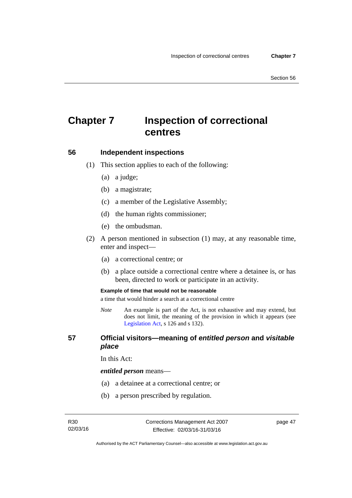# **Chapter 7 Inspection of correctional centres**

## **56 Independent inspections**

- (1) This section applies to each of the following:
	- (a) a judge;
	- (b) a magistrate;
	- (c) a member of the Legislative Assembly;
	- (d) the human rights commissioner;
	- (e) the ombudsman.
- (2) A person mentioned in subsection (1) may, at any reasonable time, enter and inspect—
	- (a) a correctional centre; or
	- (b) a place outside a correctional centre where a detainee is, or has been, directed to work or participate in an activity.

#### **Example of time that would not be reasonable**

a time that would hinder a search at a correctional centre

*Note* An example is part of the Act, is not exhaustive and may extend, but does not limit, the meaning of the provision in which it appears (see [Legislation Act,](http://www.legislation.act.gov.au/a/2001-14) s 126 and s 132).

## **57 Official visitors—meaning of** *entitled person* **and** *visitable place*

In this Act:

#### *entitled person* means—

- (a) a detainee at a correctional centre; or
- (b) a person prescribed by regulation.

page 47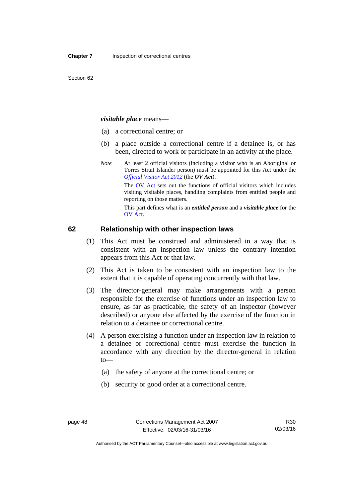#### *visitable place* means—

- (a) a correctional centre; or
- (b) a place outside a correctional centre if a detainee is, or has been, directed to work or participate in an activity at the place.
- *Note* At least 2 official visitors (including a visitor who is an Aboriginal or Torres Strait Islander person) must be appointed for this Act under the *[Official Visitor Act 2012](http://www.legislation.act.gov.au/a/2012-33/default.asp)* (the *OV Act*).

The [OV Act sets out the functions of offic](#page-47-0)ial visitors which includes visiting visitable places, handling complaints from entitled people and reporting on those matters.

This part defines what is an *entitled person* and a *visitable place* for the OV Act.

#### **[62 Relation](#page-49-0)ship with other inspection laws**

- (1) This Act must be construed and administered in a way that is consistent with an inspection law unless the contrary intention appears from this Act or that law.
- (2) This Act is taken to be consistent with an inspection law to the extent that it is capable of operating concurrently with that law.
- (3) The director-general may make arrangements with a person responsible for the exercise of functions under an inspection law to ensure, as far as practicable, the safety of an inspector (however described) or anyone else affected by the exercise of the function in relation to a detainee or correctional centre.
- (4) A person exercising a function under an inspection law in relation to a detainee or correctional centre must exercise the function in accordance with any direction by the director-general in relation to—
	- (a) the safety of anyone at the correctional centre; or
	- (b) security or good order at a correctional centre.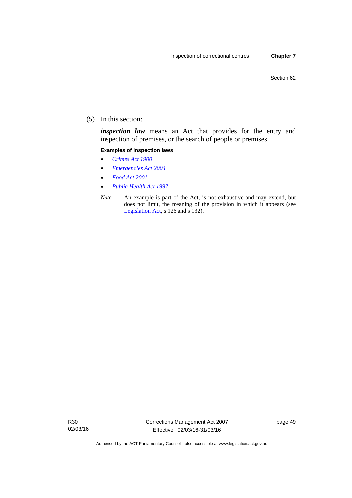(5) In this section:

*inspection law* means an Act that provides for the entry and inspection of premises, or the search of people or premises.

#### **Examples of inspection laws**

- *[Crimes Act 1900](http://www.legislation.act.gov.au/a/1900-40)*
- *[Emergencies Act 2004](http://www.legislation.act.gov.au/a/2004-28)*
- *[Food Act 2001](http://www.legislation.act.gov.au/a/2001-66)*
- *[Public Health Act 1997](http://www.legislation.act.gov.au/a/1997-69)*
- *Note* An example is part of the Act, is not exhaustive and may extend, but does not limit, the meaning of the provision in which it appears (see [Legislation Act,](http://www.legislation.act.gov.au/a/2001-14) s 126 and s 132).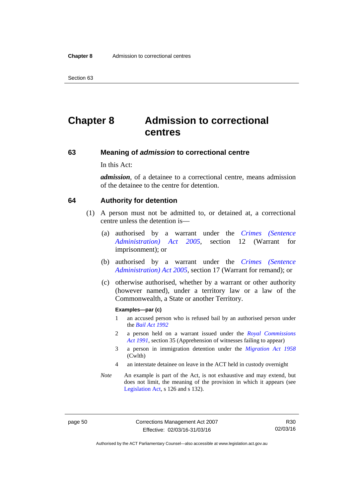Section 63

# **Chapter 8 Admission to correctional centres**

## **63 Meaning of** *admission* **to correctional centre**

In this Act:

*admission*, of a detainee to a correctional centre, means admission of the detainee to the centre for detention.

#### **64 Authority for detention**

- (1) A person must not be admitted to, or detained at, a correctional centre unless the detention is—
	- (a) authorised by a warrant under the *[Crimes \(Sentence](http://www.legislation.act.gov.au/a/2005-59)  [Administration\) Act 2005](http://www.legislation.act.gov.au/a/2005-59)*, section 12 (Warrant for imprisonment); or
	- (b) authorised by a warrant under the *[Crimes \(Sentence](http://www.legislation.act.gov.au/a/2005-59)  [Administration\) Act 2005](http://www.legislation.act.gov.au/a/2005-59)*, section 17 (Warrant for remand); or
	- (c) otherwise authorised, whether by a warrant or other authority (however named), under a territory law or a law of the Commonwealth, a State or another Territory.

#### **Examples—par (c)**

- 1 an accused person who is refused bail by an authorised person under the *[Bail Act 1992](http://www.legislation.act.gov.au/a/1992-8)*
- 2 a person held on a warrant issued under the *[Royal Commissions](http://www.legislation.act.gov.au/a/1991-1)  [Act 1991](http://www.legislation.act.gov.au/a/1991-1)*, section 35 (Apprehension of witnesses failing to appear)
- 3 a person in immigration detention under the *[Migration Act 1958](http://www.comlaw.gov.au/Series/C2004A07412)* (Cwlth)
- 4 an interstate detainee on leave in the ACT held in custody overnight
- *Note* An example is part of the Act, is not exhaustive and may extend, but does not limit, the meaning of the provision in which it appears (see [Legislation Act,](http://www.legislation.act.gov.au/a/2001-14) s 126 and s 132).

page 50 Corrections Management Act 2007 Effective: 02/03/16-31/03/16

R30 02/03/16

Authorised by the ACT Parliamentary Counsel—also accessible at www.legislation.act.gov.au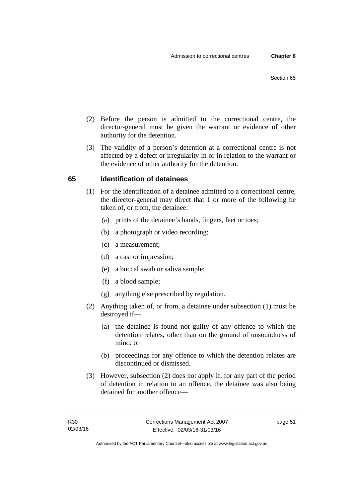- (2) Before the person is admitted to the correctional centre, the director-general must be given the warrant or evidence of other authority for the detention.
- (3) The validity of a person's detention at a correctional centre is not affected by a defect or irregularity in or in relation to the warrant or the evidence of other authority for the detention.

# **65 Identification of detainees**

- (1) For the identification of a detainee admitted to a correctional centre, the director-general may direct that 1 or more of the following be taken of, or from, the detainee:
	- (a) prints of the detainee's hands, fingers, feet or toes;
	- (b) a photograph or video recording;
	- (c) a measurement;
	- (d) a cast or impression;
	- (e) a buccal swab or saliva sample;
	- (f) a blood sample;
	- (g) anything else prescribed by regulation.
- (2) Anything taken of, or from, a detainee under subsection (1) must be destroyed if—
	- (a) the detainee is found not guilty of any offence to which the detention relates, other than on the ground of unsoundness of mind; or
	- (b) proceedings for any offence to which the detention relates are discontinued or dismissed.
- (3) However, subsection (2) does not apply if, for any part of the period of detention in relation to an offence, the detainee was also being detained for another offence—

page 51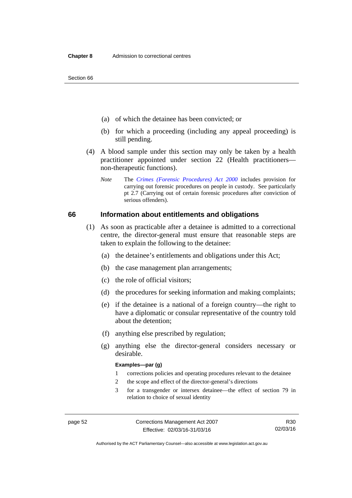Section 66

- (a) of which the detainee has been convicted; or
- (b) for which a proceeding (including any appeal proceeding) is still pending.
- (4) A blood sample under this section may only be taken by a health practitioner appointed under section 22 (Health practitioners non-therapeutic functions).
	- *Note* The *[Crimes \(Forensic Procedures\) Act 2000](http://www.legislation.act.gov.au/a/2000-61)* includes provision for carrying out forensic procedures on people in custody. See particularly pt 2.7 (Carrying out of certain forensic procedures after conviction of serious offenders).

## **66 Information about entitlements and obligations**

- (1) As soon as practicable after a detainee is admitted to a correctional centre, the director-general must ensure that reasonable steps are taken to explain the following to the detainee:
	- (a) the detainee's entitlements and obligations under this Act;
	- (b) the case management plan arrangements;
	- (c) the role of official visitors;
	- (d) the procedures for seeking information and making complaints;
	- (e) if the detainee is a national of a foreign country—the right to have a diplomatic or consular representative of the country told about the detention;
	- (f) anything else prescribed by regulation;
	- (g) anything else the director-general considers necessary or desirable.

#### **Examples—par (g)**

- 1 corrections policies and operating procedures relevant to the detainee
- 2 the scope and effect of the director-general's directions
- 3 for a transgender or intersex detainee—the effect of section 79 in relation to choice of sexual identity

Authorised by the ACT Parliamentary Counsel—also accessible at www.legislation.act.gov.au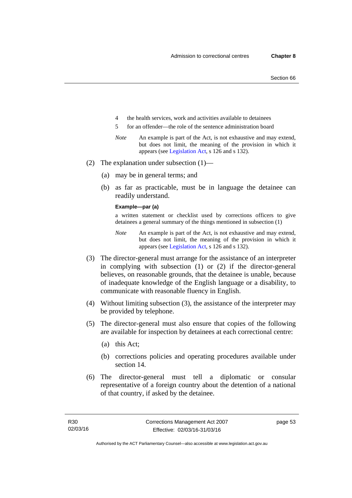- 4 the health services, work and activities available to detainees
- 5 for an offender—the role of the sentence administration board
- *Note* An example is part of the Act, is not exhaustive and may extend, but does not limit, the meaning of the provision in which it appears (see [Legislation Act,](http://www.legislation.act.gov.au/a/2001-14) s 126 and s 132).
- (2) The explanation under subsection (1)—
	- (a) may be in general terms; and
	- (b) as far as practicable, must be in language the detainee can readily understand.

#### **Example—par (a)**

a written statement or checklist used by corrections officers to give detainees a general summary of the things mentioned in subsection (1)

- *Note* An example is part of the Act, is not exhaustive and may extend, but does not limit, the meaning of the provision in which it appears (see [Legislation Act,](http://www.legislation.act.gov.au/a/2001-14) s 126 and s 132).
- (3) The director-general must arrange for the assistance of an interpreter in complying with subsection (1) or (2) if the director-general believes, on reasonable grounds, that the detainee is unable, because of inadequate knowledge of the English language or a disability, to communicate with reasonable fluency in English.
- (4) Without limiting subsection (3), the assistance of the interpreter may be provided by telephone.
- (5) The director-general must also ensure that copies of the following are available for inspection by detainees at each correctional centre:
	- (a) this Act;
	- (b) corrections policies and operating procedures available under section 14.
- (6) The director-general must tell a diplomatic or consular representative of a foreign country about the detention of a national of that country, if asked by the detainee.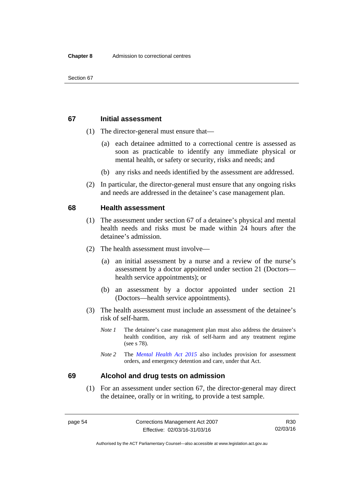#### **67 Initial assessment**

- (1) The director-general must ensure that—
	- (a) each detainee admitted to a correctional centre is assessed as soon as practicable to identify any immediate physical or mental health, or safety or security, risks and needs; and
	- (b) any risks and needs identified by the assessment are addressed.
- (2) In particular, the director-general must ensure that any ongoing risks and needs are addressed in the detainee's case management plan.

#### **68 Health assessment**

- (1) The assessment under section 67 of a detainee's physical and mental health needs and risks must be made within 24 hours after the detainee's admission.
- (2) The health assessment must involve—
	- (a) an initial assessment by a nurse and a review of the nurse's assessment by a doctor appointed under section 21 (Doctors health service appointments); or
	- (b) an assessment by a doctor appointed under section 21 (Doctors—health service appointments).
- (3) The health assessment must include an assessment of the detainee's risk of self-harm.
	- *Note 1* The detainee's case management plan must also address the detainee's health condition, any risk of self-harm and any treatment regime (see s 78).
	- *Note 2* The *[Mental Health Act 2015](http://www.legislation.act.gov.au/a/2015-38/default.asp)* also includes provision for assessment orders, and emergency detention and care, under that Act.

## **69 Alcohol and drug tests on admission**

 (1) For an assessment under section 67, the director-general may direct the detainee, orally or in writing, to provide a test sample.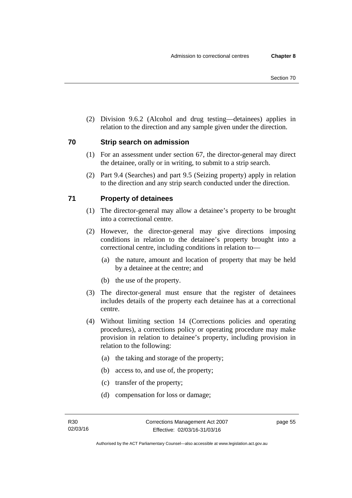(2) Division 9.6.2 (Alcohol and drug testing—detainees) applies in relation to the direction and any sample given under the direction.

## **70 Strip search on admission**

- (1) For an assessment under section 67, the director-general may direct the detainee, orally or in writing, to submit to a strip search.
- (2) Part 9.4 (Searches) and part 9.5 (Seizing property) apply in relation to the direction and any strip search conducted under the direction.

# **71 Property of detainees**

- (1) The director-general may allow a detainee's property to be brought into a correctional centre.
- (2) However, the director-general may give directions imposing conditions in relation to the detainee's property brought into a correctional centre, including conditions in relation to—
	- (a) the nature, amount and location of property that may be held by a detainee at the centre; and
	- (b) the use of the property.
- (3) The director-general must ensure that the register of detainees includes details of the property each detainee has at a correctional centre.
- (4) Without limiting section 14 (Corrections policies and operating procedures), a corrections policy or operating procedure may make provision in relation to detainee's property, including provision in relation to the following:
	- (a) the taking and storage of the property;
	- (b) access to, and use of, the property;
	- (c) transfer of the property;
	- (d) compensation for loss or damage;

page 55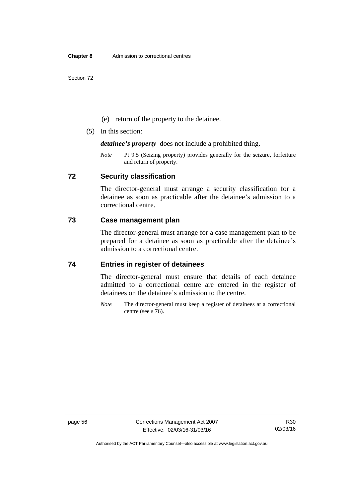Section 72

- (e) return of the property to the detainee.
- (5) In this section:

*detainee's property* does not include a prohibited thing.

*Note* Pt 9.5 (Seizing property) provides generally for the seizure, forfeiture and return of property.

## **72 Security classification**

The director-general must arrange a security classification for a detainee as soon as practicable after the detainee's admission to a correctional centre.

## **73 Case management plan**

The director-general must arrange for a case management plan to be prepared for a detainee as soon as practicable after the detainee's admission to a correctional centre.

# **74 Entries in register of detainees**

The director-general must ensure that details of each detainee admitted to a correctional centre are entered in the register of detainees on the detainee's admission to the centre.

*Note* The director-general must keep a register of detainees at a correctional centre (see s 76).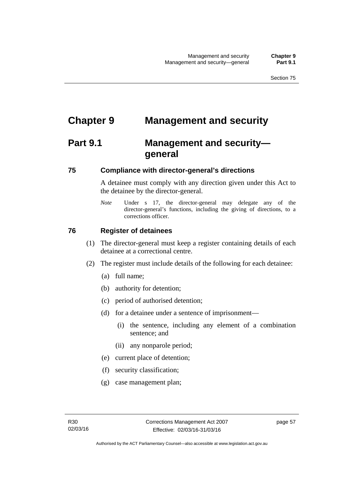# **Chapter 9 Management and security**

# **Part 9.1 Management and security general**

# **75 Compliance with director-general's directions**

A detainee must comply with any direction given under this Act to the detainee by the director-general.

*Note* Under s 17, the director-general may delegate any of the director-general's functions, including the giving of directions, to a corrections officer.

# **76 Register of detainees**

- (1) The director-general must keep a register containing details of each detainee at a correctional centre.
- (2) The register must include details of the following for each detainee:
	- (a) full name;
	- (b) authority for detention;
	- (c) period of authorised detention;
	- (d) for a detainee under a sentence of imprisonment—
		- (i) the sentence, including any element of a combination sentence; and
		- (ii) any nonparole period;
	- (e) current place of detention;
	- (f) security classification;
	- (g) case management plan;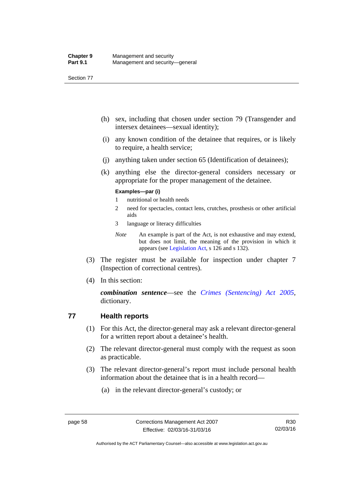Section 77

- (h) sex, including that chosen under section 79 (Transgender and intersex detainees—sexual identity);
- (i) any known condition of the detainee that requires, or is likely to require, a health service;
- (j) anything taken under section 65 (Identification of detainees);
- (k) anything else the director-general considers necessary or appropriate for the proper management of the detainee.

#### **Examples—par (i)**

- 1 nutritional or health needs
- 2 need for spectacles, contact lens, crutches, prosthesis or other artificial aids
- 3 language or literacy difficulties
- *Note* An example is part of the Act, is not exhaustive and may extend, but does not limit, the meaning of the provision in which it appears (see [Legislation Act,](http://www.legislation.act.gov.au/a/2001-14) s 126 and s 132).
- (3) The register must be available for inspection under chapter 7 (Inspection of correctional centres).
- (4) In this section:

*combination sentence*—see the *[Crimes \(Sentencing\) Act 2005](http://www.legislation.act.gov.au/a/2005-58)*, dictionary.

# **77 Health reports**

- (1) For this Act, the director-general may ask a relevant director-general for a written report about a detainee's health.
- (2) The relevant director-general must comply with the request as soon as practicable.
- (3) The relevant director-general's report must include personal health information about the detainee that is in a health record—
	- (a) in the relevant director-general's custody; or

Authorised by the ACT Parliamentary Counsel—also accessible at www.legislation.act.gov.au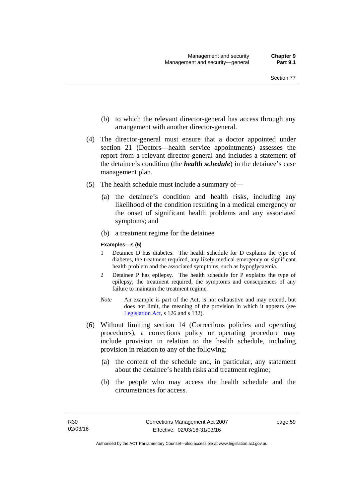- (b) to which the relevant director-general has access through any arrangement with another director-general.
- (4) The director-general must ensure that a doctor appointed under section 21 (Doctors—health service appointments) assesses the report from a relevant director-general and includes a statement of the detainee's condition (the *health schedule*) in the detainee's case management plan.
- (5) The health schedule must include a summary of—
	- (a) the detainee's condition and health risks, including any likelihood of the condition resulting in a medical emergency or the onset of significant health problems and any associated symptoms; and
	- (b) a treatment regime for the detainee

#### **Examples—s (5)**

- 1 Detainee D has diabetes. The health schedule for D explains the type of diabetes, the treatment required, any likely medical emergency or significant health problem and the associated symptoms, such as hypoglycaemia.
- 2 Detainee P has epilepsy. The health schedule for P explains the type of epilepsy, the treatment required, the symptoms and consequences of any failure to maintain the treatment regime.
- *Note* An example is part of the Act, is not exhaustive and may extend, but does not limit, the meaning of the provision in which it appears (see [Legislation Act,](http://www.legislation.act.gov.au/a/2001-14) s 126 and s 132).
- (6) Without limiting section 14 (Corrections policies and operating procedures), a corrections policy or operating procedure may include provision in relation to the health schedule, including provision in relation to any of the following:
	- (a) the content of the schedule and, in particular, any statement about the detainee's health risks and treatment regime;
	- (b) the people who may access the health schedule and the circumstances for access.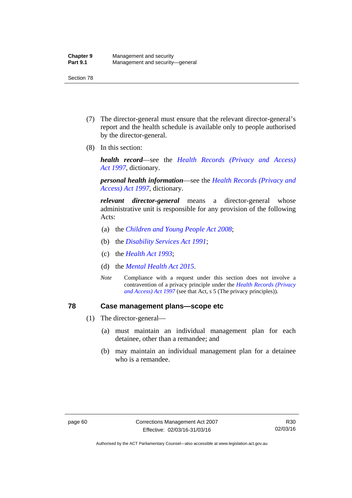- (7) The director-general must ensure that the relevant director-general's report and the health schedule is available only to people authorised by the director-general.
- (8) In this section:

*health record*—see the *[Health Records \(Privacy and Access\)](http://www.legislation.act.gov.au/a/1997-125)  [Act 1997](http://www.legislation.act.gov.au/a/1997-125)*, dictionary.

*personal health information*—see the *[Health Records \(Privacy and](http://www.legislation.act.gov.au/a/1997-125)  [Access\) Act 1997](http://www.legislation.act.gov.au/a/1997-125)*, dictionary.

*relevant director-general* means a director-general whose administrative unit is responsible for any provision of the following Acts:

- (a) the *[Children and Young People Act 2008](http://www.legislation.act.gov.au/a/2008-19)*;
- (b) the *[Disability Services Act 1991](http://www.legislation.act.gov.au/a/1991-98)*;
- (c) the *[Health Act 1993](http://www.legislation.act.gov.au/a/1993-13)*;
- (d) the *[Mental Health Act 2015](http://www.legislation.act.gov.au/a/2015-38/default.asp)*.
- *Note* Compliance with a request under this section does not involve a contravention of a privacy principle under the *[Health Records \(Privacy](http://www.legislation.act.gov.au/a/1997-125)  [and Access\) Act 1997](http://www.legislation.act.gov.au/a/1997-125)* (see that Act, s 5 (The privacy principles))*.*

## **78 Case management plans—scope etc**

- (1) The director-general—
	- (a) must maintain an individual management plan for each detainee, other than a remandee; and
	- (b) may maintain an individual management plan for a detainee who is a remandee.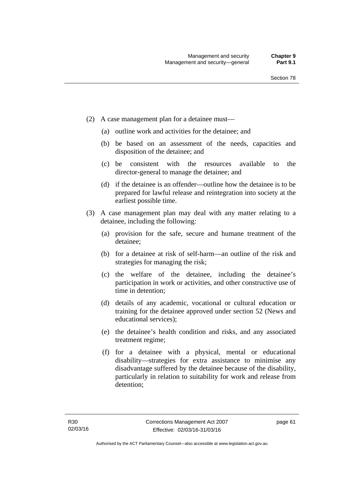- (2) A case management plan for a detainee must—
	- (a) outline work and activities for the detainee; and
	- (b) be based on an assessment of the needs, capacities and disposition of the detainee; and
	- (c) be consistent with the resources available to the director-general to manage the detainee; and
	- (d) if the detainee is an offender—outline how the detainee is to be prepared for lawful release and reintegration into society at the earliest possible time.
- (3) A case management plan may deal with any matter relating to a detainee, including the following:
	- (a) provision for the safe, secure and humane treatment of the detainee;
	- (b) for a detainee at risk of self-harm—an outline of the risk and strategies for managing the risk;
	- (c) the welfare of the detainee, including the detainee's participation in work or activities, and other constructive use of time in detention;
	- (d) details of any academic, vocational or cultural education or training for the detainee approved under section 52 (News and educational services);
	- (e) the detainee's health condition and risks, and any associated treatment regime;
	- (f) for a detainee with a physical, mental or educational disability—strategies for extra assistance to minimise any disadvantage suffered by the detainee because of the disability, particularly in relation to suitability for work and release from detention;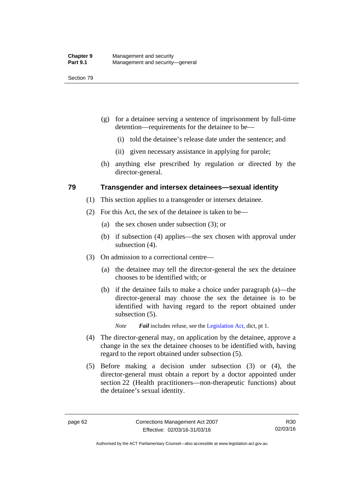- (g) for a detainee serving a sentence of imprisonment by full-time detention—requirements for the detainee to be—
	- (i) told the detainee's release date under the sentence; and
	- (ii) given necessary assistance in applying for parole;
- (h) anything else prescribed by regulation or directed by the director-general.

## **79 Transgender and intersex detainees—sexual identity**

- (1) This section applies to a transgender or intersex detainee.
- (2) For this Act, the sex of the detainee is taken to be—
	- (a) the sex chosen under subsection (3); or
	- (b) if subsection (4) applies—the sex chosen with approval under subsection (4).
- (3) On admission to a correctional centre—
	- (a) the detainee may tell the director-general the sex the detainee chooses to be identified with; or
	- (b) if the detainee fails to make a choice under paragraph (a)—the director-general may choose the sex the detainee is to be identified with having regard to the report obtained under subsection  $(5)$ .

*Note Fail* includes refuse, see the [Legislation Act,](http://www.legislation.act.gov.au/a/2001-14) dict, pt 1.

- (4) The director-general may, on application by the detainee, approve a change in the sex the detainee chooses to be identified with, having regard to the report obtained under subsection (5).
- (5) Before making a decision under subsection (3) or (4), the director-general must obtain a report by a doctor appointed under section 22 (Health practitioners—non-therapeutic functions) about the detainee's sexual identity.

Authorised by the ACT Parliamentary Counsel—also accessible at www.legislation.act.gov.au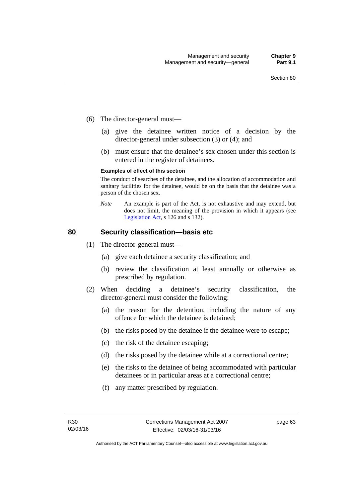- (6) The director-general must—
	- (a) give the detainee written notice of a decision by the director-general under subsection (3) or (4); and
	- (b) must ensure that the detainee's sex chosen under this section is entered in the register of detainees.

#### **Examples of effect of this section**

The conduct of searches of the detainee, and the allocation of accommodation and sanitary facilities for the detainee, would be on the basis that the detainee was a person of the chosen sex.

*Note* An example is part of the Act, is not exhaustive and may extend, but does not limit, the meaning of the provision in which it appears (see [Legislation Act,](http://www.legislation.act.gov.au/a/2001-14) s 126 and s 132).

## **80 Security classification—basis etc**

- (1) The director-general must—
	- (a) give each detainee a security classification; and
	- (b) review the classification at least annually or otherwise as prescribed by regulation.
- (2) When deciding a detainee's security classification, the director-general must consider the following:
	- (a) the reason for the detention, including the nature of any offence for which the detainee is detained;
	- (b) the risks posed by the detainee if the detainee were to escape;
	- (c) the risk of the detainee escaping;
	- (d) the risks posed by the detainee while at a correctional centre;
	- (e) the risks to the detainee of being accommodated with particular detainees or in particular areas at a correctional centre;
	- (f) any matter prescribed by regulation.

page 63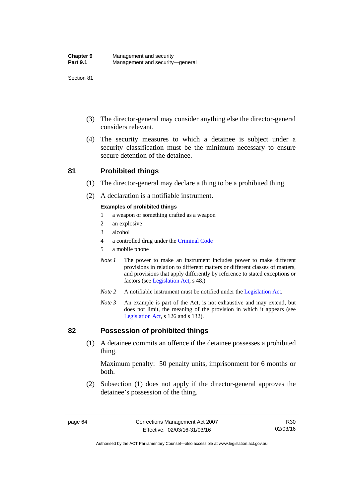- (3) The director-general may consider anything else the director-general considers relevant.
- (4) The security measures to which a detainee is subject under a security classification must be the minimum necessary to ensure secure detention of the detainee.

## **81 Prohibited things**

- (1) The director-general may declare a thing to be a prohibited thing.
- (2) A declaration is a notifiable instrument.

### **Examples of prohibited things**

- 1 a weapon or something crafted as a weapon
- 2 an explosive
- 3 alcohol
- 4 a controlled drug under the [Criminal Code](http://www.legislation.act.gov.au/a/2002-51)
- 5 a mobile phone
- *Note 1* The power to make an instrument includes power to make different provisions in relation to different matters or different classes of matters, and provisions that apply differently by reference to stated exceptions or factors (see [Legislation Act](http://www.legislation.act.gov.au/a/2001-14), s 48.)
- *Note 2* A notifiable instrument must be notified under the [Legislation Act](http://www.legislation.act.gov.au/a/2001-14).
- *Note 3* An example is part of the Act, is not exhaustive and may extend, but does not limit, the meaning of the provision in which it appears (see [Legislation Act,](http://www.legislation.act.gov.au/a/2001-14) s 126 and s 132).

## **82 Possession of prohibited things**

 (1) A detainee commits an offence if the detainee possesses a prohibited thing.

Maximum penalty: 50 penalty units, imprisonment for 6 months or both.

 (2) Subsection (1) does not apply if the director-general approves the detainee's possession of the thing.

Authorised by the ACT Parliamentary Counsel—also accessible at www.legislation.act.gov.au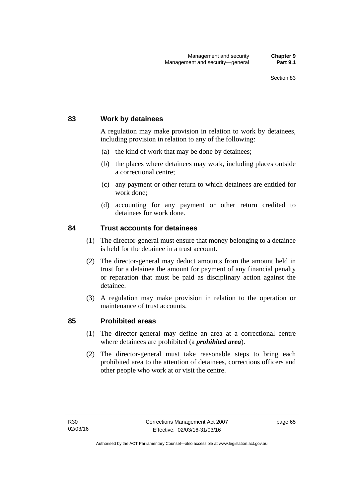## **83 Work by detainees**

A regulation may make provision in relation to work by detainees, including provision in relation to any of the following:

- (a) the kind of work that may be done by detainees;
- (b) the places where detainees may work, including places outside a correctional centre;
- (c) any payment or other return to which detainees are entitled for work done;
- (d) accounting for any payment or other return credited to detainees for work done.

## **84 Trust accounts for detainees**

- (1) The director-general must ensure that money belonging to a detainee is held for the detainee in a trust account.
- (2) The director-general may deduct amounts from the amount held in trust for a detainee the amount for payment of any financial penalty or reparation that must be paid as disciplinary action against the detainee.
- (3) A regulation may make provision in relation to the operation or maintenance of trust accounts.

## **85 Prohibited areas**

- (1) The director-general may define an area at a correctional centre where detainees are prohibited (a *prohibited area*).
- (2) The director-general must take reasonable steps to bring each prohibited area to the attention of detainees, corrections officers and other people who work at or visit the centre.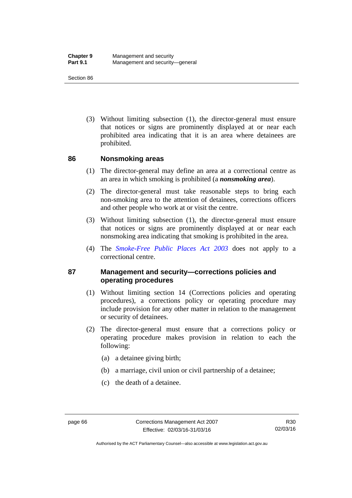(3) Without limiting subsection (1), the director-general must ensure that notices or signs are prominently displayed at or near each prohibited area indicating that it is an area where detainees are prohibited.

## **86 Nonsmoking areas**

- (1) The director-general may define an area at a correctional centre as an area in which smoking is prohibited (a *nonsmoking area*).
- (2) The director-general must take reasonable steps to bring each non-smoking area to the attention of detainees, corrections officers and other people who work at or visit the centre.
- (3) Without limiting subsection (1), the director-general must ensure that notices or signs are prominently displayed at or near each nonsmoking area indicating that smoking is prohibited in the area.
- (4) The *[Smoke-Free Public Places Act 2003](http://www.legislation.act.gov.au/a/2003-51)* does not apply to a correctional centre.

## **87 Management and security—corrections policies and operating procedures**

- (1) Without limiting section 14 (Corrections policies and operating procedures), a corrections policy or operating procedure may include provision for any other matter in relation to the management or security of detainees.
- (2) The director-general must ensure that a corrections policy or operating procedure makes provision in relation to each the following:
	- (a) a detainee giving birth;
	- (b) a marriage, civil union or civil partnership of a detainee;
	- (c) the death of a detainee.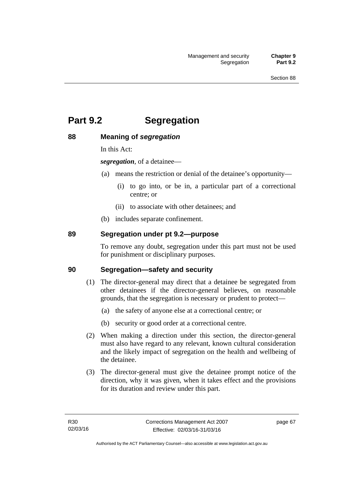# **Part 9.2 Segregation**

## **88 Meaning of** *segregation*

In this Act:

*segregation*, of a detainee—

- (a) means the restriction or denial of the detainee's opportunity—
	- (i) to go into, or be in, a particular part of a correctional centre; or
	- (ii) to associate with other detainees; and
- (b) includes separate confinement.

## **89 Segregation under pt 9.2—purpose**

To remove any doubt, segregation under this part must not be used for punishment or disciplinary purposes.

## **90 Segregation—safety and security**

- (1) The director-general may direct that a detainee be segregated from other detainees if the director-general believes, on reasonable grounds, that the segregation is necessary or prudent to protect—
	- (a) the safety of anyone else at a correctional centre; or
	- (b) security or good order at a correctional centre.
- (2) When making a direction under this section, the director-general must also have regard to any relevant, known cultural consideration and the likely impact of segregation on the health and wellbeing of the detainee.
- (3) The director-general must give the detainee prompt notice of the direction, why it was given, when it takes effect and the provisions for its duration and review under this part.

page 67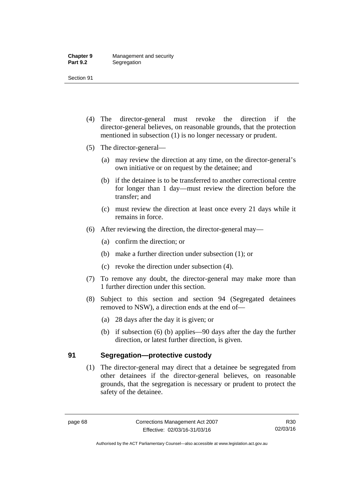- (4) The director-general must revoke the direction if the director-general believes, on reasonable grounds, that the protection mentioned in subsection (1) is no longer necessary or prudent.
- (5) The director-general—
	- (a) may review the direction at any time, on the director-general's own initiative or on request by the detainee; and
	- (b) if the detainee is to be transferred to another correctional centre for longer than 1 day—must review the direction before the transfer; and
	- (c) must review the direction at least once every 21 days while it remains in force.
- (6) After reviewing the direction, the director-general may—
	- (a) confirm the direction; or
	- (b) make a further direction under subsection (1); or
	- (c) revoke the direction under subsection (4).
- (7) To remove any doubt, the director-general may make more than 1 further direction under this section.
- (8) Subject to this section and section 94 (Segregated detainees removed to NSW), a direction ends at the end of—
	- (a) 28 days after the day it is given; or
	- (b) if subsection (6) (b) applies—90 days after the day the further direction, or latest further direction, is given.

## **91 Segregation—protective custody**

(1) The director-general may direct that a detainee be segregated from other detainees if the director-general believes, on reasonable grounds, that the segregation is necessary or prudent to protect the safety of the detainee.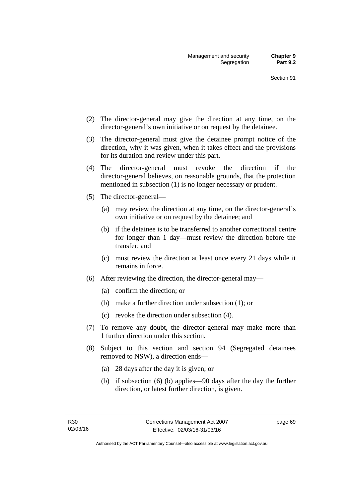- (2) The director-general may give the direction at any time, on the director-general's own initiative or on request by the detainee.
- (3) The director-general must give the detainee prompt notice of the direction, why it was given, when it takes effect and the provisions for its duration and review under this part.
- (4) The director-general must revoke the direction if the director-general believes, on reasonable grounds, that the protection mentioned in subsection (1) is no longer necessary or prudent.
- (5) The director-general—
	- (a) may review the direction at any time, on the director-general's own initiative or on request by the detainee; and
	- (b) if the detainee is to be transferred to another correctional centre for longer than 1 day—must review the direction before the transfer; and
	- (c) must review the direction at least once every 21 days while it remains in force.
- (6) After reviewing the direction, the director-general may—
	- (a) confirm the direction; or
	- (b) make a further direction under subsection (1); or
	- (c) revoke the direction under subsection (4).
- (7) To remove any doubt, the director-general may make more than 1 further direction under this section.
- (8) Subject to this section and section 94 (Segregated detainees removed to NSW), a direction ends—
	- (a) 28 days after the day it is given; or
	- (b) if subsection (6) (b) applies—90 days after the day the further direction, or latest further direction, is given.

page 69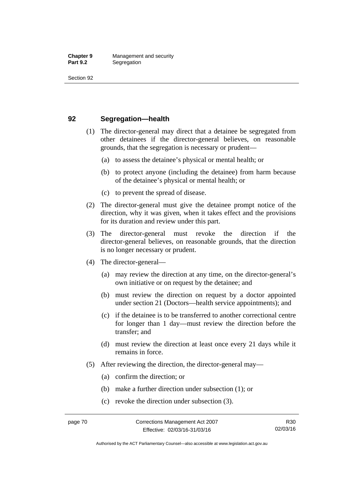## **92 Segregation—health**

- (1) The director-general may direct that a detainee be segregated from other detainees if the director-general believes, on reasonable grounds, that the segregation is necessary or prudent—
	- (a) to assess the detainee's physical or mental health; or
	- (b) to protect anyone (including the detainee) from harm because of the detainee's physical or mental health; or
	- (c) to prevent the spread of disease.
- (2) The director-general must give the detainee prompt notice of the direction, why it was given, when it takes effect and the provisions for its duration and review under this part.
- (3) The director-general must revoke the direction if the director-general believes, on reasonable grounds, that the direction is no longer necessary or prudent.
- (4) The director-general—
	- (a) may review the direction at any time, on the director-general's own initiative or on request by the detainee; and
	- (b) must review the direction on request by a doctor appointed under section 21 (Doctors—health service appointments); and
	- (c) if the detainee is to be transferred to another correctional centre for longer than 1 day—must review the direction before the transfer; and
	- (d) must review the direction at least once every 21 days while it remains in force.
- (5) After reviewing the direction, the director-general may—
	- (a) confirm the direction; or
	- (b) make a further direction under subsection (1); or
	- (c) revoke the direction under subsection (3).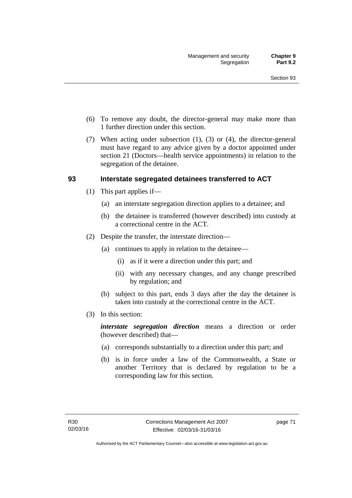- (6) To remove any doubt, the director-general may make more than 1 further direction under this section.
- (7) When acting under subsection (1), (3) or (4), the director-general must have regard to any advice given by a doctor appointed under section 21 (Doctors—health service appointments) in relation to the segregation of the detainee.

## **93 Interstate segregated detainees transferred to ACT**

- (1) This part applies if—
	- (a) an interstate segregation direction applies to a detainee; and
	- (b) the detainee is transferred (however described) into custody at a correctional centre in the ACT.
- (2) Despite the transfer, the interstate direction—
	- (a) continues to apply in relation to the detainee—
		- (i) as if it were a direction under this part; and
		- (ii) with any necessary changes, and any change prescribed by regulation; and
	- (b) subject to this part, ends 3 days after the day the detainee is taken into custody at the correctional centre in the ACT.
- (3) In this section:

*interstate segregation direction* means a direction or order (however described) that—

- (a) corresponds substantially to a direction under this part; and
- (b) is in force under a law of the Commonwealth, a State or another Territory that is declared by regulation to be a corresponding law for this section.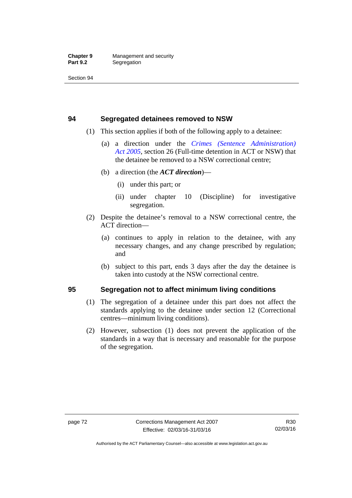## **94 Segregated detainees removed to NSW**

- (1) This section applies if both of the following apply to a detainee:
	- (a) a direction under the *[Crimes \(Sentence Administration\)](http://www.legislation.act.gov.au/a/2005-59)  [Act 2005](http://www.legislation.act.gov.au/a/2005-59)*, section 26 (Full-time detention in ACT or NSW) that the detainee be removed to a NSW correctional centre;
	- (b) a direction (the *ACT direction*)—
		- (i) under this part; or
		- (ii) under chapter 10 (Discipline) for investigative segregation.
- (2) Despite the detainee's removal to a NSW correctional centre, the ACT direction—
	- (a) continues to apply in relation to the detainee, with any necessary changes, and any change prescribed by regulation; and
	- (b) subject to this part, ends 3 days after the day the detainee is taken into custody at the NSW correctional centre.

## **95 Segregation not to affect minimum living conditions**

- (1) The segregation of a detainee under this part does not affect the standards applying to the detainee under section 12 (Correctional centres—minimum living conditions).
- (2) However, subsection (1) does not prevent the application of the standards in a way that is necessary and reasonable for the purpose of the segregation.

Authorised by the ACT Parliamentary Counsel—also accessible at www.legislation.act.gov.au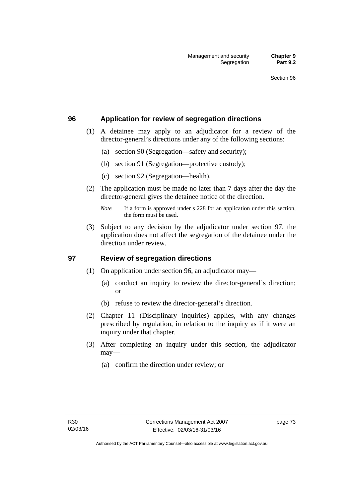## **96 Application for review of segregation directions**

- (1) A detainee may apply to an adjudicator for a review of the director-general's directions under any of the following sections:
	- (a) section 90 (Segregation—safety and security);
	- (b) section 91 (Segregation—protective custody);
	- (c) section 92 (Segregation—health).
- (2) The application must be made no later than 7 days after the day the director-general gives the detainee notice of the direction.

 (3) Subject to any decision by the adjudicator under section 97, the application does not affect the segregation of the detainee under the direction under review.

## **97 Review of segregation directions**

- (1) On application under section 96, an adjudicator may—
	- (a) conduct an inquiry to review the director-general's direction; or
	- (b) refuse to review the director-general's direction.
- (2) Chapter 11 (Disciplinary inquiries) applies, with any changes prescribed by regulation, in relation to the inquiry as if it were an inquiry under that chapter.
- (3) After completing an inquiry under this section, the adjudicator may—
	- (a) confirm the direction under review; or

*Note* If a form is approved under s 228 for an application under this section, the form must be used.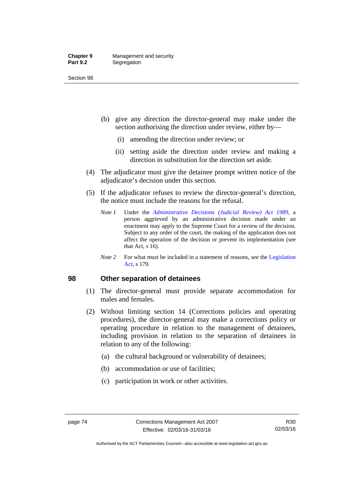#### **Chapter 9** Management and security<br>**Part 9.2** Segregation **Segregation**

Section 98

- (b) give any direction the director-general may make under the section authorising the direction under review, either by—
	- (i) amending the direction under review; or
	- (ii) setting aside the direction under review and making a direction in substitution for the direction set aside.
- (4) The adjudicator must give the detainee prompt written notice of the adjudicator's decision under this section.
- (5) If the adjudicator refuses to review the director-general's direction, the notice must include the reasons for the refusal.
	- *Note 1* Under the *[Administrative Decisions \(Judicial Review\) Act 1989](http://www.legislation.act.gov.au/a/alt_a1989-33co)*, a person aggrieved by an administrative decision made under an enactment may apply to the Supreme Court for a review of the decision. Subject to any order of the court, the making of the application does not affect the operation of the decision or prevent its implementation (see that Act, s 16).
	- *Note* 2 For what must be included in a statement of reasons, see the Legislation [Act,](http://www.legislation.act.gov.au/a/2001-14) s 179.

## **98 Other separation of detainees**

- (1) The director-general must provide separate accommodation for males and females.
- (2) Without limiting section 14 (Corrections policies and operating procedures), the director-general may make a corrections policy or operating procedure in relation to the management of detainees, including provision in relation to the separation of detainees in relation to any of the following:
	- (a) the cultural background or vulnerability of detainees;
	- (b) accommodation or use of facilities;
	- (c) participation in work or other activities.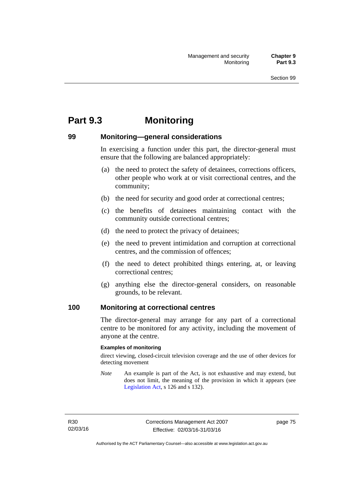# **Part 9.3 Monitoring**

## **99 Monitoring—general considerations**

In exercising a function under this part, the director-general must ensure that the following are balanced appropriately:

- (a) the need to protect the safety of detainees, corrections officers, other people who work at or visit correctional centres, and the community;
- (b) the need for security and good order at correctional centres;
- (c) the benefits of detainees maintaining contact with the community outside correctional centres;
- (d) the need to protect the privacy of detainees;
- (e) the need to prevent intimidation and corruption at correctional centres, and the commission of offences;
- (f) the need to detect prohibited things entering, at, or leaving correctional centres;
- (g) anything else the director-general considers, on reasonable grounds, to be relevant.

## **100 Monitoring at correctional centres**

The director-general may arrange for any part of a correctional centre to be monitored for any activity, including the movement of anyone at the centre.

#### **Examples of monitoring**

direct viewing, closed-circuit television coverage and the use of other devices for detecting movement

*Note* An example is part of the Act, is not exhaustive and may extend, but does not limit, the meaning of the provision in which it appears (see [Legislation Act,](http://www.legislation.act.gov.au/a/2001-14) s 126 and s 132).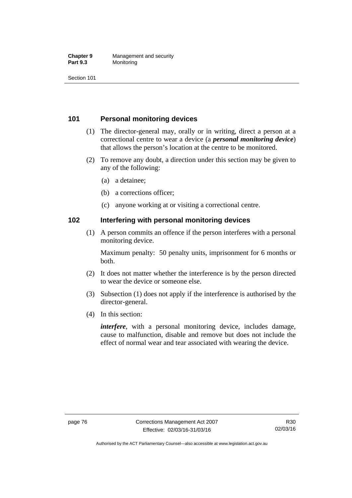#### **Chapter 9** Management and security<br>**Part 9.3** Monitoring **Monitoring**

Section 101

## **101 Personal monitoring devices**

- (1) The director-general may, orally or in writing, direct a person at a correctional centre to wear a device (a *personal monitoring device*) that allows the person's location at the centre to be monitored.
- (2) To remove any doubt, a direction under this section may be given to any of the following:
	- (a) a detainee;
	- (b) a corrections officer;
	- (c) anyone working at or visiting a correctional centre.

## **102 Interfering with personal monitoring devices**

 (1) A person commits an offence if the person interferes with a personal monitoring device.

Maximum penalty: 50 penalty units, imprisonment for 6 months or both.

- (2) It does not matter whether the interference is by the person directed to wear the device or someone else.
- (3) Subsection (1) does not apply if the interference is authorised by the director-general.
- (4) In this section:

*interfere*, with a personal monitoring device, includes damage, cause to malfunction, disable and remove but does not include the effect of normal wear and tear associated with wearing the device.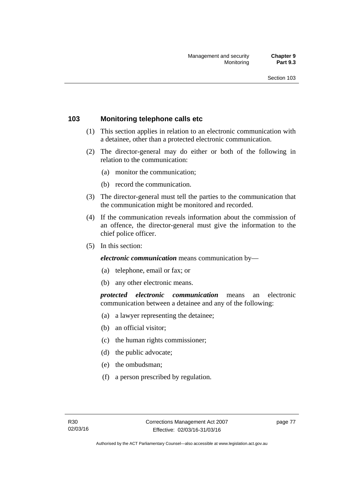## **103 Monitoring telephone calls etc**

- (1) This section applies in relation to an electronic communication with a detainee, other than a protected electronic communication.
- (2) The director-general may do either or both of the following in relation to the communication:
	- (a) monitor the communication;
	- (b) record the communication.
- (3) The director-general must tell the parties to the communication that the communication might be monitored and recorded.
- (4) If the communication reveals information about the commission of an offence, the director-general must give the information to the chief police officer.
- (5) In this section:

*electronic communication* means communication by—

- (a) telephone, email or fax; or
- (b) any other electronic means.

*protected electronic communication* means an electronic communication between a detainee and any of the following:

- (a) a lawyer representing the detainee;
- (b) an official visitor:
- (c) the human rights commissioner;
- (d) the public advocate;
- (e) the ombudsman;
- (f) a person prescribed by regulation.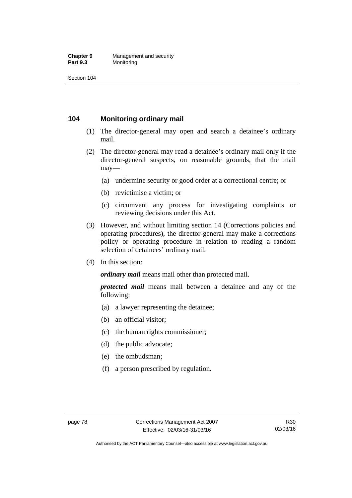#### **Chapter 9** Management and security<br>**Part 9.3** Monitoring **Monitoring**

Section 104

## **104 Monitoring ordinary mail**

- (1) The director-general may open and search a detainee's ordinary mail.
- (2) The director-general may read a detainee's ordinary mail only if the director-general suspects, on reasonable grounds, that the mail may—
	- (a) undermine security or good order at a correctional centre; or
	- (b) revictimise a victim; or
	- (c) circumvent any process for investigating complaints or reviewing decisions under this Act.
- (3) However, and without limiting section 14 (Corrections policies and operating procedures), the director-general may make a corrections policy or operating procedure in relation to reading a random selection of detainees' ordinary mail.
- (4) In this section:

*ordinary mail* means mail other than protected mail.

*protected mail* means mail between a detainee and any of the following:

- (a) a lawyer representing the detainee;
- (b) an official visitor;
- (c) the human rights commissioner;
- (d) the public advocate;
- (e) the ombudsman;
- (f) a person prescribed by regulation.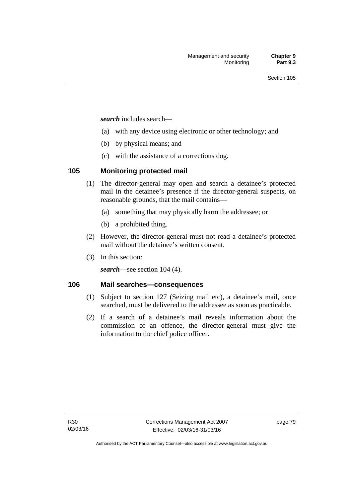*search* includes search—

- (a) with any device using electronic or other technology; and
- (b) by physical means; and
- (c) with the assistance of a corrections dog.

## **105 Monitoring protected mail**

- (1) The director-general may open and search a detainee's protected mail in the detainee's presence if the director-general suspects, on reasonable grounds, that the mail contains—
	- (a) something that may physically harm the addressee; or
	- (b) a prohibited thing.
- (2) However, the director-general must not read a detainee's protected mail without the detainee's written consent.
- (3) In this section:

*search*—see section 104 (4).

## **106 Mail searches—consequences**

- (1) Subject to section 127 (Seizing mail etc), a detainee's mail, once searched, must be delivered to the addressee as soon as practicable.
- (2) If a search of a detainee's mail reveals information about the commission of an offence, the director-general must give the information to the chief police officer.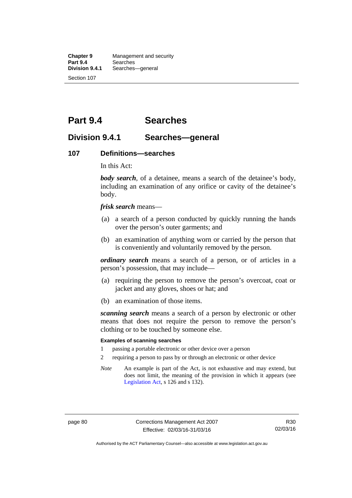**Chapter 9** Management and security<br>**Part 9.4** Searches **Part 9.4 Searches**<br>**Division 9.4.1** Searches Searches—general Section 107

# **Part 9.4 Searches**

## **Division 9.4.1 Searches—general**

#### **107 Definitions—searches**

In this Act:

*body search*, of a detainee, means a search of the detainee's body, including an examination of any orifice or cavity of the detainee's body.

*frisk search* means—

- (a) a search of a person conducted by quickly running the hands over the person's outer garments; and
- (b) an examination of anything worn or carried by the person that is conveniently and voluntarily removed by the person.

*ordinary search* means a search of a person, or of articles in a person's possession, that may include—

- (a) requiring the person to remove the person's overcoat, coat or jacket and any gloves, shoes or hat; and
- (b) an examination of those items.

*scanning search* means a search of a person by electronic or other means that does not require the person to remove the person's clothing or to be touched by someone else.

#### **Examples of scanning searches**

- 1 passing a portable electronic or other device over a person
- 2 requiring a person to pass by or through an electronic or other device
- *Note* An example is part of the Act, is not exhaustive and may extend, but does not limit, the meaning of the provision in which it appears (see [Legislation Act,](http://www.legislation.act.gov.au/a/2001-14) s 126 and s 132).

Authorised by the ACT Parliamentary Counsel—also accessible at www.legislation.act.gov.au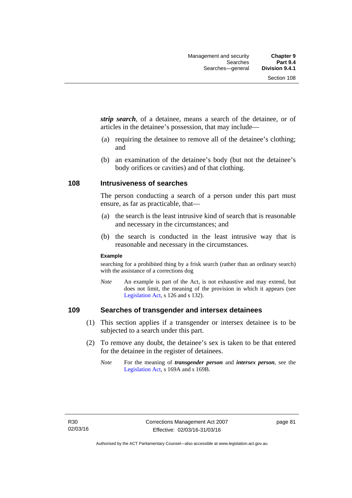*strip search*, of a detainee, means a search of the detainee, or of articles in the detainee's possession, that may include—

- (a) requiring the detainee to remove all of the detainee's clothing; and
- (b) an examination of the detainee's body (but not the detainee's body orifices or cavities) and of that clothing.

## **108 Intrusiveness of searches**

The person conducting a search of a person under this part must ensure, as far as practicable, that—

- (a) the search is the least intrusive kind of search that is reasonable and necessary in the circumstances; and
- (b) the search is conducted in the least intrusive way that is reasonable and necessary in the circumstances.

#### **Example**

searching for a prohibited thing by a frisk search (rather than an ordinary search) with the assistance of a corrections dog

*Note* An example is part of the Act, is not exhaustive and may extend, but does not limit, the meaning of the provision in which it appears (see [Legislation Act,](http://www.legislation.act.gov.au/a/2001-14) s 126 and s 132).

## **109 Searches of transgender and intersex detainees**

- (1) This section applies if a transgender or intersex detainee is to be subjected to a search under this part.
- (2) To remove any doubt, the detainee's sex is taken to be that entered for the detainee in the register of detainees.
	- *Note* For the meaning of *transgender person* and *intersex person*, see the [Legislation Act,](http://www.legislation.act.gov.au/a/2001-14) s 169A and s 169B.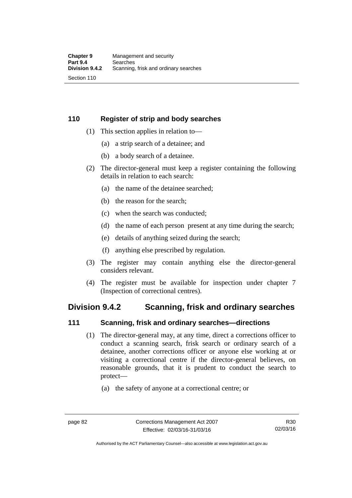## **110 Register of strip and body searches**

- (1) This section applies in relation to—
	- (a) a strip search of a detainee; and
	- (b) a body search of a detainee.
- (2) The director-general must keep a register containing the following details in relation to each search:
	- (a) the name of the detainee searched;
	- (b) the reason for the search;
	- (c) when the search was conducted;
	- (d) the name of each person present at any time during the search;
	- (e) details of anything seized during the search;
	- (f) anything else prescribed by regulation.
- (3) The register may contain anything else the director-general considers relevant.
- (4) The register must be available for inspection under chapter 7 (Inspection of correctional centres).

## **Division 9.4.2 Scanning, frisk and ordinary searches**

## **111 Scanning, frisk and ordinary searches—directions**

- (1) The director-general may, at any time, direct a corrections officer to conduct a scanning search, frisk search or ordinary search of a detainee, another corrections officer or anyone else working at or visiting a correctional centre if the director-general believes, on reasonable grounds, that it is prudent to conduct the search to protect—
	- (a) the safety of anyone at a correctional centre; or

Authorised by the ACT Parliamentary Counsel—also accessible at www.legislation.act.gov.au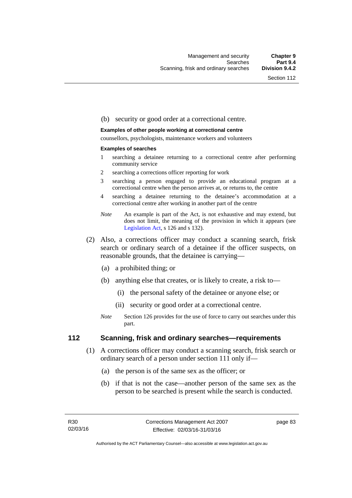#### (b) security or good order at a correctional centre.

#### **Examples of other people working at correctional centre**

counsellors, psychologists, maintenance workers and volunteers

#### **Examples of searches**

- 1 searching a detainee returning to a correctional centre after performing community service
- 2 searching a corrections officer reporting for work
- 3 searching a person engaged to provide an educational program at a correctional centre when the person arrives at, or returns to, the centre
- 4 searching a detainee returning to the detainee's accommodation at a correctional centre after working in another part of the centre
- *Note* An example is part of the Act, is not exhaustive and may extend, but does not limit, the meaning of the provision in which it appears (see [Legislation Act,](http://www.legislation.act.gov.au/a/2001-14) s 126 and s 132).
- (2) Also, a corrections officer may conduct a scanning search, frisk search or ordinary search of a detainee if the officer suspects, on reasonable grounds, that the detainee is carrying—
	- (a) a prohibited thing; or
	- (b) anything else that creates, or is likely to create, a risk to—
		- (i) the personal safety of the detainee or anyone else; or
		- (ii) security or good order at a correctional centre.
	- *Note* Section 126 provides for the use of force to carry out searches under this part.

## **112 Scanning, frisk and ordinary searches—requirements**

- (1) A corrections officer may conduct a scanning search, frisk search or ordinary search of a person under section 111 only if—
	- (a) the person is of the same sex as the officer; or
	- (b) if that is not the case—another person of the same sex as the person to be searched is present while the search is conducted.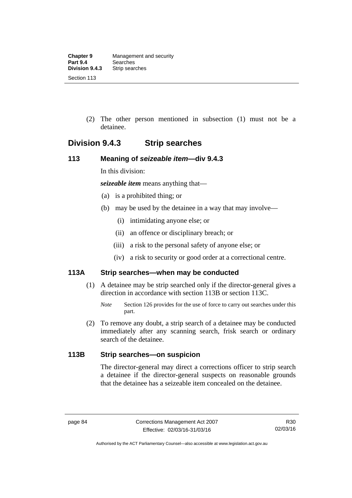(2) The other person mentioned in subsection (1) must not be a detainee.

## **Division 9.4.3 Strip searches**

## **113 Meaning of** *seizeable item***—div 9.4.3**

In this division:

*seizeable item* means anything that—

- (a) is a prohibited thing; or
- (b) may be used by the detainee in a way that may involve—
	- (i) intimidating anyone else; or
	- (ii) an offence or disciplinary breach; or
	- (iii) a risk to the personal safety of anyone else; or
	- (iv) a risk to security or good order at a correctional centre.

## **113A Strip searches—when may be conducted**

- (1) A detainee may be strip searched only if the director-general gives a direction in accordance with section 113B or section 113C.
	- *Note* Section 126 provides for the use of force to carry out searches under this part.
- (2) To remove any doubt, a strip search of a detainee may be conducted immediately after any scanning search, frisk search or ordinary search of the detainee.

## **113B Strip searches—on suspicion**

The director-general may direct a corrections officer to strip search a detainee if the director-general suspects on reasonable grounds that the detainee has a seizeable item concealed on the detainee.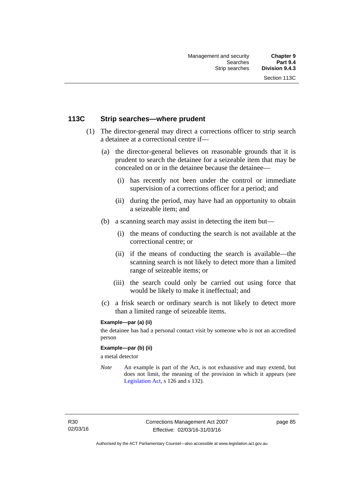## **113C Strip searches—where prudent**

- (1) The director-general may direct a corrections officer to strip search a detainee at a correctional centre if—
	- (a) the director-general believes on reasonable grounds that it is prudent to search the detainee for a seizeable item that may be concealed on or in the detainee because the detainee—
		- (i) has recently not been under the control or immediate supervision of a corrections officer for a period; and
		- (ii) during the period, may have had an opportunity to obtain a seizeable item; and
	- (b) a scanning search may assist in detecting the item but—
		- (i) the means of conducting the search is not available at the correctional centre; or
		- (ii) if the means of conducting the search is available—the scanning search is not likely to detect more than a limited range of seizeable items; or
		- (iii) the search could only be carried out using force that would be likely to make it ineffectual; and
	- (c) a frisk search or ordinary search is not likely to detect more than a limited range of seizeable items.

### **Example—par (a) (ii)**

the detainee has had a personal contact visit by someone who is not an accredited person

#### **Example—par (b) (ii)**

a metal detector

*Note* An example is part of the Act, is not exhaustive and may extend, but does not limit, the meaning of the provision in which it appears (see [Legislation Act,](http://www.legislation.act.gov.au/a/2001-14) s 126 and s 132).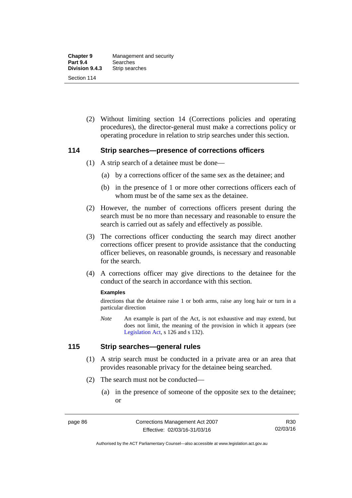(2) Without limiting section 14 (Corrections policies and operating procedures), the director-general must make a corrections policy or operating procedure in relation to strip searches under this section.

## **114 Strip searches—presence of corrections officers**

- (1) A strip search of a detainee must be done—
	- (a) by a corrections officer of the same sex as the detainee; and
	- (b) in the presence of 1 or more other corrections officers each of whom must be of the same sex as the detainee.
- (2) However, the number of corrections officers present during the search must be no more than necessary and reasonable to ensure the search is carried out as safely and effectively as possible.
- (3) The corrections officer conducting the search may direct another corrections officer present to provide assistance that the conducting officer believes, on reasonable grounds, is necessary and reasonable for the search.
- (4) A corrections officer may give directions to the detainee for the conduct of the search in accordance with this section.

#### **Examples**

directions that the detainee raise 1 or both arms, raise any long hair or turn in a particular direction

*Note* An example is part of the Act, is not exhaustive and may extend, but does not limit, the meaning of the provision in which it appears (see [Legislation Act,](http://www.legislation.act.gov.au/a/2001-14) s 126 and s 132).

## **115 Strip searches—general rules**

- (1) A strip search must be conducted in a private area or an area that provides reasonable privacy for the detainee being searched.
- (2) The search must not be conducted—
	- (a) in the presence of someone of the opposite sex to the detainee; or

Authorised by the ACT Parliamentary Counsel—also accessible at www.legislation.act.gov.au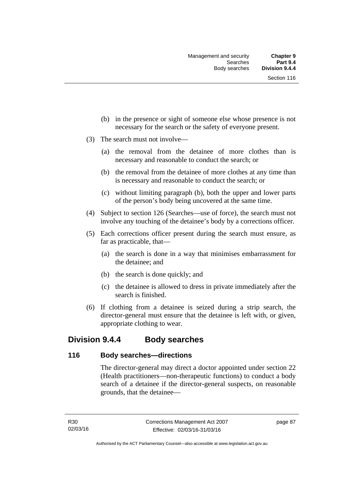- (b) in the presence or sight of someone else whose presence is not necessary for the search or the safety of everyone present.
- (3) The search must not involve—
	- (a) the removal from the detainee of more clothes than is necessary and reasonable to conduct the search; or
	- (b) the removal from the detainee of more clothes at any time than is necessary and reasonable to conduct the search; or
	- (c) without limiting paragraph (b), both the upper and lower parts of the person's body being uncovered at the same time.
- (4) Subject to section 126 (Searches—use of force), the search must not involve any touching of the detainee's body by a corrections officer.
- (5) Each corrections officer present during the search must ensure, as far as practicable, that—
	- (a) the search is done in a way that minimises embarrassment for the detainee; and
	- (b) the search is done quickly; and
	- (c) the detainee is allowed to dress in private immediately after the search is finished.
- (6) If clothing from a detainee is seized during a strip search, the director-general must ensure that the detainee is left with, or given, appropriate clothing to wear.

## **Division 9.4.4 Body searches**

## **116 Body searches—directions**

The director-general may direct a doctor appointed under section 22 (Health practitioners—non-therapeutic functions) to conduct a body search of a detainee if the director-general suspects, on reasonable grounds, that the detainee—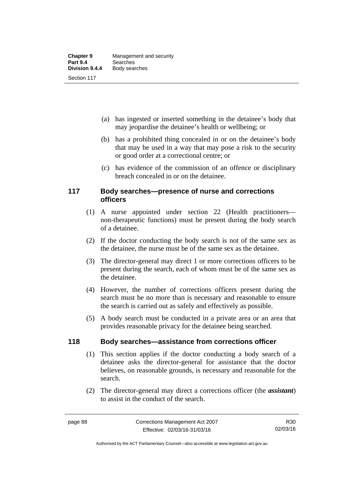- (a) has ingested or inserted something in the detainee's body that may jeopardise the detainee's health or wellbeing; or
- (b) has a prohibited thing concealed in or on the detainee's body that may be used in a way that may pose a risk to the security or good order at a correctional centre; or
- (c) has evidence of the commission of an offence or disciplinary breach concealed in or on the detainee.

## **117 Body searches—presence of nurse and corrections officers**

- (1) A nurse appointed under section 22 (Health practitioners non-therapeutic functions) must be present during the body search of a detainee.
- (2) If the doctor conducting the body search is not of the same sex as the detainee, the nurse must be of the same sex as the detainee.
- (3) The director-general may direct 1 or more corrections officers to be present during the search, each of whom must be of the same sex as the detainee.
- (4) However, the number of corrections officers present during the search must be no more than is necessary and reasonable to ensure the search is carried out as safely and effectively as possible.
- (5) A body search must be conducted in a private area or an area that provides reasonable privacy for the detainee being searched.

## **118 Body searches—assistance from corrections officer**

- (1) This section applies if the doctor conducting a body search of a detainee asks the director-general for assistance that the doctor believes, on reasonable grounds, is necessary and reasonable for the search.
- (2) The director-general may direct a corrections officer (the *assistant*) to assist in the conduct of the search.

Authorised by the ACT Parliamentary Counsel—also accessible at www.legislation.act.gov.au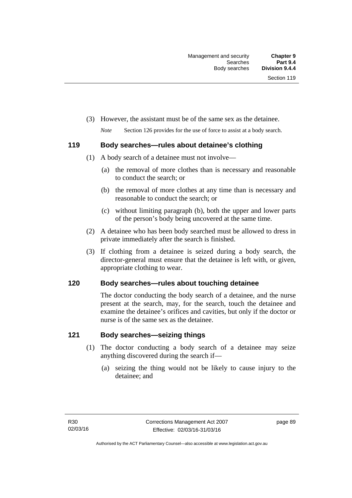(3) However, the assistant must be of the same sex as the detainee.

*Note* Section 126 provides for the use of force to assist at a body search.

## **119 Body searches—rules about detainee's clothing**

- (1) A body search of a detainee must not involve—
	- (a) the removal of more clothes than is necessary and reasonable to conduct the search; or
	- (b) the removal of more clothes at any time than is necessary and reasonable to conduct the search; or
	- (c) without limiting paragraph (b), both the upper and lower parts of the person's body being uncovered at the same time.
- (2) A detainee who has been body searched must be allowed to dress in private immediately after the search is finished.
- (3) If clothing from a detainee is seized during a body search, the director-general must ensure that the detainee is left with, or given, appropriate clothing to wear.

## **120 Body searches—rules about touching detainee**

The doctor conducting the body search of a detainee, and the nurse present at the search, may, for the search, touch the detainee and examine the detainee's orifices and cavities, but only if the doctor or nurse is of the same sex as the detainee.

## **121 Body searches—seizing things**

- (1) The doctor conducting a body search of a detainee may seize anything discovered during the search if—
	- (a) seizing the thing would not be likely to cause injury to the detainee; and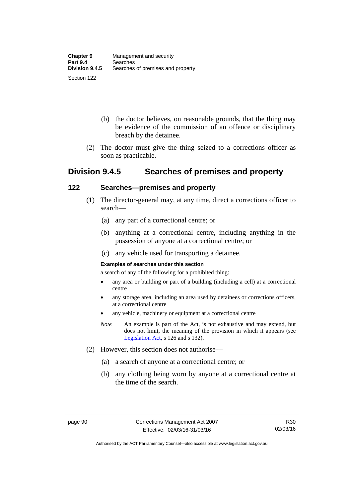- (b) the doctor believes, on reasonable grounds, that the thing may be evidence of the commission of an offence or disciplinary breach by the detainee.
- (2) The doctor must give the thing seized to a corrections officer as soon as practicable.

## **Division 9.4.5 Searches of premises and property**

## **122 Searches—premises and property**

- (1) The director-general may, at any time, direct a corrections officer to search—
	- (a) any part of a correctional centre; or
	- (b) anything at a correctional centre, including anything in the possession of anyone at a correctional centre; or
	- (c) any vehicle used for transporting a detainee.

### **Examples of searches under this section**

a search of any of the following for a prohibited thing:

- any area or building or part of a building (including a cell) at a correctional centre
- any storage area, including an area used by detainees or corrections officers, at a correctional centre
- any vehicle, machinery or equipment at a correctional centre
- *Note* An example is part of the Act, is not exhaustive and may extend, but does not limit, the meaning of the provision in which it appears (see [Legislation Act,](http://www.legislation.act.gov.au/a/2001-14) s 126 and s 132).
- (2) However, this section does not authorise—
	- (a) a search of anyone at a correctional centre; or
	- (b) any clothing being worn by anyone at a correctional centre at the time of the search.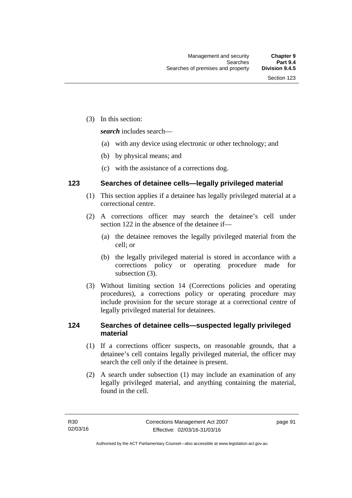(3) In this section:

*search* includes search—

- (a) with any device using electronic or other technology; and
- (b) by physical means; and
- (c) with the assistance of a corrections dog.

## **123 Searches of detainee cells—legally privileged material**

- (1) This section applies if a detainee has legally privileged material at a correctional centre.
- (2) A corrections officer may search the detainee's cell under section 122 in the absence of the detainee if—
	- (a) the detainee removes the legally privileged material from the cell; or
	- (b) the legally privileged material is stored in accordance with a corrections policy or operating procedure made for subsection (3).
- (3) Without limiting section 14 (Corrections policies and operating procedures), a corrections policy or operating procedure may include provision for the secure storage at a correctional centre of legally privileged material for detainees.

## **124 Searches of detainee cells—suspected legally privileged material**

- (1) If a corrections officer suspects, on reasonable grounds, that a detainee's cell contains legally privileged material, the officer may search the cell only if the detainee is present.
- (2) A search under subsection (1) may include an examination of any legally privileged material, and anything containing the material, found in the cell.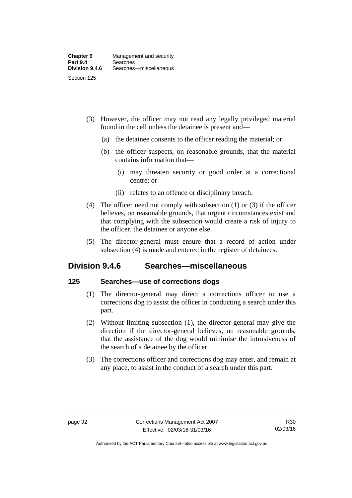- (3) However, the officer may not read any legally privileged material found in the cell unless the detainee is present and—
	- (a) the detainee consents to the officer reading the material; or
	- (b) the officer suspects, on reasonable grounds, that the material contains information that—
		- (i) may threaten security or good order at a correctional centre; or
		- (ii) relates to an offence or disciplinary breach.
- (4) The officer need not comply with subsection (1) or (3) if the officer believes, on reasonable grounds, that urgent circumstances exist and that complying with the subsection would create a risk of injury to the officer, the detainee or anyone else.
- (5) The director-general must ensure that a record of action under subsection (4) is made and entered in the register of detainees.

## **Division 9.4.6 Searches—miscellaneous**

## **125 Searches—use of corrections dogs**

- (1) The director-general may direct a corrections officer to use a corrections dog to assist the officer in conducting a search under this part.
- (2) Without limiting subsection (1), the director-general may give the direction if the director-general believes, on reasonable grounds, that the assistance of the dog would minimise the intrusiveness of the search of a detainee by the officer.
- (3) The corrections officer and corrections dog may enter, and remain at any place, to assist in the conduct of a search under this part.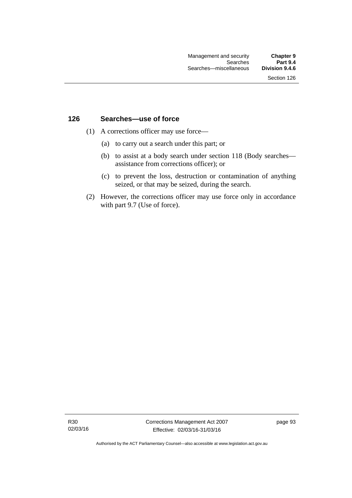## **126 Searches—use of force**

- (1) A corrections officer may use force—
	- (a) to carry out a search under this part; or
	- (b) to assist at a body search under section 118 (Body searches assistance from corrections officer); or
	- (c) to prevent the loss, destruction or contamination of anything seized, or that may be seized, during the search.
- (2) However, the corrections officer may use force only in accordance with part 9.7 (Use of force).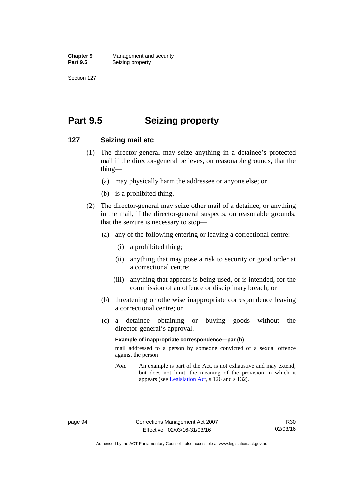**Chapter 9 Management and security**<br>**Part 9.5 Conserved Seizing property Seizing property** 

Section 127

# **Part 9.5 Seizing property**

## **127 Seizing mail etc**

- (1) The director-general may seize anything in a detainee's protected mail if the director-general believes, on reasonable grounds, that the thing—
	- (a) may physically harm the addressee or anyone else; or
	- (b) is a prohibited thing.
- (2) The director-general may seize other mail of a detainee, or anything in the mail, if the director-general suspects, on reasonable grounds, that the seizure is necessary to stop—
	- (a) any of the following entering or leaving a correctional centre:
		- (i) a prohibited thing;
		- (ii) anything that may pose a risk to security or good order at a correctional centre;
		- (iii) anything that appears is being used, or is intended, for the commission of an offence or disciplinary breach; or
	- (b) threatening or otherwise inappropriate correspondence leaving a correctional centre; or
	- (c) a detainee obtaining or buying goods without the director-general's approval.

#### **Example of inappropriate correspondence—par (b)**

mail addressed to a person by someone convicted of a sexual offence against the person

*Note* An example is part of the Act, is not exhaustive and may extend, but does not limit, the meaning of the provision in which it appears (see [Legislation Act,](http://www.legislation.act.gov.au/a/2001-14) s 126 and s 132).

Authorised by the ACT Parliamentary Counsel—also accessible at www.legislation.act.gov.au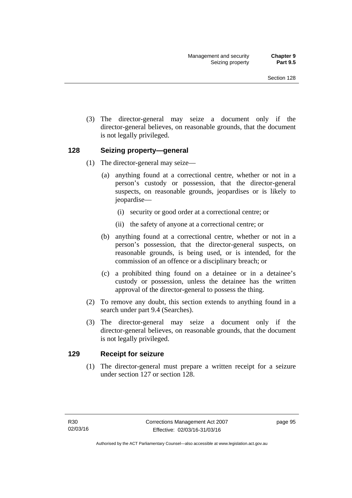(3) The director-general may seize a document only if the director-general believes, on reasonable grounds, that the document is not legally privileged.

### **128 Seizing property—general**

- (1) The director-general may seize—
	- (a) anything found at a correctional centre, whether or not in a person's custody or possession, that the director-general suspects, on reasonable grounds, jeopardises or is likely to jeopardise—
		- (i) security or good order at a correctional centre; or
		- (ii) the safety of anyone at a correctional centre; or
	- (b) anything found at a correctional centre, whether or not in a person's possession, that the director-general suspects, on reasonable grounds, is being used, or is intended, for the commission of an offence or a disciplinary breach; or
	- (c) a prohibited thing found on a detainee or in a detainee's custody or possession, unless the detainee has the written approval of the director-general to possess the thing.
- (2) To remove any doubt, this section extends to anything found in a search under part 9.4 (Searches).
- (3) The director-general may seize a document only if the director-general believes, on reasonable grounds, that the document is not legally privileged.

#### **129 Receipt for seizure**

(1) The director-general must prepare a written receipt for a seizure under section 127 or section 128.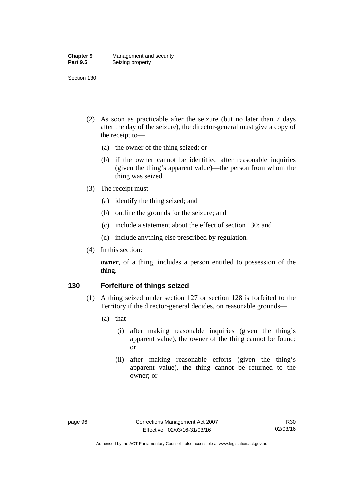#### **Chapter 9** Management and security<br>**Part 9.5** Seizing property **Seizing property**

Section 130

- (2) As soon as practicable after the seizure (but no later than 7 days after the day of the seizure), the director-general must give a copy of the receipt to—
	- (a) the owner of the thing seized; or
	- (b) if the owner cannot be identified after reasonable inquiries (given the thing's apparent value)—the person from whom the thing was seized.
- (3) The receipt must—
	- (a) identify the thing seized; and
	- (b) outline the grounds for the seizure; and
	- (c) include a statement about the effect of section 130; and
	- (d) include anything else prescribed by regulation.
- (4) In this section:

*owner*, of a thing, includes a person entitled to possession of the thing.

#### **130 Forfeiture of things seized**

- (1) A thing seized under section 127 or section 128 is forfeited to the Territory if the director-general decides, on reasonable grounds—
	- (a) that—
		- (i) after making reasonable inquiries (given the thing's apparent value), the owner of the thing cannot be found; or
		- (ii) after making reasonable efforts (given the thing's apparent value), the thing cannot be returned to the owner; or

Authorised by the ACT Parliamentary Counsel—also accessible at www.legislation.act.gov.au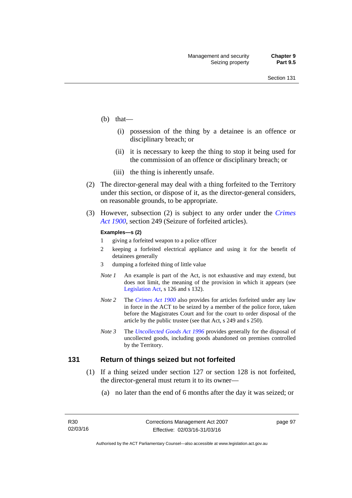- (b) that—
	- (i) possession of the thing by a detainee is an offence or disciplinary breach; or
	- (ii) it is necessary to keep the thing to stop it being used for the commission of an offence or disciplinary breach; or
	- (iii) the thing is inherently unsafe.
- (2) The director-general may deal with a thing forfeited to the Territory under this section, or dispose of it, as the director-general considers, on reasonable grounds, to be appropriate.
- (3) However, subsection (2) is subject to any order under the *[Crimes](http://www.legislation.act.gov.au/a/1900-40)  [Act 1900](http://www.legislation.act.gov.au/a/1900-40),* section 249 (Seizure of forfeited articles).

#### **Examples—s (2)**

- 1 giving a forfeited weapon to a police officer
- 2 keeping a forfeited electrical appliance and using it for the benefit of detainees generally
- 3 dumping a forfeited thing of little value
- *Note 1* An example is part of the Act, is not exhaustive and may extend, but does not limit, the meaning of the provision in which it appears (see [Legislation Act,](http://www.legislation.act.gov.au/a/2001-14) s 126 and s 132).
- *Note 2* The *[Crimes Act 1900](http://www.legislation.act.gov.au/a/1900-40)* also provides for articles forfeited under any law in force in the ACT to be seized by a member of the police force, taken before the Magistrates Court and for the court to order disposal of the article by the public trustee (see that Act, s 249 and s 250).
- *Note 3* The *[Uncollected Goods Act 1996](http://www.legislation.act.gov.au/a/1996-86)* provides generally for the disposal of uncollected goods, including goods abandoned on premises controlled by the Territory.

#### **131 Return of things seized but not forfeited**

- (1) If a thing seized under section 127 or section 128 is not forfeited, the director-general must return it to its owner—
	- (a) no later than the end of 6 months after the day it was seized; or

page 97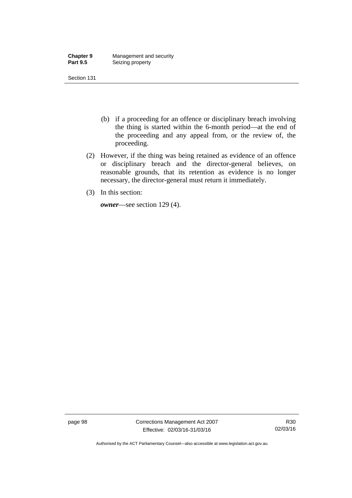| <b>Chapter 9</b> | Management and security |
|------------------|-------------------------|
| <b>Part 9.5</b>  | Seizing property        |

Section 131

- (b) if a proceeding for an offence or disciplinary breach involving the thing is started within the 6-month period—at the end of the proceeding and any appeal from, or the review of, the proceeding.
- (2) However, if the thing was being retained as evidence of an offence or disciplinary breach and the director-general believes, on reasonable grounds, that its retention as evidence is no longer necessary, the director-general must return it immediately.
- (3) In this section:

*owner*—see section 129 (4).

page 98 Corrections Management Act 2007 Effective: 02/03/16-31/03/16

R30 02/03/16

Authorised by the ACT Parliamentary Counsel—also accessible at www.legislation.act.gov.au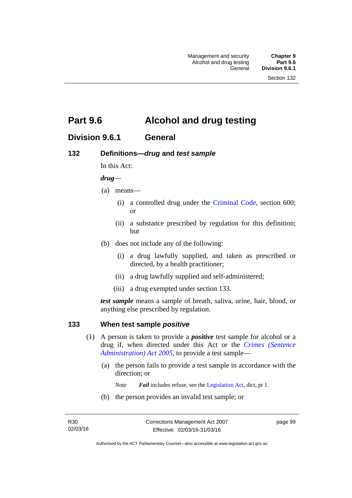# **Part 9.6 Alcohol and drug testing**

## **Division 9.6.1 General**

## **132 Definitions—***drug* **and** *test sample*

In this Act:

#### *drug*—

- (a) means—
	- (i) a controlled drug under the [Criminal Code](http://www.legislation.act.gov.au/a/2002-51), section 600; or
	- (ii) a substance prescribed by regulation for this definition; but
- (b) does not include any of the following:
	- (i) a drug lawfully supplied, and taken as prescribed or directed, by a health practitioner;
	- (ii) a drug lawfully supplied and self-administered;
	- (iii) a drug exempted under section 133.

*test sample* means a sample of breath, saliva, urine, hair, blood, or anything else prescribed by regulation.

### **133 When test sample** *positive*

- (1) A person is taken to provide a *positive* test sample for alcohol or a drug if, when directed under this Act or the *[Crimes \(Sentence](http://www.legislation.act.gov.au/a/2005-59)  [Administration\) Act 2005](http://www.legislation.act.gov.au/a/2005-59)*, to provide a test sample—
	- (a) the person fails to provide a test sample in accordance with the direction; or
		- *Note Fail* includes refuse, see the [Legislation Act,](http://www.legislation.act.gov.au/a/2001-14) dict, pt 1.
	- (b) the person provides an invalid test sample; or

page 99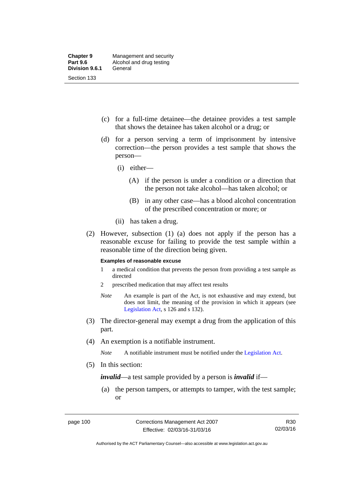- (c) for a full-time detainee—the detainee provides a test sample that shows the detainee has taken alcohol or a drug; or
- (d) for a person serving a term of imprisonment by intensive correction—the person provides a test sample that shows the person—
	- (i) either—
		- (A) if the person is under a condition or a direction that the person not take alcohol—has taken alcohol; or
		- (B) in any other case—has a blood alcohol concentration of the prescribed concentration or more; or
	- (ii) has taken a drug.
- (2) However, subsection (1) (a) does not apply if the person has a reasonable excuse for failing to provide the test sample within a reasonable time of the direction being given.

#### **Examples of reasonable excuse**

- 1 a medical condition that prevents the person from providing a test sample as directed
- 2 prescribed medication that may affect test results
- *Note* An example is part of the Act, is not exhaustive and may extend, but does not limit, the meaning of the provision in which it appears (see [Legislation Act,](http://www.legislation.act.gov.au/a/2001-14) s 126 and s 132).
- (3) The director-general may exempt a drug from the application of this part.
- (4) An exemption is a notifiable instrument.

*Note* A notifiable instrument must be notified under the [Legislation Act](http://www.legislation.act.gov.au/a/2001-14).

(5) In this section:

*invalid*—a test sample provided by a person is *invalid* if—

 (a) the person tampers, or attempts to tamper, with the test sample; or

Authorised by the ACT Parliamentary Counsel—also accessible at www.legislation.act.gov.au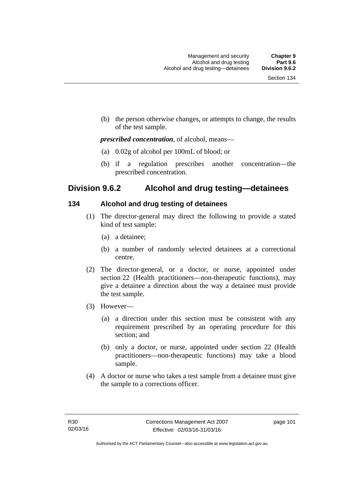(b) the person otherwise changes, or attempts to change, the results of the test sample.

#### *prescribed concentration*, of alcohol, means—

- (a) 0.02g of alcohol per 100mL of blood; or
- (b) if a regulation prescribes another concentration—the prescribed concentration.

## **Division 9.6.2 Alcohol and drug testing—detainees**

## **134 Alcohol and drug testing of detainees**

- (1) The director-general may direct the following to provide a stated kind of test sample:
	- (a) a detainee;
	- (b) a number of randomly selected detainees at a correctional centre.
- (2) The director-general, or a doctor, or nurse, appointed under section 22 (Health practitioners—non-therapeutic functions), may give a detainee a direction about the way a detainee must provide the test sample.
- (3) However—
	- (a) a direction under this section must be consistent with any requirement prescribed by an operating procedure for this section; and
	- (b) only a doctor, or nurse, appointed under section 22 (Health practitioners—non-therapeutic functions) may take a blood sample.
- (4) A doctor or nurse who takes a test sample from a detainee must give the sample to a corrections officer.

page 101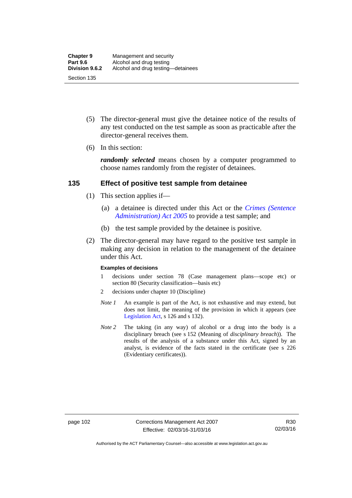- (5) The director-general must give the detainee notice of the results of any test conducted on the test sample as soon as practicable after the director-general receives them.
- (6) In this section:

*randomly selected* means chosen by a computer programmed to choose names randomly from the register of detainees.

#### **135 Effect of positive test sample from detainee**

- (1) This section applies if—
	- (a) a detainee is directed under this Act or the *[Crimes \(Sentence](http://www.legislation.act.gov.au/a/2005-59)  [Administration\) Act 2005](http://www.legislation.act.gov.au/a/2005-59)* to provide a test sample; and
	- (b) the test sample provided by the detainee is positive.
- (2) The director-general may have regard to the positive test sample in making any decision in relation to the management of the detainee under this Act.

#### **Examples of decisions**

- 1 decisions under section 78 (Case management plans—scope etc) or section 80 (Security classification—basis etc)
- 2 decisions under chapter 10 (Discipline)
- *Note 1* An example is part of the Act, is not exhaustive and may extend, but does not limit, the meaning of the provision in which it appears (see [Legislation Act,](http://www.legislation.act.gov.au/a/2001-14) s 126 and s 132).
- *Note* 2 The taking (in any way) of alcohol or a drug into the body is a disciplinary breach (see s 152 (Meaning of *disciplinary breach*)). The results of the analysis of a substance under this Act, signed by an analyst, is evidence of the facts stated in the certificate (see s 226 (Evidentiary certificates)).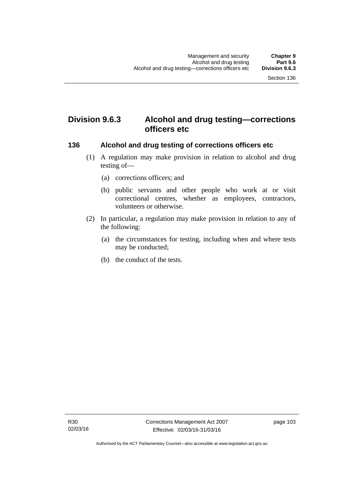# **Division 9.6.3 Alcohol and drug testing—corrections officers etc**

#### **136 Alcohol and drug testing of corrections officers etc**

- (1) A regulation may make provision in relation to alcohol and drug testing of—
	- (a) corrections officers; and
	- (b) public servants and other people who work at or visit correctional centres, whether as employees, contractors, volunteers or otherwise.
- (2) In particular, a regulation may make provision in relation to any of the following:
	- (a) the circumstances for testing, including when and where tests may be conducted;
	- (b) the conduct of the tests.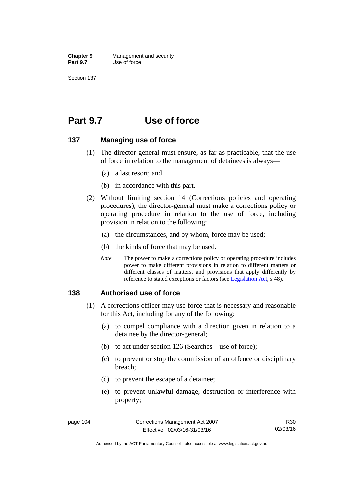**Chapter 9** Management and security<br>**Part 9.7** Use of force **Use of force** 

Section 137

# **Part 9.7 Use of force**

#### **137 Managing use of force**

- (1) The director-general must ensure, as far as practicable, that the use of force in relation to the management of detainees is always—
	- (a) a last resort; and
	- (b) in accordance with this part.
- (2) Without limiting section 14 (Corrections policies and operating procedures), the director-general must make a corrections policy or operating procedure in relation to the use of force, including provision in relation to the following:
	- (a) the circumstances, and by whom, force may be used;
	- (b) the kinds of force that may be used.
	- *Note* The power to make a corrections policy or operating procedure includes power to make different provisions in relation to different matters or different classes of matters, and provisions that apply differently by reference to stated exceptions or factors (see [Legislation Act](http://www.legislation.act.gov.au/a/2001-14), s 48).

#### **138 Authorised use of force**

- (1) A corrections officer may use force that is necessary and reasonable for this Act, including for any of the following:
	- (a) to compel compliance with a direction given in relation to a detainee by the director-general;
	- (b) to act under section 126 (Searches—use of force);
	- (c) to prevent or stop the commission of an offence or disciplinary breach;
	- (d) to prevent the escape of a detainee;
	- (e) to prevent unlawful damage, destruction or interference with property;

R30 02/03/16

Authorised by the ACT Parliamentary Counsel—also accessible at www.legislation.act.gov.au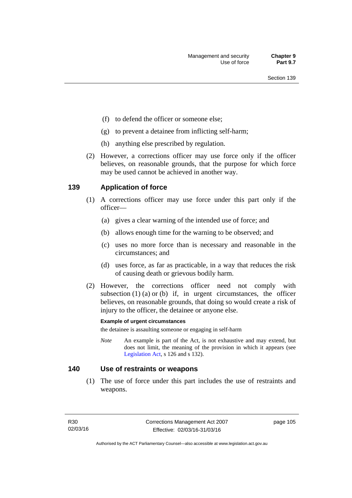- (f) to defend the officer or someone else;
- (g) to prevent a detainee from inflicting self-harm;
- (h) anything else prescribed by regulation.
- (2) However, a corrections officer may use force only if the officer believes, on reasonable grounds, that the purpose for which force may be used cannot be achieved in another way.

### **139 Application of force**

- (1) A corrections officer may use force under this part only if the officer—
	- (a) gives a clear warning of the intended use of force; and
	- (b) allows enough time for the warning to be observed; and
	- (c) uses no more force than is necessary and reasonable in the circumstances; and
	- (d) uses force, as far as practicable, in a way that reduces the risk of causing death or grievous bodily harm.
- (2) However, the corrections officer need not comply with subsection  $(1)$   $(a)$  or  $(b)$  if, in urgent circumstances, the officer believes, on reasonable grounds, that doing so would create a risk of injury to the officer, the detainee or anyone else.

#### **Example of urgent circumstances**

the detainee is assaulting someone or engaging in self-harm

*Note* An example is part of the Act, is not exhaustive and may extend, but does not limit, the meaning of the provision in which it appears (see [Legislation Act,](http://www.legislation.act.gov.au/a/2001-14) s 126 and s 132).

#### **140 Use of restraints or weapons**

 (1) The use of force under this part includes the use of restraints and weapons.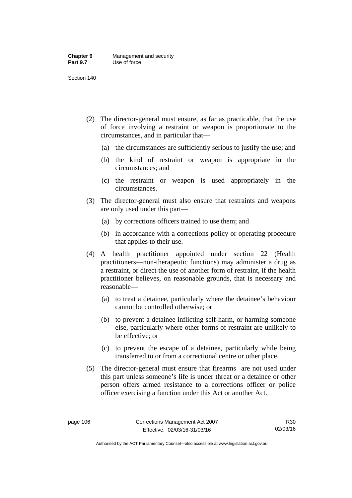#### **Chapter 9** Management and security<br>**Part 9.7** Use of force **Use of force**

Section 140

- (2) The director-general must ensure, as far as practicable, that the use of force involving a restraint or weapon is proportionate to the circumstances, and in particular that—
	- (a) the circumstances are sufficiently serious to justify the use; and
	- (b) the kind of restraint or weapon is appropriate in the circumstances; and
	- (c) the restraint or weapon is used appropriately in the circumstances.
- (3) The director-general must also ensure that restraints and weapons are only used under this part—
	- (a) by corrections officers trained to use them; and
	- (b) in accordance with a corrections policy or operating procedure that applies to their use.
- (4) A health practitioner appointed under section 22 (Health practitioners—non-therapeutic functions) may administer a drug as a restraint, or direct the use of another form of restraint, if the health practitioner believes, on reasonable grounds, that is necessary and reasonable—
	- (a) to treat a detainee, particularly where the detainee's behaviour cannot be controlled otherwise; or
	- (b) to prevent a detainee inflicting self-harm, or harming someone else, particularly where other forms of restraint are unlikely to be effective; or
	- (c) to prevent the escape of a detainee, particularly while being transferred to or from a correctional centre or other place.
- (5) The director-general must ensure that firearms are not used under this part unless someone's life is under threat or a detainee or other person offers armed resistance to a corrections officer or police officer exercising a function under this Act or another Act.

Authorised by the ACT Parliamentary Counsel—also accessible at www.legislation.act.gov.au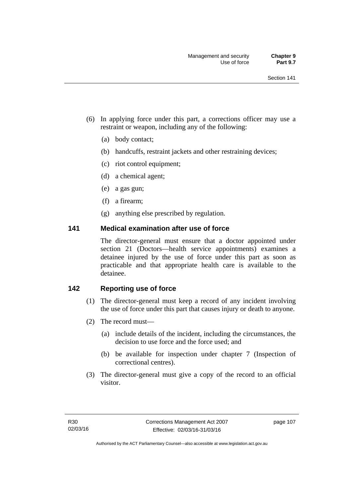- (6) In applying force under this part, a corrections officer may use a restraint or weapon, including any of the following:
	- (a) body contact;
	- (b) handcuffs, restraint jackets and other restraining devices;
	- (c) riot control equipment;
	- (d) a chemical agent;
	- (e) a gas gun;
	- (f) a firearm;
	- (g) anything else prescribed by regulation.

#### **141 Medical examination after use of force**

The director-general must ensure that a doctor appointed under section 21 (Doctors—health service appointments) examines a detainee injured by the use of force under this part as soon as practicable and that appropriate health care is available to the detainee.

## **142 Reporting use of force**

- (1) The director-general must keep a record of any incident involving the use of force under this part that causes injury or death to anyone.
- (2) The record must—
	- (a) include details of the incident, including the circumstances, the decision to use force and the force used; and
	- (b) be available for inspection under chapter 7 (Inspection of correctional centres).
- (3) The director-general must give a copy of the record to an official visitor.

page 107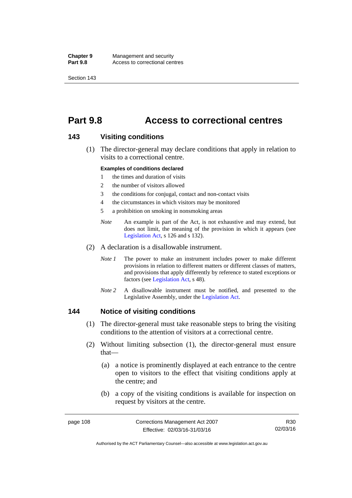**Chapter 9** Management and security<br>**Part 9.8** Access to correctional cen Access to correctional centres

Section 143

# **Part 9.8 Access to correctional centres**

#### **143 Visiting conditions**

 (1) The director-general may declare conditions that apply in relation to visits to a correctional centre.

#### **Examples of conditions declared**

- 1 the times and duration of visits
- 2 the number of visitors allowed
- 3 the conditions for conjugal, contact and non-contact visits
- 4 the circumstances in which visitors may be monitored
- 5 a prohibition on smoking in nonsmoking areas
- *Note* An example is part of the Act, is not exhaustive and may extend, but does not limit, the meaning of the provision in which it appears (see [Legislation Act,](http://www.legislation.act.gov.au/a/2001-14) s 126 and s 132).
- (2) A declaration is a disallowable instrument.
	- *Note I* The power to make an instrument includes power to make different provisions in relation to different matters or different classes of matters, and provisions that apply differently by reference to stated exceptions or factors (see [Legislation Act](http://www.legislation.act.gov.au/a/2001-14), s 48).
	- *Note 2* A disallowable instrument must be notified, and presented to the Legislative Assembly, under the [Legislation Act.](http://www.legislation.act.gov.au/a/2001-14)

#### **144 Notice of visiting conditions**

- (1) The director-general must take reasonable steps to bring the visiting conditions to the attention of visitors at a correctional centre.
- (2) Without limiting subsection (1), the director-general must ensure that—
	- (a) a notice is prominently displayed at each entrance to the centre open to visitors to the effect that visiting conditions apply at the centre; and
	- (b) a copy of the visiting conditions is available for inspection on request by visitors at the centre.

R30 02/03/16

Authorised by the ACT Parliamentary Counsel—also accessible at www.legislation.act.gov.au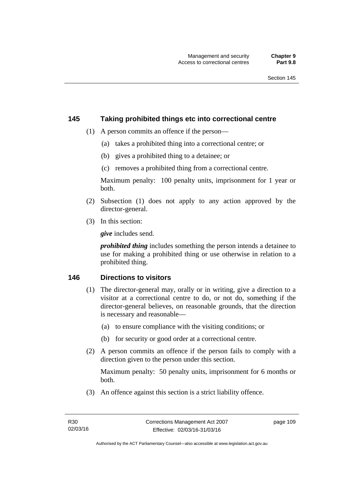#### **145 Taking prohibited things etc into correctional centre**

- (1) A person commits an offence if the person—
	- (a) takes a prohibited thing into a correctional centre; or
	- (b) gives a prohibited thing to a detainee; or
	- (c) removes a prohibited thing from a correctional centre.

Maximum penalty: 100 penalty units, imprisonment for 1 year or both.

- (2) Subsection (1) does not apply to any action approved by the director-general.
- (3) In this section:

*give* includes send.

*prohibited thing* includes something the person intends a detainee to use for making a prohibited thing or use otherwise in relation to a prohibited thing.

### **146 Directions to visitors**

- (1) The director-general may, orally or in writing, give a direction to a visitor at a correctional centre to do, or not do, something if the director-general believes, on reasonable grounds, that the direction is necessary and reasonable—
	- (a) to ensure compliance with the visiting conditions; or
	- (b) for security or good order at a correctional centre.
- (2) A person commits an offence if the person fails to comply with a direction given to the person under this section.

Maximum penalty: 50 penalty units, imprisonment for 6 months or both.

(3) An offence against this section is a strict liability offence.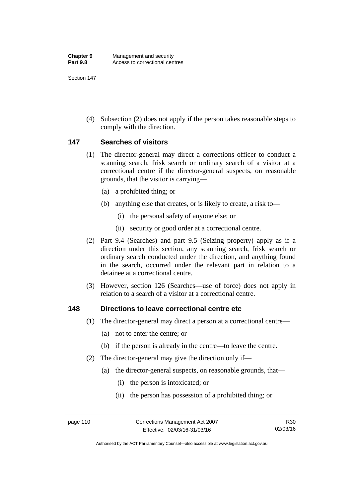Section 147

 (4) Subsection (2) does not apply if the person takes reasonable steps to comply with the direction.

### **147 Searches of visitors**

- (1) The director-general may direct a corrections officer to conduct a scanning search, frisk search or ordinary search of a visitor at a correctional centre if the director-general suspects, on reasonable grounds, that the visitor is carrying—
	- (a) a prohibited thing; or
	- (b) anything else that creates, or is likely to create, a risk to—
		- (i) the personal safety of anyone else; or
		- (ii) security or good order at a correctional centre.
- (2) Part 9.4 (Searches) and part 9.5 (Seizing property) apply as if a direction under this section, any scanning search, frisk search or ordinary search conducted under the direction, and anything found in the search, occurred under the relevant part in relation to a detainee at a correctional centre.
- (3) However, section 126 (Searches—use of force) does not apply in relation to a search of a visitor at a correctional centre.

#### **148 Directions to leave correctional centre etc**

- (1) The director-general may direct a person at a correctional centre—
	- (a) not to enter the centre; or
	- (b) if the person is already in the centre—to leave the centre.
- (2) The director-general may give the direction only if—
	- (a) the director-general suspects, on reasonable grounds, that—
		- (i) the person is intoxicated; or
		- (ii) the person has possession of a prohibited thing; or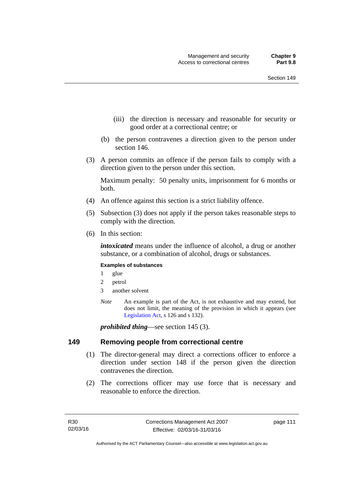- (iii) the direction is necessary and reasonable for security or good order at a correctional centre; or
- (b) the person contravenes a direction given to the person under section 146.
- (3) A person commits an offence if the person fails to comply with a direction given to the person under this section.

Maximum penalty: 50 penalty units, imprisonment for 6 months or both.

- (4) An offence against this section is a strict liability offence.
- (5) Subsection (3) does not apply if the person takes reasonable steps to comply with the direction.
- (6) In this section:

*intoxicated* means under the influence of alcohol, a drug or another substance, or a combination of alcohol, drugs or substances.

#### **Examples of substances**

- 1 glue
- 2 petrol
- 3 another solvent
- *Note* An example is part of the Act, is not exhaustive and may extend, but does not limit, the meaning of the provision in which it appears (see [Legislation Act,](http://www.legislation.act.gov.au/a/2001-14) s 126 and s 132).

*prohibited thing*—see section 145 (3).

#### **149 Removing people from correctional centre**

- (1) The director-general may direct a corrections officer to enforce a direction under section 148 if the person given the direction contravenes the direction.
- (2) The corrections officer may use force that is necessary and reasonable to enforce the direction.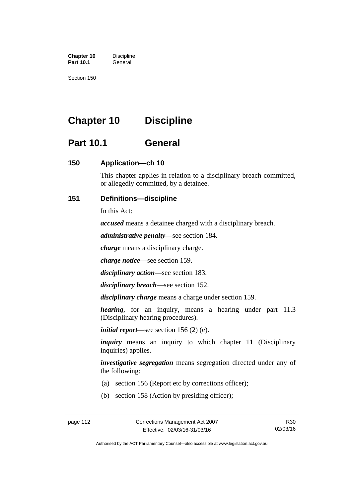**Chapter 10** Discipline<br>**Part 10.1** General **Part 10.1** 

Section 150

# **Chapter 10 Discipline**

# **Part 10.1 General**

## **150 Application—ch 10**

This chapter applies in relation to a disciplinary breach committed, or allegedly committed, by a detainee.

## **151 Definitions—discipline**

In this Act:

*accused* means a detainee charged with a disciplinary breach.

*administrative penalty*—see section 184.

*charge* means a disciplinary charge.

*charge notice*—see section 159.

*disciplinary action*—see section 183.

*disciplinary breach*—see section 152.

*disciplinary charge* means a charge under section 159.

*hearing*, for an inquiry, means a hearing under part 11.3 (Disciplinary hearing procedures).

*initial report*—see section 156 (2) (e).

*inquiry* means an inquiry to which chapter 11 (Disciplinary inquiries) applies.

*investigative segregation* means segregation directed under any of the following:

- (a) section 156 (Report etc by corrections officer);
- (b) section 158 (Action by presiding officer);

Authorised by the ACT Parliamentary Counsel—also accessible at www.legislation.act.gov.au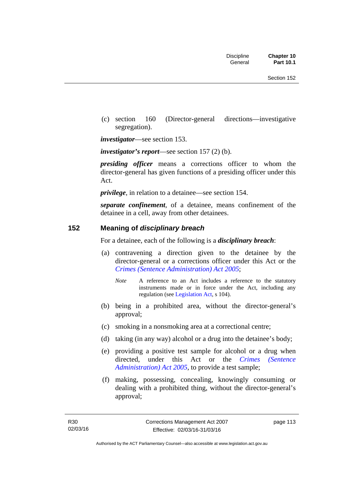(c) section 160 (Director-general directions—investigative segregation).

*investigator*—see section 153.

*investigator's report*—see section 157 (2) (b).

*presiding officer* means a corrections officer to whom the director-general has given functions of a presiding officer under this Act.

*privilege*, in relation to a detainee—see section 154.

*separate confinement*, of a detainee, means confinement of the detainee in a cell, away from other detainees.

#### **152 Meaning of** *disciplinary breach*

For a detainee, each of the following is a *disciplinary breach*:

- (a) contravening a direction given to the detainee by the director-general or a corrections officer under this Act or the *[Crimes \(Sentence Administration\) Act 2005](http://www.legislation.act.gov.au/a/2005-59)*;
	- *Note* A reference to an Act includes a reference to the statutory instruments made or in force under the Act, including any regulation (see [Legislation Act,](http://www.legislation.act.gov.au/a/2001-14) s 104).
- (b) being in a prohibited area, without the director-general's approval;
- (c) smoking in a nonsmoking area at a correctional centre;
- (d) taking (in any way) alcohol or a drug into the detainee's body;
- (e) providing a positive test sample for alcohol or a drug when directed, under this Act or the *[Crimes \(Sentence](http://www.legislation.act.gov.au/a/2005-59)  [Administration\) Act 2005](http://www.legislation.act.gov.au/a/2005-59)*, to provide a test sample;
- (f) making, possessing, concealing, knowingly consuming or dealing with a prohibited thing, without the director-general's approval;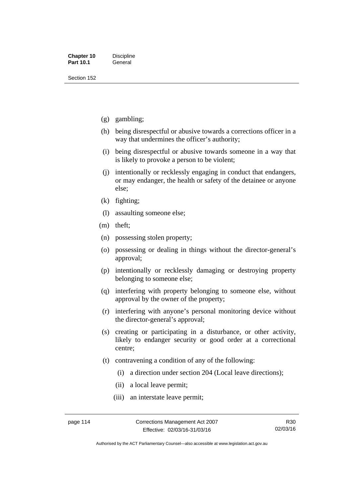Section 152

- (g) gambling;
- (h) being disrespectful or abusive towards a corrections officer in a way that undermines the officer's authority;
- (i) being disrespectful or abusive towards someone in a way that is likely to provoke a person to be violent;
- (j) intentionally or recklessly engaging in conduct that endangers, or may endanger, the health or safety of the detainee or anyone else;
- (k) fighting;
- (l) assaulting someone else;
- (m) theft;
- (n) possessing stolen property;
- (o) possessing or dealing in things without the director-general's approval;
- (p) intentionally or recklessly damaging or destroying property belonging to someone else;
- (q) interfering with property belonging to someone else, without approval by the owner of the property;
- (r) interfering with anyone's personal monitoring device without the director-general's approval;
- (s) creating or participating in a disturbance, or other activity, likely to endanger security or good order at a correctional centre;
- (t) contravening a condition of any of the following:
	- (i) a direction under section 204 (Local leave directions);
	- (ii) a local leave permit;
	- (iii) an interstate leave permit;

Authorised by the ACT Parliamentary Counsel—also accessible at www.legislation.act.gov.au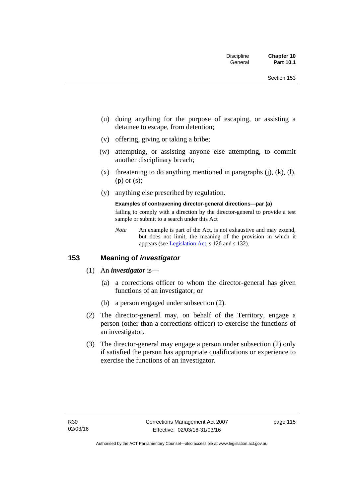- (u) doing anything for the purpose of escaping, or assisting a detainee to escape, from detention;
- (v) offering, giving or taking a bribe;
- (w) attempting, or assisting anyone else attempting, to commit another disciplinary breach;
- $(x)$  threatening to do anything mentioned in paragraphs  $(i)$ ,  $(k)$ ,  $(l)$ , (p) or (s);
- (y) anything else prescribed by regulation.

#### **Examples of contravening director-general directions—par (a)**

failing to comply with a direction by the director-general to provide a test sample or submit to a search under this Act

*Note* An example is part of the Act, is not exhaustive and may extend, but does not limit, the meaning of the provision in which it appears (see [Legislation Act,](http://www.legislation.act.gov.au/a/2001-14) s 126 and s 132).

## **153 Meaning of** *investigator*

- (1) An *investigator* is—
	- (a) a corrections officer to whom the director-general has given functions of an investigator; or
	- (b) a person engaged under subsection (2).
- (2) The director-general may, on behalf of the Territory, engage a person (other than a corrections officer) to exercise the functions of an investigator.
- (3) The director-general may engage a person under subsection (2) only if satisfied the person has appropriate qualifications or experience to exercise the functions of an investigator.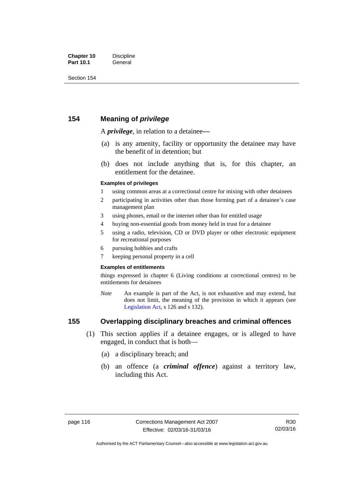## **154 Meaning of** *privilege*

A *privilege*, in relation to a detainee*—*

- (a) is any amenity, facility or opportunity the detainee may have the benefit of in detention; but
- (b) does not include anything that is, for this chapter, an entitlement for the detainee.

#### **Examples of privileges**

- 1 using common areas at a correctional centre for mixing with other detainees
- 2 participating in activities other than those forming part of a detainee's case management plan
- 3 using phones, email or the internet other than for entitled usage
- 4 buying non-essential goods from money held in trust for a detainee
- 5 using a radio, television, CD or DVD player or other electronic equipment for recreational purposes
- 6 pursuing hobbies and crafts
- 7 keeping personal property in a cell

#### **Examples of entitlements**

things expressed in chapter 6 (Living conditions at correctional centres) to be entitlements for detainees

*Note* An example is part of the Act, is not exhaustive and may extend, but does not limit, the meaning of the provision in which it appears (see [Legislation Act,](http://www.legislation.act.gov.au/a/2001-14) s 126 and s 132).

## **155 Overlapping disciplinary breaches and criminal offences**

- (1) This section applies if a detainee engages, or is alleged to have engaged, in conduct that is both—
	- (a) a disciplinary breach; and
	- (b) an offence (a *criminal offence*) against a territory law, including this Act.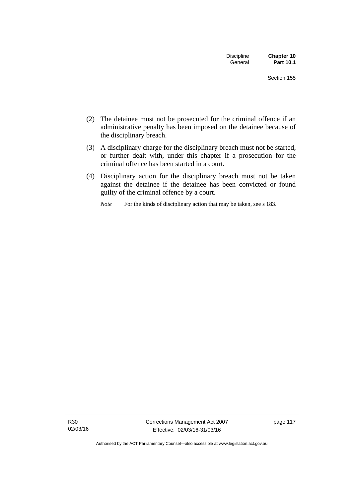| <b>Discipline</b><br>General | Chapter 10<br>Part 10.1 |
|------------------------------|-------------------------|
|                              | Section 155             |

- (2) The detainee must not be prosecuted for the criminal offence if an administrative penalty has been imposed on the detainee because of the disciplinary breach.
- (3) A disciplinary charge for the disciplinary breach must not be started, or further dealt with, under this chapter if a prosecution for the criminal offence has been started in a court.
- (4) Disciplinary action for the disciplinary breach must not be taken against the detainee if the detainee has been convicted or found guilty of the criminal offence by a court.

*Note* For the kinds of disciplinary action that may be taken, see s 183.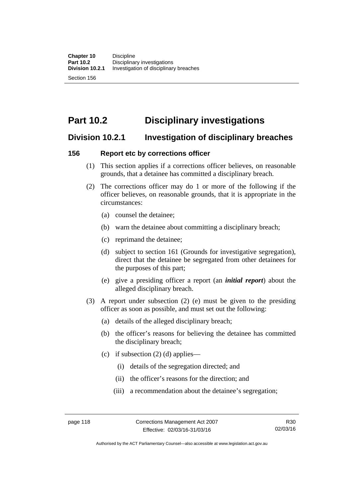Section 156

# **Part 10.2 Disciplinary investigations**

## **Division 10.2.1 Investigation of disciplinary breaches**

## **156 Report etc by corrections officer**

- (1) This section applies if a corrections officer believes, on reasonable grounds, that a detainee has committed a disciplinary breach.
- (2) The corrections officer may do 1 or more of the following if the officer believes, on reasonable grounds, that it is appropriate in the circumstances:
	- (a) counsel the detainee;
	- (b) warn the detainee about committing a disciplinary breach;
	- (c) reprimand the detainee;
	- (d) subject to section 161 (Grounds for investigative segregation), direct that the detainee be segregated from other detainees for the purposes of this part;
	- (e) give a presiding officer a report (an *initial report*) about the alleged disciplinary breach.
- (3) A report under subsection (2) (e) must be given to the presiding officer as soon as possible, and must set out the following:
	- (a) details of the alleged disciplinary breach;
	- (b) the officer's reasons for believing the detainee has committed the disciplinary breach;
	- (c) if subsection  $(2)$  (d) applies—
		- (i) details of the segregation directed; and
		- (ii) the officer's reasons for the direction; and
		- (iii) a recommendation about the detainee's segregation;

Authorised by the ACT Parliamentary Counsel—also accessible at www.legislation.act.gov.au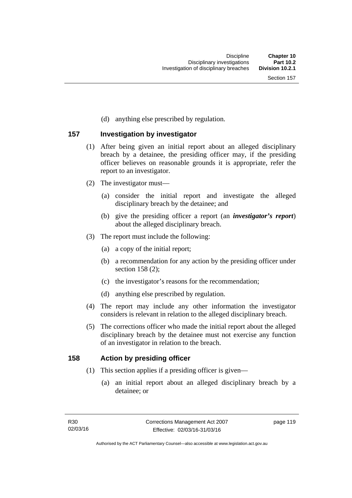(d) anything else prescribed by regulation.

## **157 Investigation by investigator**

- (1) After being given an initial report about an alleged disciplinary breach by a detainee, the presiding officer may, if the presiding officer believes on reasonable grounds it is appropriate, refer the report to an investigator.
- (2) The investigator must—
	- (a) consider the initial report and investigate the alleged disciplinary breach by the detainee; and
	- (b) give the presiding officer a report (an *investigator's report*) about the alleged disciplinary breach.
- (3) The report must include the following:
	- (a) a copy of the initial report;
	- (b) a recommendation for any action by the presiding officer under section 158 (2):
	- (c) the investigator's reasons for the recommendation;
	- (d) anything else prescribed by regulation.
- (4) The report may include any other information the investigator considers is relevant in relation to the alleged disciplinary breach.
- (5) The corrections officer who made the initial report about the alleged disciplinary breach by the detainee must not exercise any function of an investigator in relation to the breach.

### **158 Action by presiding officer**

- (1) This section applies if a presiding officer is given—
	- (a) an initial report about an alleged disciplinary breach by a detainee; or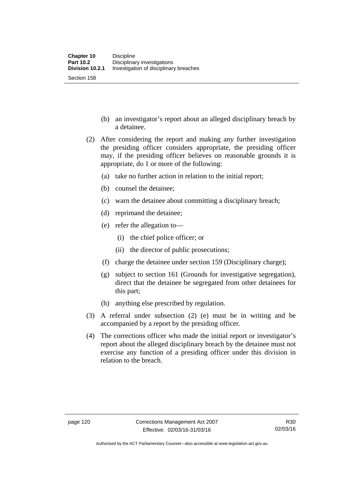- (b) an investigator's report about an alleged disciplinary breach by a detainee.
- (2) After considering the report and making any further investigation the presiding officer considers appropriate, the presiding officer may, if the presiding officer believes on reasonable grounds it is appropriate, do 1 or more of the following:
	- (a) take no further action in relation to the initial report;
	- (b) counsel the detainee;
	- (c) warn the detainee about committing a disciplinary breach;
	- (d) reprimand the detainee;
	- (e) refer the allegation to—
		- (i) the chief police officer; or
		- (ii) the director of public prosecutions;
	- (f) charge the detainee under section 159 (Disciplinary charge);
	- (g) subject to section 161 (Grounds for investigative segregation), direct that the detainee be segregated from other detainees for this part;
	- (h) anything else prescribed by regulation.
- (3) A referral under subsection (2) (e) must be in writing and be accompanied by a report by the presiding officer.
- (4) The corrections officer who made the initial report or investigator's report about the alleged disciplinary breach by the detainee must not exercise any function of a presiding officer under this division in relation to the breach.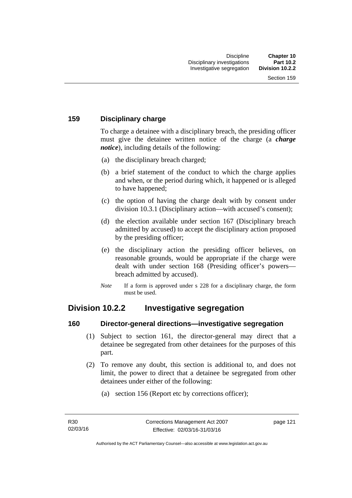## **159 Disciplinary charge**

To charge a detainee with a disciplinary breach, the presiding officer must give the detainee written notice of the charge (a *charge notice*), including details of the following:

- (a) the disciplinary breach charged;
- (b) a brief statement of the conduct to which the charge applies and when, or the period during which, it happened or is alleged to have happened;
- (c) the option of having the charge dealt with by consent under division 10.3.1 (Disciplinary action—with accused's consent);
- (d) the election available under section 167 (Disciplinary breach admitted by accused) to accept the disciplinary action proposed by the presiding officer;
- (e) the disciplinary action the presiding officer believes, on reasonable grounds, would be appropriate if the charge were dealt with under section 168 (Presiding officer's powers breach admitted by accused).
- *Note* If a form is approved under s 228 for a disciplinary charge, the form must be used.

## **Division 10.2.2 Investigative segregation**

### **160 Director-general directions—investigative segregation**

- (1) Subject to section 161, the director-general may direct that a detainee be segregated from other detainees for the purposes of this part.
- (2) To remove any doubt, this section is additional to, and does not limit, the power to direct that a detainee be segregated from other detainees under either of the following:
	- (a) section 156 (Report etc by corrections officer);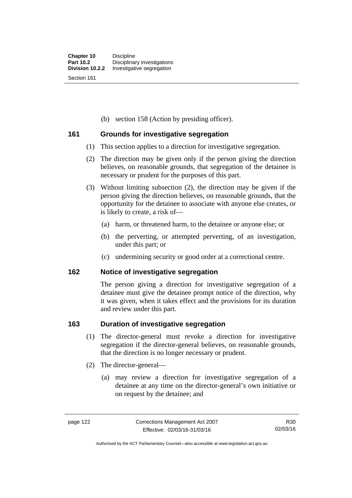(b) section 158 (Action by presiding officer).

### **161 Grounds for investigative segregation**

- (1) This section applies to a direction for investigative segregation.
- (2) The direction may be given only if the person giving the direction believes, on reasonable grounds, that segregation of the detainee is necessary or prudent for the purposes of this part.
- (3) Without limiting subsection (2), the direction may be given if the person giving the direction believes, on reasonable grounds, that the opportunity for the detainee to associate with anyone else creates, or is likely to create, a risk of—
	- (a) harm, or threatened harm, to the detainee or anyone else; or
	- (b) the perverting, or attempted perverting, of an investigation, under this part; or
	- (c) undermining security or good order at a correctional centre.

### **162 Notice of investigative segregation**

The person giving a direction for investigative segregation of a detainee must give the detainee prompt notice of the direction, why it was given, when it takes effect and the provisions for its duration and review under this part.

### **163 Duration of investigative segregation**

- (1) The director-general must revoke a direction for investigative segregation if the director-general believes, on reasonable grounds, that the direction is no longer necessary or prudent.
- (2) The director-general—
	- (a) may review a direction for investigative segregation of a detainee at any time on the director-general's own initiative or on request by the detainee; and

Authorised by the ACT Parliamentary Counsel—also accessible at www.legislation.act.gov.au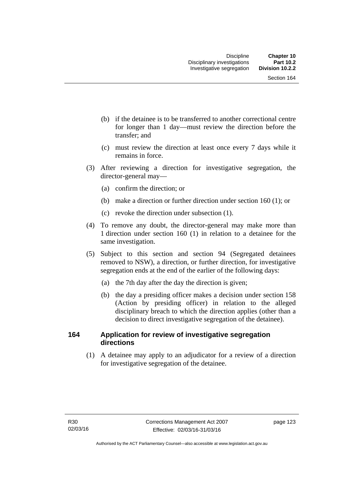- (b) if the detainee is to be transferred to another correctional centre for longer than 1 day—must review the direction before the transfer; and
- (c) must review the direction at least once every 7 days while it remains in force.
- (3) After reviewing a direction for investigative segregation, the director-general may—
	- (a) confirm the direction; or
	- (b) make a direction or further direction under section 160 (1); or
	- (c) revoke the direction under subsection (1).
- (4) To remove any doubt, the director-general may make more than 1 direction under section 160 (1) in relation to a detainee for the same investigation.
- (5) Subject to this section and section 94 (Segregated detainees removed to NSW), a direction, or further direction, for investigative segregation ends at the end of the earlier of the following days:
	- (a) the 7th day after the day the direction is given;
	- (b) the day a presiding officer makes a decision under section 158 (Action by presiding officer) in relation to the alleged disciplinary breach to which the direction applies (other than a decision to direct investigative segregation of the detainee).

## **164 Application for review of investigative segregation directions**

(1) A detainee may apply to an adjudicator for a review of a direction for investigative segregation of the detainee.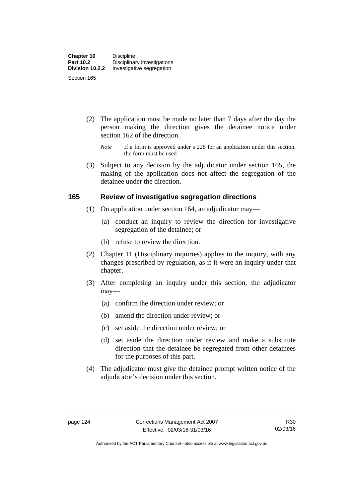- (2) The application must be made no later than 7 days after the day the person making the direction gives the detainee notice under section 162 of the direction.
	- *Note* If a form is approved under s 228 for an application under this section, the form must be used.
- (3) Subject to any decision by the adjudicator under section 165, the making of the application does not affect the segregation of the detainee under the direction.

### **165 Review of investigative segregation directions**

- (1) On application under section 164, an adjudicator may—
	- (a) conduct an inquiry to review the direction for investigative segregation of the detainee; or
	- (b) refuse to review the direction.
- (2) Chapter 11 (Disciplinary inquiries) applies to the inquiry, with any changes prescribed by regulation, as if it were an inquiry under that chapter.
- (3) After completing an inquiry under this section, the adjudicator may—
	- (a) confirm the direction under review; or
	- (b) amend the direction under review; or
	- (c) set aside the direction under review; or
	- (d) set aside the direction under review and make a substitute direction that the detainee be segregated from other detainees for the purposes of this part.
- (4) The adjudicator must give the detainee prompt written notice of the adjudicator's decision under this section.

Authorised by the ACT Parliamentary Counsel—also accessible at www.legislation.act.gov.au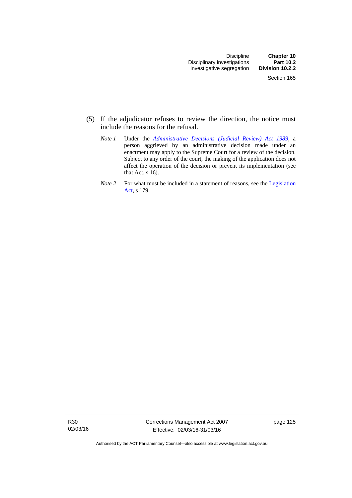- (5) If the adjudicator refuses to review the direction, the notice must include the reasons for the refusal.
	- *Note 1* Under the *[Administrative Decisions \(Judicial Review\) Act 1989](http://www.legislation.act.gov.au/a/alt_a1989-33co)*, a person aggrieved by an administrative decision made under an enactment may apply to the Supreme Court for a review of the decision. Subject to any order of the court, the making of the application does not affect the operation of the decision or prevent its implementation (see that Act, s 16).
	- *Note 2* For what must be included in a statement of reasons, see the Legislation [Act,](http://www.legislation.act.gov.au/a/2001-14) s 179.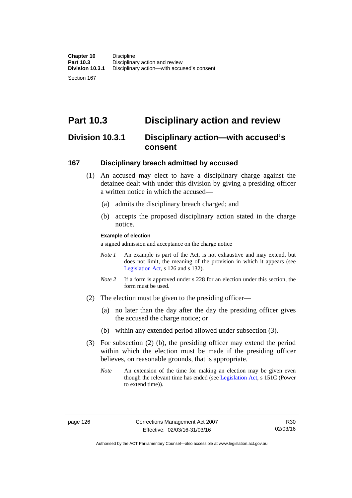Section 167

# **Part 10.3 Disciplinary action and review**

## **Division 10.3.1 Disciplinary action—with accused's consent**

### **167 Disciplinary breach admitted by accused**

- (1) An accused may elect to have a disciplinary charge against the detainee dealt with under this division by giving a presiding officer a written notice in which the accused-
	- (a) admits the disciplinary breach charged; and
	- (b) accepts the proposed disciplinary action stated in the charge notice.

#### **Example of election**

a signed admission and acceptance on the charge notice

- *Note 1* An example is part of the Act, is not exhaustive and may extend, but does not limit, the meaning of the provision in which it appears (see [Legislation Act,](http://www.legislation.act.gov.au/a/2001-14) s 126 and s 132).
- *Note* 2 If a form is approved under s 228 for an election under this section, the form must be used.
- (2) The election must be given to the presiding officer—
	- (a) no later than the day after the day the presiding officer gives the accused the charge notice; or
	- (b) within any extended period allowed under subsection (3).
- (3) For subsection (2) (b), the presiding officer may extend the period within which the election must be made if the presiding officer believes, on reasonable grounds, that is appropriate.
	- *Note* An extension of the time for making an election may be given even though the relevant time has ended (see [Legislation Act](http://www.legislation.act.gov.au/a/2001-14), s 151C (Power to extend time)).

Authorised by the ACT Parliamentary Counsel—also accessible at www.legislation.act.gov.au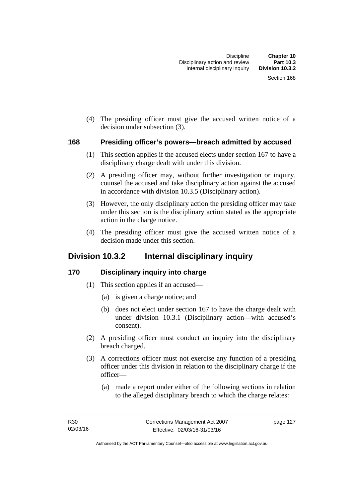(4) The presiding officer must give the accused written notice of a decision under subsection (3).

#### **168 Presiding officer's powers—breach admitted by accused**

- (1) This section applies if the accused elects under section 167 to have a disciplinary charge dealt with under this division.
- (2) A presiding officer may, without further investigation or inquiry, counsel the accused and take disciplinary action against the accused in accordance with division 10.3.5 (Disciplinary action).
- (3) However, the only disciplinary action the presiding officer may take under this section is the disciplinary action stated as the appropriate action in the charge notice.
- (4) The presiding officer must give the accused written notice of a decision made under this section.

## **Division 10.3.2 Internal disciplinary inquiry**

## **170 Disciplinary inquiry into charge**

- (1) This section applies if an accused—
	- (a) is given a charge notice; and
	- (b) does not elect under section 167 to have the charge dealt with under division 10.3.1 (Disciplinary action—with accused's consent).
- (2) A presiding officer must conduct an inquiry into the disciplinary breach charged.
- (3) A corrections officer must not exercise any function of a presiding officer under this division in relation to the disciplinary charge if the officer—
	- (a) made a report under either of the following sections in relation to the alleged disciplinary breach to which the charge relates: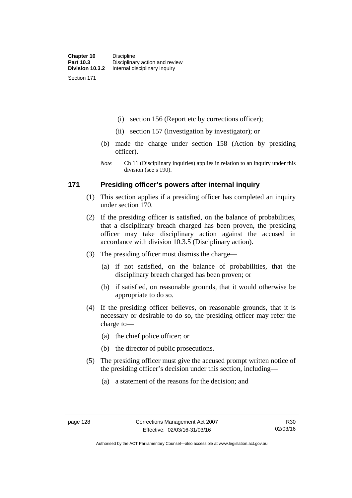Section 171

(i) section 156 (Report etc by corrections officer);

- (ii) section 157 (Investigation by investigator); or
- (b) made the charge under section 158 (Action by presiding officer).
- *Note* Ch 11 (Disciplinary inquiries) applies in relation to an inquiry under this division (see s 190).

### **171 Presiding officer's powers after internal inquiry**

- (1) This section applies if a presiding officer has completed an inquiry under section 170.
- (2) If the presiding officer is satisfied, on the balance of probabilities, that a disciplinary breach charged has been proven, the presiding officer may take disciplinary action against the accused in accordance with division 10.3.5 (Disciplinary action).
- (3) The presiding officer must dismiss the charge—
	- (a) if not satisfied, on the balance of probabilities, that the disciplinary breach charged has been proven; or
	- (b) if satisfied, on reasonable grounds, that it would otherwise be appropriate to do so.
- (4) If the presiding officer believes, on reasonable grounds, that it is necessary or desirable to do so, the presiding officer may refer the charge to—
	- (a) the chief police officer; or
	- (b) the director of public prosecutions.
- (5) The presiding officer must give the accused prompt written notice of the presiding officer's decision under this section, including—
	- (a) a statement of the reasons for the decision; and

Authorised by the ACT Parliamentary Counsel—also accessible at www.legislation.act.gov.au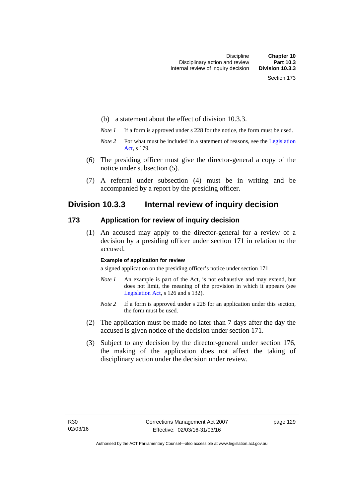- (b) a statement about the effect of division 10.3.3.
- *Note 1* If a form is approved under s 228 for the notice, the form must be used.
- *Note 2* For what must be included in a statement of reasons, see the Legislation [Act,](http://www.legislation.act.gov.au/a/2001-14) s 179.
- (6) The presiding officer must give the director-general a copy of the notice under subsection (5).
- (7) A referral under subsection (4) must be in writing and be accompanied by a report by the presiding officer.

## **Division 10.3.3 Internal review of inquiry decision**

#### **173 Application for review of inquiry decision**

 (1) An accused may apply to the director-general for a review of a decision by a presiding officer under section 171 in relation to the accused.

#### **Example of application for review**

a signed application on the presiding officer's notice under section 171

- *Note 1* An example is part of the Act, is not exhaustive and may extend, but does not limit, the meaning of the provision in which it appears (see [Legislation Act,](http://www.legislation.act.gov.au/a/2001-14) s 126 and s 132).
- *Note 2* If a form is approved under s 228 for an application under this section, the form must be used.
- (2) The application must be made no later than 7 days after the day the accused is given notice of the decision under section 171.
- (3) Subject to any decision by the director-general under section 176, the making of the application does not affect the taking of disciplinary action under the decision under review.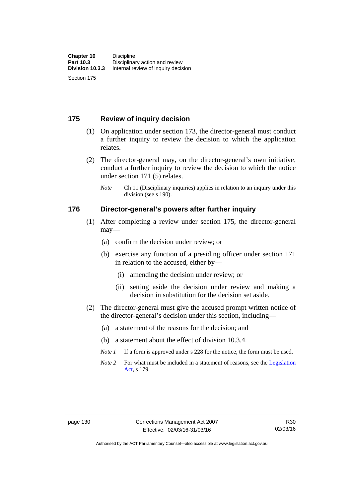## **175 Review of inquiry decision**

- (1) On application under section 173, the director-general must conduct a further inquiry to review the decision to which the application relates.
- (2) The director-general may, on the director-general's own initiative, conduct a further inquiry to review the decision to which the notice under section 171 (5) relates.
	- *Note* Ch 11 (Disciplinary inquiries) applies in relation to an inquiry under this division (see s 190).

#### **176 Director-general's powers after further inquiry**

- (1) After completing a review under section 175, the director-general may—
	- (a) confirm the decision under review; or
	- (b) exercise any function of a presiding officer under section 171 in relation to the accused, either by—
		- (i) amending the decision under review; or
		- (ii) setting aside the decision under review and making a decision in substitution for the decision set aside.
- (2) The director-general must give the accused prompt written notice of the director-general's decision under this section, including—
	- (a) a statement of the reasons for the decision; and
	- (b) a statement about the effect of division 10.3.4.
	- *Note 1* If a form is approved under s 228 for the notice, the form must be used.
	- *Note* 2 For what must be included in a statement of reasons, see the Legislation [Act,](http://www.legislation.act.gov.au/a/2001-14) s 179.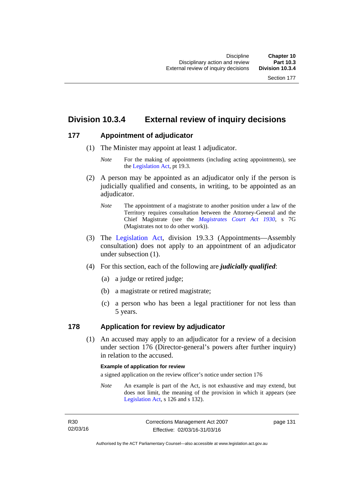### **Division 10.3.4 External review of inquiry decisions**

### **177 Appointment of adjudicator**

- (1) The Minister may appoint at least 1 adjudicator.
	- *Note* For the making of appointments (including acting appointments), see the [Legislation Act,](http://www.legislation.act.gov.au/a/2001-14) pt 19.3.
- (2) A person may be appointed as an adjudicator only if the person is judicially qualified and consents, in writing, to be appointed as an adjudicator.
	- *Note* The appointment of a magistrate to another position under a law of the Territory requires consultation between the Attorney-General and the Chief Magistrate (see the *[Magistrates Court Act 1930](http://www.legislation.act.gov.au/a/1930-21)*, s 7G (Magistrates not to do other work)).
- (3) The [Legislation Act,](http://www.legislation.act.gov.au/a/2001-14) division 19.3.3 (Appointments—Assembly consultation) does not apply to an appointment of an adjudicator under subsection (1).
- (4) For this section, each of the following are *judicially qualified*:
	- (a) a judge or retired judge;
	- (b) a magistrate or retired magistrate;
	- (c) a person who has been a legal practitioner for not less than 5 years.

### **178 Application for review by adjudicator**

 (1) An accused may apply to an adjudicator for a review of a decision under section 176 (Director-general's powers after further inquiry) in relation to the accused.

#### **Example of application for review**

a signed application on the review officer's notice under section 176

*Note* An example is part of the Act, is not exhaustive and may extend, but does not limit, the meaning of the provision in which it appears (see [Legislation Act,](http://www.legislation.act.gov.au/a/2001-14) s 126 and s 132).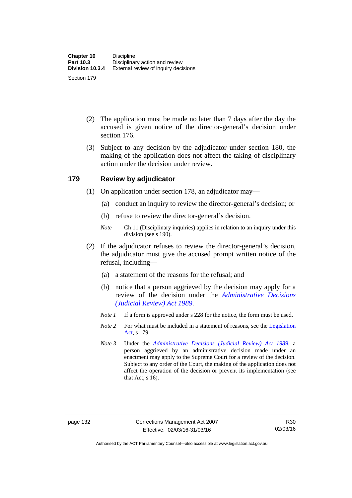- (2) The application must be made no later than 7 days after the day the accused is given notice of the director-general's decision under section 176.
- (3) Subject to any decision by the adjudicator under section 180, the making of the application does not affect the taking of disciplinary action under the decision under review.

### **179 Review by adjudicator**

- (1) On application under section 178, an adjudicator may—
	- (a) conduct an inquiry to review the director-general's decision; or
	- (b) refuse to review the director-general's decision.
	- *Note* Ch 11 (Disciplinary inquiries) applies in relation to an inquiry under this division (see s 190).
- (2) If the adjudicator refuses to review the director-general's decision, the adjudicator must give the accused prompt written notice of the refusal, including—
	- (a) a statement of the reasons for the refusal; and
	- (b) notice that a person aggrieved by the decision may apply for a review of the decision under the *[Administrative Decisions](http://www.legislation.act.gov.au/a/alt_a1989-33co)  [\(Judicial Review\) Act 1989](http://www.legislation.act.gov.au/a/alt_a1989-33co)*.
	- *Note 1* If a form is approved under s 228 for the notice, the form must be used.
	- *Note 2* For what must be included in a statement of reasons, see the Legislation [Act,](http://www.legislation.act.gov.au/a/2001-14) s 179.
	- *Note 3* Under the *[Administrative Decisions \(Judicial Review\) Act 1989](http://www.legislation.act.gov.au/a/alt_a1989-33co)*, a person aggrieved by an administrative decision made under an enactment may apply to the Supreme Court for a review of the decision. Subject to any order of the Court, the making of the application does not affect the operation of the decision or prevent its implementation (see that Act, s 16).

Authorised by the ACT Parliamentary Counsel—also accessible at www.legislation.act.gov.au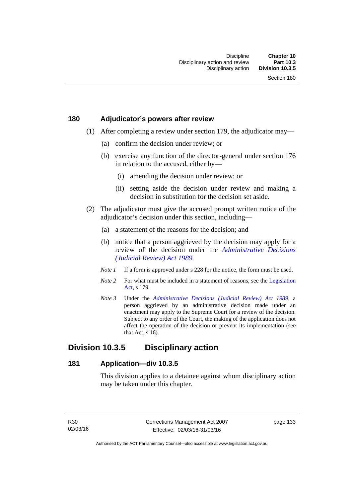### **180 Adjudicator's powers after review**

- (1) After completing a review under section 179, the adjudicator may—
	- (a) confirm the decision under review; or
	- (b) exercise any function of the director-general under section 176 in relation to the accused, either by—
		- (i) amending the decision under review; or
		- (ii) setting aside the decision under review and making a decision in substitution for the decision set aside.
- (2) The adjudicator must give the accused prompt written notice of the adjudicator's decision under this section, including—
	- (a) a statement of the reasons for the decision; and
	- (b) notice that a person aggrieved by the decision may apply for a review of the decision under the *[Administrative Decisions](http://www.legislation.act.gov.au/a/alt_a1989-33co)  [\(Judicial Review\) Act 1989](http://www.legislation.act.gov.au/a/alt_a1989-33co)*.
	- *Note 1* If a form is approved under s 228 for the notice, the form must be used.
	- *Note* 2 For what must be included in a statement of reasons, see the Legislation [Act,](http://www.legislation.act.gov.au/a/2001-14) s 179.
	- *Note 3* Under the *[Administrative Decisions \(Judicial Review\) Act 1989](http://www.legislation.act.gov.au/a/alt_a1989-33co)*, a person aggrieved by an administrative decision made under an enactment may apply to the Supreme Court for a review of the decision. Subject to any order of the Court, the making of the application does not affect the operation of the decision or prevent its implementation (see that Act, s 16).

### **Division 10.3.5 Disciplinary action**

### **181 Application—div 10.3.5**

This division applies to a detainee against whom disciplinary action may be taken under this chapter.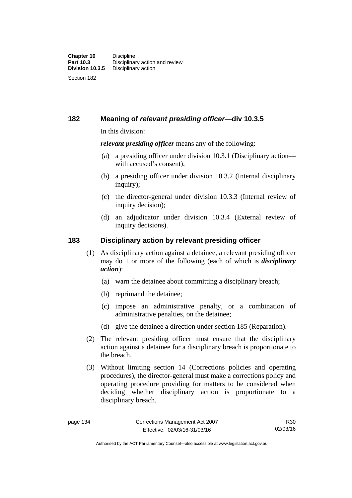**182 Meaning of** *relevant presiding officer***—div 10.3.5**

In this division:

*relevant presiding officer* means any of the following:

- (a) a presiding officer under division 10.3.1 (Disciplinary action with accused's consent);
- (b) a presiding officer under division 10.3.2 (Internal disciplinary inquiry);
- (c) the director-general under division 10.3.3 (Internal review of inquiry decision):
- (d) an adjudicator under division 10.3.4 (External review of inquiry decisions).

### **183 Disciplinary action by relevant presiding officer**

- (1) As disciplinary action against a detainee, a relevant presiding officer may do 1 or more of the following (each of which is *disciplinary action*):
	- (a) warn the detainee about committing a disciplinary breach;
	- (b) reprimand the detainee;
	- (c) impose an administrative penalty, or a combination of administrative penalties, on the detainee;
	- (d) give the detainee a direction under section 185 (Reparation).
- (2) The relevant presiding officer must ensure that the disciplinary action against a detainee for a disciplinary breach is proportionate to the breach.
- (3) Without limiting section 14 (Corrections policies and operating procedures), the director-general must make a corrections policy and operating procedure providing for matters to be considered when deciding whether disciplinary action is proportionate to a disciplinary breach.

R30 02/03/16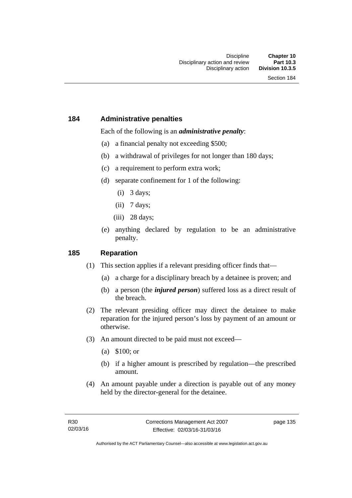### **184 Administrative penalties**

Each of the following is an *administrative penalty*:

- (a) a financial penalty not exceeding \$500;
- (b) a withdrawal of privileges for not longer than 180 days;
- (c) a requirement to perform extra work;
- (d) separate confinement for 1 of the following:
	- (i) 3 days;
	- $(ii)$  7 days;
	- (iii) 28 days:
- (e) anything declared by regulation to be an administrative penalty.

### **185 Reparation**

- (1) This section applies if a relevant presiding officer finds that—
	- (a) a charge for a disciplinary breach by a detainee is proven; and
	- (b) a person (the *injured person*) suffered loss as a direct result of the breach.
- (2) The relevant presiding officer may direct the detainee to make reparation for the injured person's loss by payment of an amount or otherwise.
- (3) An amount directed to be paid must not exceed—
	- (a) \$100; or
	- (b) if a higher amount is prescribed by regulation—the prescribed amount.
- (4) An amount payable under a direction is payable out of any money held by the director-general for the detainee.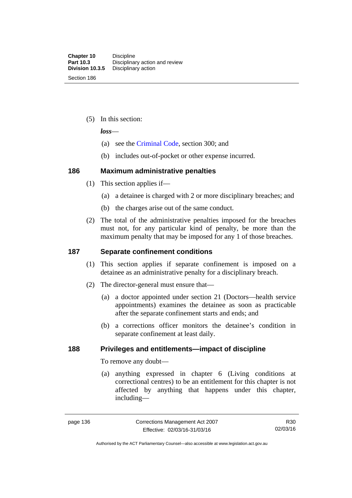(5) In this section:

*loss*—

- (a) see the [Criminal Code](http://www.legislation.act.gov.au/a/2002-51), section 300; and
- (b) includes out-of-pocket or other expense incurred.

### **186 Maximum administrative penalties**

- (1) This section applies if—
	- (a) a detainee is charged with 2 or more disciplinary breaches; and
	- (b) the charges arise out of the same conduct.
- (2) The total of the administrative penalties imposed for the breaches must not, for any particular kind of penalty, be more than the maximum penalty that may be imposed for any 1 of those breaches.

### **187 Separate confinement conditions**

- (1) This section applies if separate confinement is imposed on a detainee as an administrative penalty for a disciplinary breach.
- (2) The director-general must ensure that—
	- (a) a doctor appointed under section 21 (Doctors—health service appointments) examines the detainee as soon as practicable after the separate confinement starts and ends; and
	- (b) a corrections officer monitors the detainee's condition in separate confinement at least daily.

### **188 Privileges and entitlements—impact of discipline**

To remove any doubt—

 (a) anything expressed in chapter 6 (Living conditions at correctional centres) to be an entitlement for this chapter is not affected by anything that happens under this chapter, including—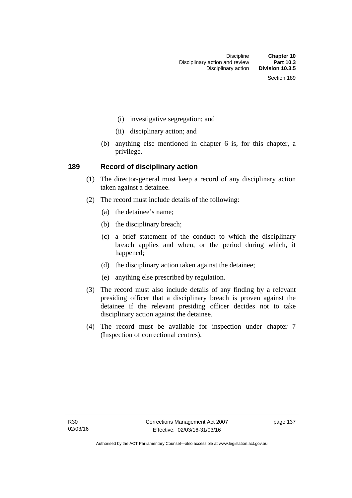- (i) investigative segregation; and
- (ii) disciplinary action; and
- (b) anything else mentioned in chapter 6 is, for this chapter, a privilege.

### **189 Record of disciplinary action**

- (1) The director-general must keep a record of any disciplinary action taken against a detainee.
- (2) The record must include details of the following:
	- (a) the detainee's name;
	- (b) the disciplinary breach;
	- (c) a brief statement of the conduct to which the disciplinary breach applies and when, or the period during which, it happened;
	- (d) the disciplinary action taken against the detainee;
	- (e) anything else prescribed by regulation.
- (3) The record must also include details of any finding by a relevant presiding officer that a disciplinary breach is proven against the detainee if the relevant presiding officer decides not to take disciplinary action against the detainee.
- (4) The record must be available for inspection under chapter 7 (Inspection of correctional centres).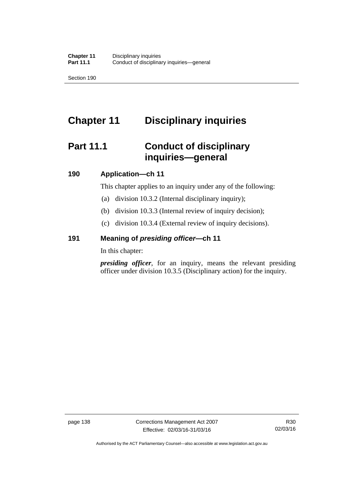Section 190

# **Chapter 11 Disciplinary inquiries**

# **Part 11.1 Conduct of disciplinary inquiries—general**

### **190 Application—ch 11**

This chapter applies to an inquiry under any of the following:

- (a) division 10.3.2 (Internal disciplinary inquiry);
- (b) division 10.3.3 (Internal review of inquiry decision);
- (c) division 10.3.4 (External review of inquiry decisions).

### **191 Meaning of** *presiding officer—***ch 11**

In this chapter:

*presiding officer*, for an inquiry, means the relevant presiding officer under division 10.3.5 (Disciplinary action) for the inquiry.

Authorised by the ACT Parliamentary Counsel—also accessible at www.legislation.act.gov.au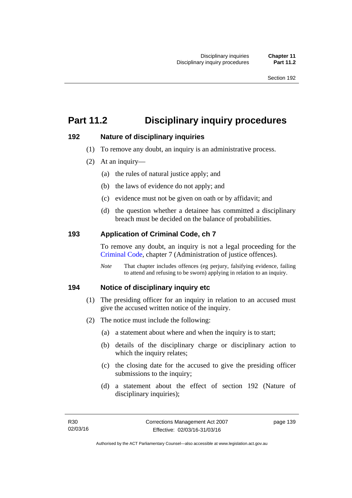# **Part 11.2 Disciplinary inquiry procedures**

### **192 Nature of disciplinary inquiries**

- (1) To remove any doubt, an inquiry is an administrative process.
- (2) At an inquiry—
	- (a) the rules of natural justice apply; and
	- (b) the laws of evidence do not apply; and
	- (c) evidence must not be given on oath or by affidavit; and
	- (d) the question whether a detainee has committed a disciplinary breach must be decided on the balance of probabilities.

### **193 Application of Criminal Code, ch 7**

To remove any doubt, an inquiry is not a legal proceeding for the [Criminal Code](http://www.legislation.act.gov.au/a/2002-51), chapter 7 (Administration of justice offences).

*Note* That chapter includes offences (eg perjury, falsifying evidence, failing to attend and refusing to be sworn) applying in relation to an inquiry.

### **194 Notice of disciplinary inquiry etc**

- (1) The presiding officer for an inquiry in relation to an accused must give the accused written notice of the inquiry.
- (2) The notice must include the following:
	- (a) a statement about where and when the inquiry is to start;
	- (b) details of the disciplinary charge or disciplinary action to which the inquiry relates:
	- (c) the closing date for the accused to give the presiding officer submissions to the inquiry;
	- (d) a statement about the effect of section 192 (Nature of disciplinary inquiries);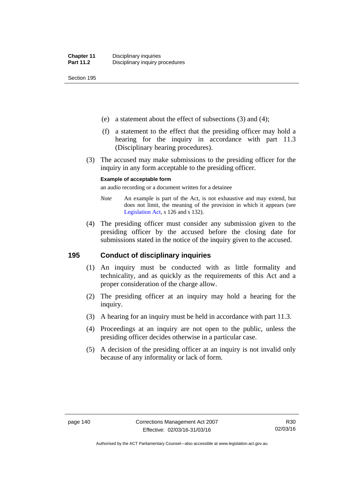Section 195

- (e) a statement about the effect of subsections (3) and (4);
- (f) a statement to the effect that the presiding officer may hold a hearing for the inquiry in accordance with part 11.3 (Disciplinary hearing procedures).
- (3) The accused may make submissions to the presiding officer for the inquiry in any form acceptable to the presiding officer.

#### **Example of acceptable form**

an audio recording or a document written for a detainee

- *Note* An example is part of the Act, is not exhaustive and may extend, but does not limit, the meaning of the provision in which it appears (see [Legislation Act,](http://www.legislation.act.gov.au/a/2001-14) s 126 and s 132).
- (4) The presiding officer must consider any submission given to the presiding officer by the accused before the closing date for submissions stated in the notice of the inquiry given to the accused.

### **195 Conduct of disciplinary inquiries**

- (1) An inquiry must be conducted with as little formality and technicality, and as quickly as the requirements of this Act and a proper consideration of the charge allow.
- (2) The presiding officer at an inquiry may hold a hearing for the inquiry.
- (3) A hearing for an inquiry must be held in accordance with part 11.3.
- (4) Proceedings at an inquiry are not open to the public, unless the presiding officer decides otherwise in a particular case.
- (5) A decision of the presiding officer at an inquiry is not invalid only because of any informality or lack of form.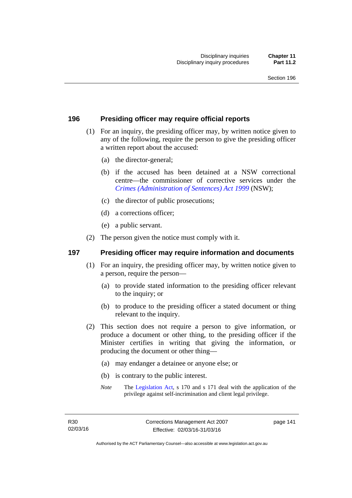### **196 Presiding officer may require official reports**

- (1) For an inquiry, the presiding officer may, by written notice given to any of the following, require the person to give the presiding officer a written report about the accused:
	- (a) the director-general;
	- (b) if the accused has been detained at a NSW correctional centre—the commissioner of corrective services under the *[Crimes \(Administration of Sentences\) Act 1999](http://www.legislation.nsw.gov.au/maintop/view/inforce/act+93+1999+cd+0+N)* (NSW);
	- (c) the director of public prosecutions;
	- (d) a corrections officer;
	- (e) a public servant.
- (2) The person given the notice must comply with it.

### **197 Presiding officer may require information and documents**

- (1) For an inquiry, the presiding officer may, by written notice given to a person, require the person—
	- (a) to provide stated information to the presiding officer relevant to the inquiry; or
	- (b) to produce to the presiding officer a stated document or thing relevant to the inquiry.
- (2) This section does not require a person to give information, or produce a document or other thing, to the presiding officer if the Minister certifies in writing that giving the information, or producing the document or other thing—
	- (a) may endanger a detainee or anyone else; or
	- (b) is contrary to the public interest.
	- *Note* The [Legislation Act,](http://www.legislation.act.gov.au/a/2001-14) s 170 and s 171 deal with the application of the privilege against self-incrimination and client legal privilege.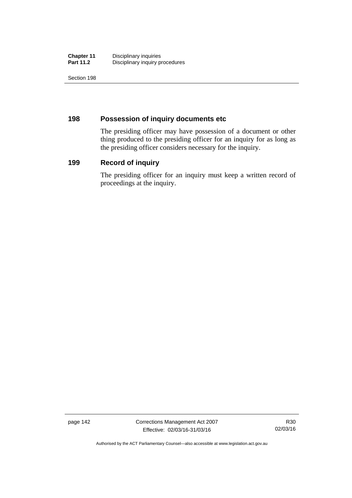| <b>Chapter 11</b> | Disciplinary inquiries          |
|-------------------|---------------------------------|
| <b>Part 11.2</b>  | Disciplinary inquiry procedures |

Section 198

### **198 Possession of inquiry documents etc**

The presiding officer may have possession of a document or other thing produced to the presiding officer for an inquiry for as long as the presiding officer considers necessary for the inquiry.

### **199 Record of inquiry**

The presiding officer for an inquiry must keep a written record of proceedings at the inquiry.

page 142 Corrections Management Act 2007 Effective: 02/03/16-31/03/16

R30 02/03/16

Authorised by the ACT Parliamentary Counsel—also accessible at www.legislation.act.gov.au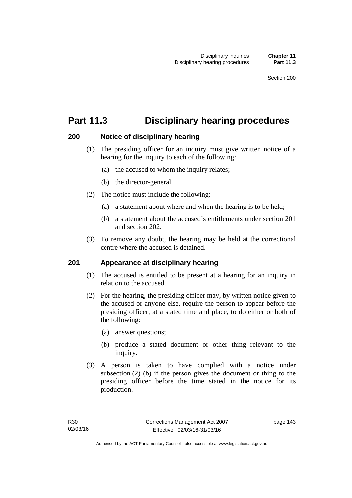# **Part 11.3 Disciplinary hearing procedures**

### **200 Notice of disciplinary hearing**

- (1) The presiding officer for an inquiry must give written notice of a hearing for the inquiry to each of the following:
	- (a) the accused to whom the inquiry relates;
	- (b) the director-general.
- (2) The notice must include the following:
	- (a) a statement about where and when the hearing is to be held;
	- (b) a statement about the accused's entitlements under section 201 and section 202.
- (3) To remove any doubt, the hearing may be held at the correctional centre where the accused is detained.

### **201 Appearance at disciplinary hearing**

- (1) The accused is entitled to be present at a hearing for an inquiry in relation to the accused.
- (2) For the hearing, the presiding officer may, by written notice given to the accused or anyone else, require the person to appear before the presiding officer, at a stated time and place, to do either or both of the following:
	- (a) answer questions;
	- (b) produce a stated document or other thing relevant to the inquiry.
- (3) A person is taken to have complied with a notice under subsection (2) (b) if the person gives the document or thing to the presiding officer before the time stated in the notice for its production.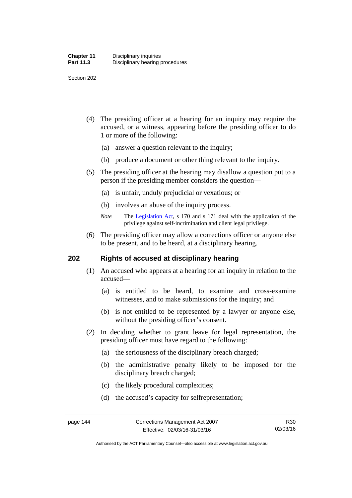Section 202

- (4) The presiding officer at a hearing for an inquiry may require the accused, or a witness, appearing before the presiding officer to do 1 or more of the following:
	- (a) answer a question relevant to the inquiry;
	- (b) produce a document or other thing relevant to the inquiry.
- (5) The presiding officer at the hearing may disallow a question put to a person if the presiding member considers the question—
	- (a) is unfair, unduly prejudicial or vexatious; or
	- (b) involves an abuse of the inquiry process.
	- *Note* The [Legislation Act,](http://www.legislation.act.gov.au/a/2001-14) s 170 and s 171 deal with the application of the privilege against self-incrimination and client legal privilege.
- (6) The presiding officer may allow a corrections officer or anyone else to be present, and to be heard, at a disciplinary hearing.

### **202 Rights of accused at disciplinary hearing**

- (1) An accused who appears at a hearing for an inquiry in relation to the accused—
	- (a) is entitled to be heard, to examine and cross-examine witnesses, and to make submissions for the inquiry; and
	- (b) is not entitled to be represented by a lawyer or anyone else, without the presiding officer's consent.
- (2) In deciding whether to grant leave for legal representation, the presiding officer must have regard to the following:
	- (a) the seriousness of the disciplinary breach charged;
	- (b) the administrative penalty likely to be imposed for the disciplinary breach charged;
	- (c) the likely procedural complexities;
	- (d) the accused's capacity for selfrepresentation;

Authorised by the ACT Parliamentary Counsel—also accessible at www.legislation.act.gov.au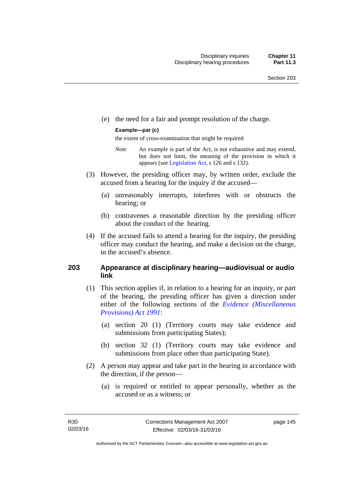(e) the need for a fair and prompt resolution of the charge.

#### **Example—par (c)**

the extent of cross-examination that might be required

- *Note* An example is part of the Act, is not exhaustive and may extend, but does not limit, the meaning of the provision in which it appears (see [Legislation Act,](http://www.legislation.act.gov.au/a/2001-14) s 126 and s 132).
- (3) However, the presiding officer may, by written order, exclude the accused from a hearing for the inquiry if the accused—
	- (a) unreasonably interrupts, interferes with or obstructs the hearing; or
	- (b) contravenes a reasonable direction by the presiding officer about the conduct of the hearing.
- (4) If the accused fails to attend a hearing for the inquiry, the presiding officer may conduct the hearing, and make a decision on the charge, in the accused's absence.

### **203 Appearance at disciplinary hearing—audiovisual or audio link**

- (1) This section applies if, in relation to a hearing for an inquiry, or part of the hearing, the presiding officer has given a direction under either of the following sections of the *[Evidence \(Miscellaneous](http://www.legislation.act.gov.au/a/1991-34)  [Provisions\) Act 1991](http://www.legislation.act.gov.au/a/1991-34)*:
	- (a) section 20 (1) (Territory courts may take evidence and submissions from participating States);
	- (b) section 32 (1) (Territory courts may take evidence and submissions from place other than participating State).
- (2) A person may appear and take part in the hearing in accordance with the direction, if the person—
	- (a) is required or entitled to appear personally, whether as the accused or as a witness; or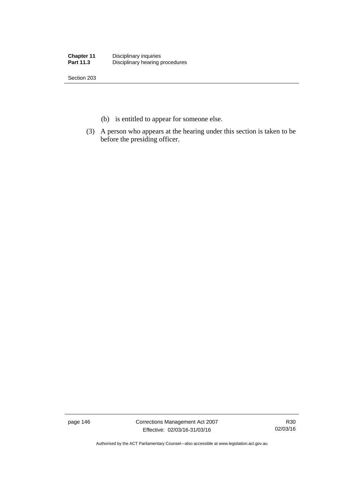| <b>Chapter 11</b> | Disciplinary inquiries          |
|-------------------|---------------------------------|
| <b>Part 11.3</b>  | Disciplinary hearing procedures |

Section 203

- (b) is entitled to appear for someone else.
- (3) A person who appears at the hearing under this section is taken to be before the presiding officer.

page 146 Corrections Management Act 2007 Effective: 02/03/16-31/03/16

R30 02/03/16

Authorised by the ACT Parliamentary Counsel—also accessible at www.legislation.act.gov.au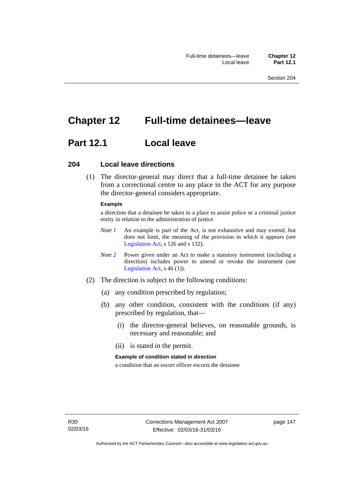# **Chapter 12 Full-time detainees—leave**

## **Part 12.1 Local leave**

### **204 Local leave directions**

 (1) The director-general may direct that a full-time detainee be taken from a correctional centre to any place in the ACT for any purpose the director-general considers appropriate.

#### **Example**

a direction that a detainee be taken to a place to assist police or a criminal justice entity in relation to the administration of justice

- *Note 1* An example is part of the Act, is not exhaustive and may extend, but does not limit, the meaning of the provision in which it appears (see [Legislation Act,](http://www.legislation.act.gov.au/a/2001-14) s 126 and s 132).
- *Note 2* Power given under an Act to make a statutory instrument (including a direction) includes power to amend or revoke the instrument (see [Legislation Act,](http://www.legislation.act.gov.au/a/2001-14) s 46 (1)).
- (2) The direction is subject to the following conditions:
	- (a) any condition prescribed by regulation;
	- (b) any other condition, consistent with the conditions (if any) prescribed by regulation, that—
		- (i) the director-general believes, on reasonable grounds, is necessary and reasonable; and
		- (ii) is stated in the permit.

#### **Example of condition stated in direction**

a condition that an escort officer escorts the detainee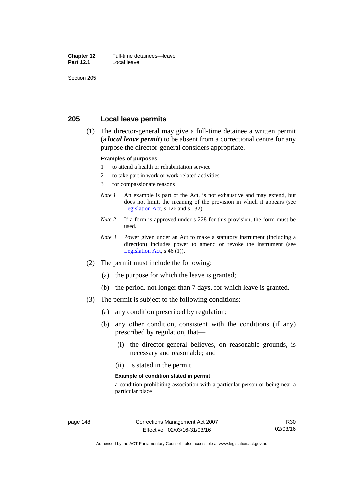#### **Chapter 12** Full-time detainees—leave<br>**Part 12.1** Local leave **Local leave**

Section 205

### **205 Local leave permits**

 (1) The director-general may give a full-time detainee a written permit (a *local leave permit*) to be absent from a correctional centre for any purpose the director-general considers appropriate.

#### **Examples of purposes**

- 1 to attend a health or rehabilitation service
- 2 to take part in work or work-related activities
- 3 for compassionate reasons
- *Note 1* An example is part of the Act, is not exhaustive and may extend, but does not limit, the meaning of the provision in which it appears (see [Legislation Act,](http://www.legislation.act.gov.au/a/2001-14) s 126 and s 132).
- *Note* 2 If a form is approved under s 228 for this provision, the form must be used.
- *Note 3* Power given under an Act to make a statutory instrument (including a direction) includes power to amend or revoke the instrument (see [Legislation Act,](http://www.legislation.act.gov.au/a/2001-14)  $s$  46 (1)).
- (2) The permit must include the following:
	- (a) the purpose for which the leave is granted;
	- (b) the period, not longer than 7 days, for which leave is granted.
- (3) The permit is subject to the following conditions:
	- (a) any condition prescribed by regulation;
	- (b) any other condition, consistent with the conditions (if any) prescribed by regulation, that—
		- (i) the director-general believes, on reasonable grounds, is necessary and reasonable; and
		- (ii) is stated in the permit.

#### **Example of condition stated in permit**

a condition prohibiting association with a particular person or being near a particular place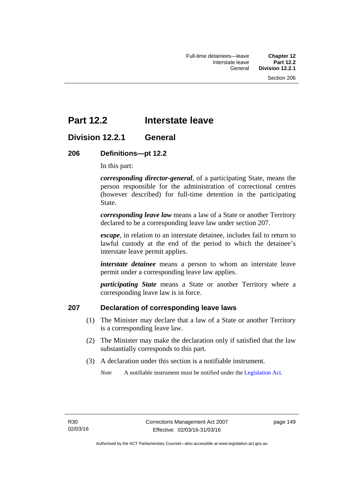## **Part 12.2 Interstate leave**

### **Division 12.2.1 General**

### **206 Definitions—pt 12.2**

In this part:

*corresponding director-general*, of a participating State, means the person responsible for the administration of correctional centres (however described) for full-time detention in the participating State.

*corresponding leave law* means a law of a State or another Territory declared to be a corresponding leave law under section 207.

*escape*, in relation to an interstate detainee, includes fail to return to lawful custody at the end of the period to which the detainee's interstate leave permit applies.

*interstate detainee* means a person to whom an interstate leave permit under a corresponding leave law applies.

*participating State* means a State or another Territory where a corresponding leave law is in force.

### **207 Declaration of corresponding leave laws**

- (1) The Minister may declare that a law of a State or another Territory is a corresponding leave law.
- (2) The Minister may make the declaration only if satisfied that the law substantially corresponds to this part.
- (3) A declaration under this section is a notifiable instrument.

*Note* A notifiable instrument must be notified under the [Legislation Act](http://www.legislation.act.gov.au/a/2001-14).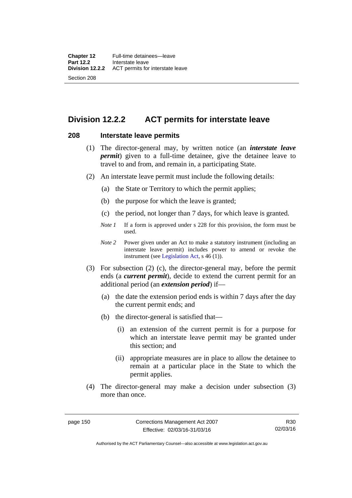### **Division 12.2.2 ACT permits for interstate leave**

### **208 Interstate leave permits**

- (1) The director-general may, by written notice (an *interstate leave permit*) given to a full-time detainee, give the detainee leave to travel to and from, and remain in, a participating State.
- (2) An interstate leave permit must include the following details:
	- (a) the State or Territory to which the permit applies;
	- (b) the purpose for which the leave is granted;
	- (c) the period, not longer than 7 days, for which leave is granted.
	- *Note 1* If a form is approved under s 228 for this provision, the form must be used.
	- *Note 2* Power given under an Act to make a statutory instrument (including an interstate leave permit) includes power to amend or revoke the instrument (see [Legislation Act,](http://www.legislation.act.gov.au/a/2001-14) s 46 (1)).
- (3) For subsection (2) (c), the director-general may, before the permit ends (a *current permit*), decide to extend the current permit for an additional period (an *extension period*) if—
	- (a) the date the extension period ends is within 7 days after the day the current permit ends; and
	- (b) the director-general is satisfied that—
		- (i) an extension of the current permit is for a purpose for which an interstate leave permit may be granted under this section; and
		- (ii) appropriate measures are in place to allow the detainee to remain at a particular place in the State to which the permit applies.
- (4) The director-general may make a decision under subsection (3) more than once.

R30 02/03/16

Authorised by the ACT Parliamentary Counsel—also accessible at www.legislation.act.gov.au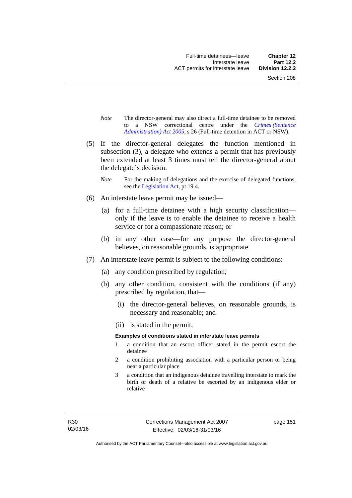- *Note* The director-general may also direct a full-time detainee to be removed to a NSW correctional centre under the *[Crimes \(Sentence](http://www.legislation.act.gov.au/a/2005-59)  [Administration\) Act 2005](http://www.legislation.act.gov.au/a/2005-59)*, s 26 (Full-time detention in ACT or NSW).
- (5) If the director-general delegates the function mentioned in subsection (3), a delegate who extends a permit that has previously been extended at least 3 times must tell the director-general about the delegate's decision.
	- *Note* For the making of delegations and the exercise of delegated functions, see the [Legislation Act,](http://www.legislation.act.gov.au/a/2001-14) pt 19.4.
- (6) An interstate leave permit may be issued—
	- (a) for a full-time detainee with a high security classification only if the leave is to enable the detainee to receive a health service or for a compassionate reason; or
	- (b) in any other case—for any purpose the director-general believes, on reasonable grounds, is appropriate.
- (7) An interstate leave permit is subject to the following conditions:
	- (a) any condition prescribed by regulation;
	- (b) any other condition, consistent with the conditions (if any) prescribed by regulation, that—
		- (i) the director-general believes, on reasonable grounds, is necessary and reasonable; and
		- (ii) is stated in the permit.

#### **Examples of conditions stated in interstate leave permits**

- 1 a condition that an escort officer stated in the permit escort the detainee
- 2 a condition prohibiting association with a particular person or being near a particular place
- 3 a condition that an indigenous detainee travelling interstate to mark the birth or death of a relative be escorted by an indigenous elder or relative

page 151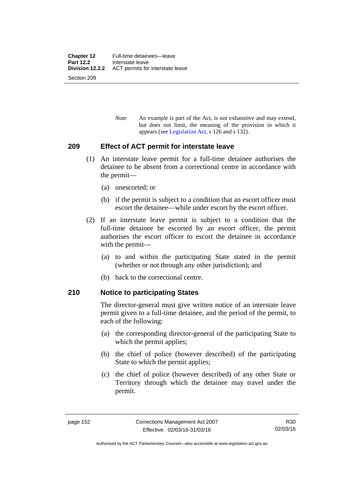*Note* An example is part of the Act, is not exhaustive and may extend, but does not limit, the meaning of the provision in which it appears (see [Legislation Act,](http://www.legislation.act.gov.au/a/2001-14) s 126 and s 132).

### **209 Effect of ACT permit for interstate leave**

- (1) An interstate leave permit for a full-time detainee authorises the detainee to be absent from a correctional centre in accordance with the permit—
	- (a) unescorted; or
	- (b) if the permit is subject to a condition that an escort officer must escort the detainee—while under escort by the escort officer.
- (2) If an interstate leave permit is subject to a condition that the full-time detainee be escorted by an escort officer, the permit authorises the escort officer to escort the detainee in accordance with the permit—
	- (a) to and within the participating State stated in the permit (whether or not through any other jurisdiction); and
	- (b) back to the correctional centre.

### **210 Notice to participating States**

The director-general must give written notice of an interstate leave permit given to a full-time detainee, and the period of the permit, to each of the following:

- (a) the corresponding director-general of the participating State to which the permit applies;
- (b) the chief of police (however described) of the participating State to which the permit applies;
- (c) the chief of police (however described) of any other State or Territory through which the detainee may travel under the permit.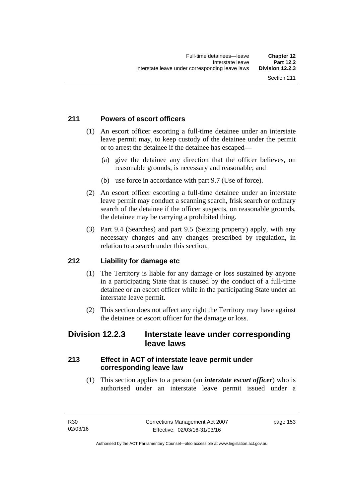### **211 Powers of escort officers**

- (1) An escort officer escorting a full-time detainee under an interstate leave permit may, to keep custody of the detainee under the permit or to arrest the detainee if the detainee has escaped—
	- (a) give the detainee any direction that the officer believes, on reasonable grounds, is necessary and reasonable; and
	- (b) use force in accordance with part 9.7 (Use of force).
- (2) An escort officer escorting a full-time detainee under an interstate leave permit may conduct a scanning search, frisk search or ordinary search of the detainee if the officer suspects, on reasonable grounds, the detainee may be carrying a prohibited thing.
- (3) Part 9.4 (Searches) and part 9.5 (Seizing property) apply, with any necessary changes and any changes prescribed by regulation, in relation to a search under this section.

### **212 Liability for damage etc**

- (1) The Territory is liable for any damage or loss sustained by anyone in a participating State that is caused by the conduct of a full-time detainee or an escort officer while in the participating State under an interstate leave permit.
- (2) This section does not affect any right the Territory may have against the detainee or escort officer for the damage or loss.

### **Division 12.2.3 Interstate leave under corresponding leave laws**

### **213 Effect in ACT of interstate leave permit under corresponding leave law**

 (1) This section applies to a person (an *interstate escort officer*) who is authorised under an interstate leave permit issued under a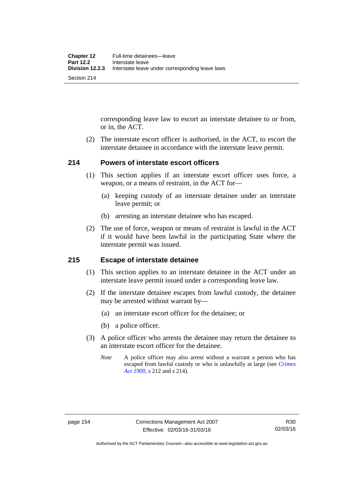corresponding leave law to escort an interstate detainee to or from, or in, the ACT.

 (2) The interstate escort officer is authorised, in the ACT, to escort the interstate detainee in accordance with the interstate leave permit.

### **214 Powers of interstate escort officers**

- (1) This section applies if an interstate escort officer uses force, a weapon, or a means of restraint, in the ACT for—
	- (a) keeping custody of an interstate detainee under an interstate leave permit; or
	- (b) arresting an interstate detainee who has escaped.
- (2) The use of force, weapon or means of restraint is lawful in the ACT if it would have been lawful in the participating State where the interstate permit was issued.

### **215 Escape of interstate detainee**

- (1) This section applies to an interstate detainee in the ACT under an interstate leave permit issued under a corresponding leave law.
- (2) If the interstate detainee escapes from lawful custody, the detainee may be arrested without warrant by—
	- (a) an interstate escort officer for the detainee; or
	- (b) a police officer.
- (3) A police officer who arrests the detainee may return the detainee to an interstate escort officer for the detainee.
	- *Note* A police officer may also arrest without a warrant a person who has escaped from lawful custody or who is unlawfully at large (see *[Crimes](http://www.legislation.act.gov.au/a/1900-40)  [Act 1900](http://www.legislation.act.gov.au/a/1900-40)*, s 212 and s 214).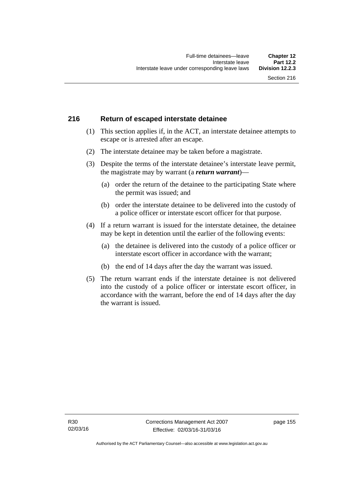### **216 Return of escaped interstate detainee**

- (1) This section applies if, in the ACT, an interstate detainee attempts to escape or is arrested after an escape.
- (2) The interstate detainee may be taken before a magistrate.
- (3) Despite the terms of the interstate detainee's interstate leave permit, the magistrate may by warrant (a *return warrant*)—
	- (a) order the return of the detainee to the participating State where the permit was issued; and
	- (b) order the interstate detainee to be delivered into the custody of a police officer or interstate escort officer for that purpose.
- (4) If a return warrant is issued for the interstate detainee, the detainee may be kept in detention until the earlier of the following events:
	- (a) the detainee is delivered into the custody of a police officer or interstate escort officer in accordance with the warrant;
	- (b) the end of 14 days after the day the warrant was issued.
- (5) The return warrant ends if the interstate detainee is not delivered into the custody of a police officer or interstate escort officer, in accordance with the warrant, before the end of 14 days after the day the warrant is issued.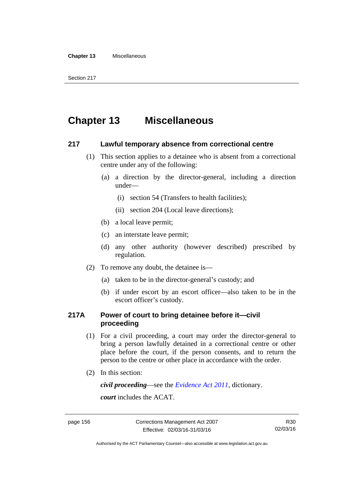#### **Chapter 13** Miscellaneous

Section 217

## **Chapter 13 Miscellaneous**

### **217 Lawful temporary absence from correctional centre**

- (1) This section applies to a detainee who is absent from a correctional centre under any of the following:
	- (a) a direction by the director-general, including a direction under—
		- (i) section 54 (Transfers to health facilities);
		- (ii) section 204 (Local leave directions);
	- (b) a local leave permit;
	- (c) an interstate leave permit;
	- (d) any other authority (however described) prescribed by regulation.
- (2) To remove any doubt, the detainee is—
	- (a) taken to be in the director-general's custody; and
	- (b) if under escort by an escort officer—also taken to be in the escort officer's custody.

### **217A Power of court to bring detainee before it—civil proceeding**

- (1) For a civil proceeding, a court may order the director-general to bring a person lawfully detained in a correctional centre or other place before the court, if the person consents, and to return the person to the centre or other place in accordance with the order.
- (2) In this section:

*civil proceeding*—see the *[Evidence Act 2011](http://www.legislation.act.gov.au/a/2011-12)*, dictionary.

*court* includes the ACAT.

Authorised by the ACT Parliamentary Counsel—also accessible at www.legislation.act.gov.au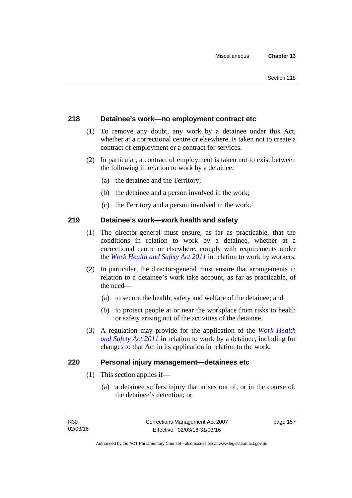### **218 Detainee's work—no employment contract etc**

- (1) To remove any doubt, any work by a detainee under this Act, whether at a correctional centre or elsewhere, is taken not to create a contract of employment or a contract for services.
- (2) In particular, a contract of employment is taken not to exist between the following in relation to work by a detainee:
	- (a) the detainee and the Territory;
	- (b) the detainee and a person involved in the work;
	- (c) the Territory and a person involved in the work.

### **219 Detainee's work—work health and safety**

- (1) The director-general must ensure, as far as practicable, that the conditions in relation to work by a detainee, whether at a correctional centre or elsewhere, comply with requirements under the *[Work Health and Safety Act 2011](http://www.legislation.act.gov.au/a/2011-35)* in relation to work by workers.
- (2) In particular, the director-general must ensure that arrangements in relation to a detainee's work take account, as far as practicable, of the need—
	- (a) to secure the health, safety and welfare of the detainee; and
	- (b) to protect people at or near the workplace from risks to health or safety arising out of the activities of the detainee.
- (3) A regulation may provide for the application of the *[Work Health](http://www.legislation.act.gov.au/a/2011-35)  [and Safety Act 2011](http://www.legislation.act.gov.au/a/2011-35)* in relation to work by a detainee, including for changes to that Act in its application in relation to the work.

### **220 Personal injury management—detainees etc**

- (1) This section applies if—
	- (a) a detainee suffers injury that arises out of, or in the course of, the detainee's detention; or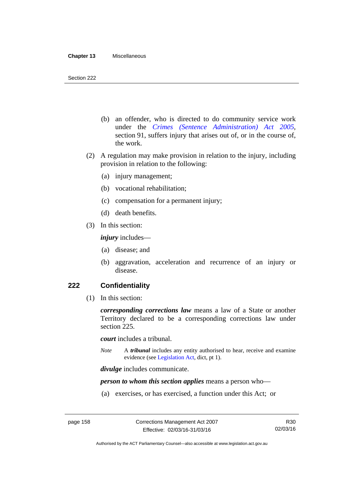- (b) an offender, who is directed to do community service work under the *[Crimes \(Sentence Administration\) Act 2005](http://www.legislation.act.gov.au/a/2005-59)*, section 91, suffers injury that arises out of, or in the course of, the work.
- (2) A regulation may make provision in relation to the injury, including provision in relation to the following:
	- (a) injury management;
	- (b) vocational rehabilitation;
	- (c) compensation for a permanent injury;
	- (d) death benefits.
- (3) In this section:

*injury* includes—

- (a) disease; and
- (b) aggravation, acceleration and recurrence of an injury or disease.

### **222 Confidentiality**

(1) In this section:

*corresponding corrections law* means a law of a State or another Territory declared to be a corresponding corrections law under section 225.

*court* includes a tribunal.

*Note* A *tribunal* includes any entity authorised to hear, receive and examine evidence (see [Legislation Act,](http://www.legislation.act.gov.au/a/2001-14) dict, pt 1).

*divulge* includes communicate.

*person to whom this section applies* means a person who—

(a) exercises, or has exercised, a function under this Act; or

Authorised by the ACT Parliamentary Counsel—also accessible at www.legislation.act.gov.au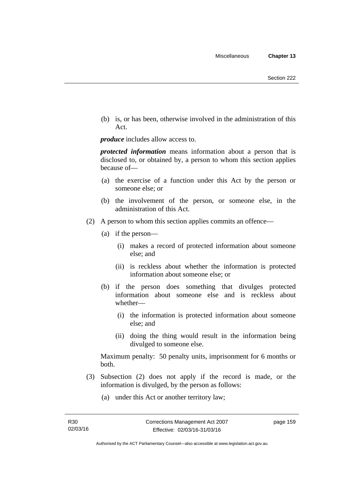(b) is, or has been, otherwise involved in the administration of this Act.

*produce* includes allow access to.

*protected information* means information about a person that is disclosed to, or obtained by, a person to whom this section applies because of—

- (a) the exercise of a function under this Act by the person or someone else; or
- (b) the involvement of the person, or someone else, in the administration of this Act.
- (2) A person to whom this section applies commits an offence—
	- (a) if the person—
		- (i) makes a record of protected information about someone else; and
		- (ii) is reckless about whether the information is protected information about someone else; or
	- (b) if the person does something that divulges protected information about someone else and is reckless about whether—
		- (i) the information is protected information about someone else; and
		- (ii) doing the thing would result in the information being divulged to someone else.

Maximum penalty: 50 penalty units, imprisonment for 6 months or both.

- (3) Subsection (2) does not apply if the record is made, or the information is divulged, by the person as follows:
	- (a) under this Act or another territory law;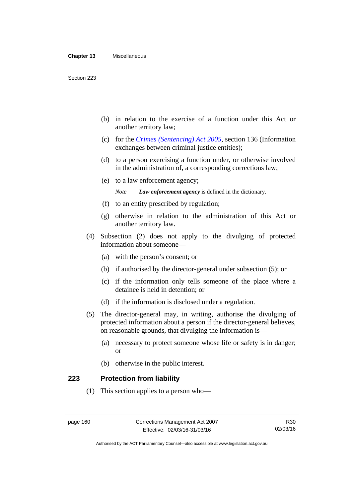- (b) in relation to the exercise of a function under this Act or another territory law;
- (c) for the *[Crimes \(Sentencing\) Act 2005](http://www.legislation.act.gov.au/a/2005-58)*, section 136 (Information exchanges between criminal justice entities);
- (d) to a person exercising a function under, or otherwise involved in the administration of, a corresponding corrections law;
- (e) to a law enforcement agency;

*Note Law enforcement agency* is defined in the dictionary.

- (f) to an entity prescribed by regulation;
- (g) otherwise in relation to the administration of this Act or another territory law.
- (4) Subsection (2) does not apply to the divulging of protected information about someone—
	- (a) with the person's consent; or
	- (b) if authorised by the director-general under subsection (5); or
	- (c) if the information only tells someone of the place where a detainee is held in detention; or
	- (d) if the information is disclosed under a regulation.
- (5) The director-general may, in writing, authorise the divulging of protected information about a person if the director-general believes, on reasonable grounds, that divulging the information is—
	- (a) necessary to protect someone whose life or safety is in danger; or
	- (b) otherwise in the public interest.

### **223 Protection from liability**

(1) This section applies to a person who—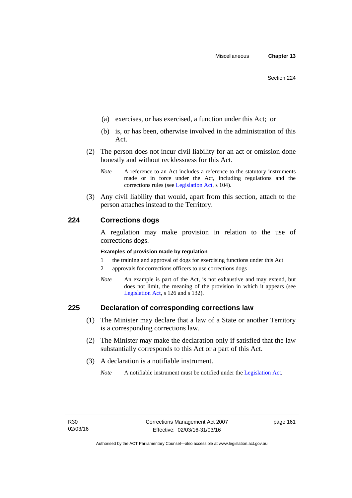- (a) exercises, or has exercised, a function under this Act; or
- (b) is, or has been, otherwise involved in the administration of this Act.
- (2) The person does not incur civil liability for an act or omission done honestly and without recklessness for this Act.
	- *Note* A reference to an Act includes a reference to the statutory instruments made or in force under the Act, including regulations and the corrections rules (see [Legislation Act,](http://www.legislation.act.gov.au/a/2001-14) s 104).
- (3) Any civil liability that would, apart from this section, attach to the person attaches instead to the Territory.

### **224 Corrections dogs**

A regulation may make provision in relation to the use of corrections dogs.

#### **Examples of provision made by regulation**

- 1 the training and approval of dogs for exercising functions under this Act
- 2 approvals for corrections officers to use corrections dogs
- *Note* An example is part of the Act, is not exhaustive and may extend, but does not limit, the meaning of the provision in which it appears (see [Legislation Act,](http://www.legislation.act.gov.au/a/2001-14) s 126 and s 132).

### **225 Declaration of corresponding corrections law**

- (1) The Minister may declare that a law of a State or another Territory is a corresponding corrections law.
- (2) The Minister may make the declaration only if satisfied that the law substantially corresponds to this Act or a part of this Act.
- (3) A declaration is a notifiable instrument.

*Note* A notifiable instrument must be notified under the [Legislation Act](http://www.legislation.act.gov.au/a/2001-14).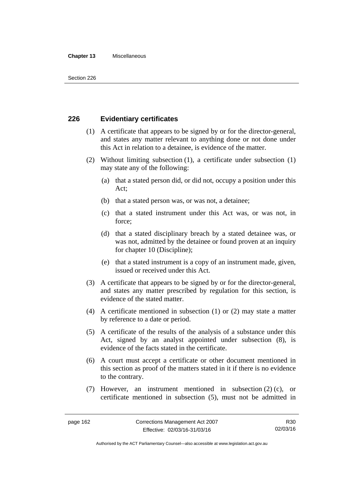#### **Chapter 13** Miscellaneous

### **226 Evidentiary certificates**

- (1) A certificate that appears to be signed by or for the director-general, and states any matter relevant to anything done or not done under this Act in relation to a detainee, is evidence of the matter.
- (2) Without limiting subsection (1), a certificate under subsection (1) may state any of the following:
	- (a) that a stated person did, or did not, occupy a position under this Act;
	- (b) that a stated person was, or was not, a detainee;
	- (c) that a stated instrument under this Act was, or was not, in force;
	- (d) that a stated disciplinary breach by a stated detainee was, or was not, admitted by the detainee or found proven at an inquiry for chapter 10 (Discipline);
	- (e) that a stated instrument is a copy of an instrument made, given, issued or received under this Act.
- (3) A certificate that appears to be signed by or for the director-general, and states any matter prescribed by regulation for this section, is evidence of the stated matter.
- (4) A certificate mentioned in subsection (1) or (2) may state a matter by reference to a date or period.
- (5) A certificate of the results of the analysis of a substance under this Act, signed by an analyst appointed under subsection (8), is evidence of the facts stated in the certificate.
- (6) A court must accept a certificate or other document mentioned in this section as proof of the matters stated in it if there is no evidence to the contrary.
- (7) However, an instrument mentioned in subsection (2) (c), or certificate mentioned in subsection (5), must not be admitted in

Authorised by the ACT Parliamentary Counsel—also accessible at www.legislation.act.gov.au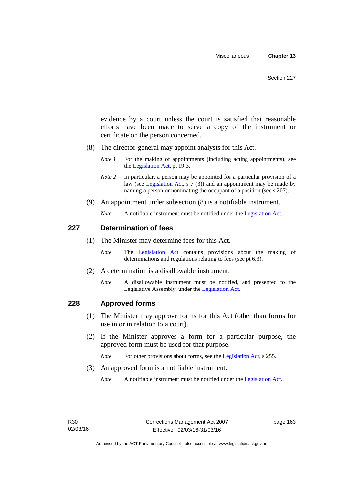evidence by a court unless the court is satisfied that reasonable efforts have been made to serve a copy of the instrument or certificate on the person concerned.

- (8) The director-general may appoint analysts for this Act.
	- *Note 1* For the making of appointments (including acting appointments), see the [Legislation Act,](http://www.legislation.act.gov.au/a/2001-14) pt 19.3.
	- *Note 2* In particular, a person may be appointed for a particular provision of a law (see [Legislation Act,](http://www.legislation.act.gov.au/a/2001-14) s 7 (3)) and an appointment may be made by naming a person or nominating the occupant of a position (see s 207).
- (9) An appointment under subsection (8) is a notifiable instrument.
	- *Note* A notifiable instrument must be notified under the [Legislation Act](http://www.legislation.act.gov.au/a/2001-14).

### **227 Determination of fees**

- (1) The Minister may determine fees for this Act.
	- *Note* The [Legislation Act](http://www.legislation.act.gov.au/a/2001-14) contains provisions about the making of determinations and regulations relating to fees (see pt 6.3).
- (2) A determination is a disallowable instrument.
	- *Note* A disallowable instrument must be notified, and presented to the Legislative Assembly, under the [Legislation Act.](http://www.legislation.act.gov.au/a/2001-14)

### **228 Approved forms**

- (1) The Minister may approve forms for this Act (other than forms for use in or in relation to a court).
- (2) If the Minister approves a form for a particular purpose, the approved form must be used for that purpose.

*Note* For other provisions about forms, see the [Legislation Act,](http://www.legislation.act.gov.au/a/2001-14) s 255.

(3) An approved form is a notifiable instrument.

*Note* A notifiable instrument must be notified under the [Legislation Act](http://www.legislation.act.gov.au/a/2001-14).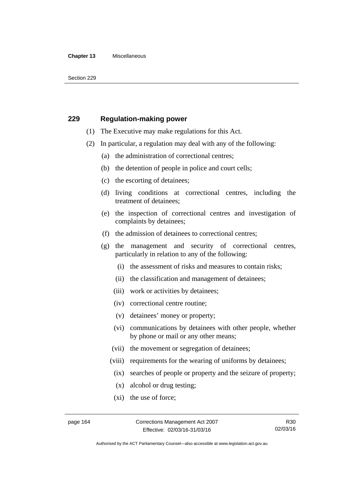#### **Chapter 13** Miscellaneous

Section 229

### **229 Regulation-making power**

- (1) The Executive may make regulations for this Act.
- (2) In particular, a regulation may deal with any of the following:
	- (a) the administration of correctional centres;
	- (b) the detention of people in police and court cells;
	- (c) the escorting of detainees;
	- (d) living conditions at correctional centres, including the treatment of detainees;
	- (e) the inspection of correctional centres and investigation of complaints by detainees;
	- (f) the admission of detainees to correctional centres;
	- (g) the management and security of correctional centres, particularly in relation to any of the following:
		- (i) the assessment of risks and measures to contain risks;
		- (ii) the classification and management of detainees;
		- (iii) work or activities by detainees;
		- (iv) correctional centre routine;
		- (v) detainees' money or property;
		- (vi) communications by detainees with other people, whether by phone or mail or any other means;
		- (vii) the movement or segregation of detainees;
		- (viii) requirements for the wearing of uniforms by detainees;
		- (ix) searches of people or property and the seizure of property;
		- (x) alcohol or drug testing;
		- (xi) the use of force;

Authorised by the ACT Parliamentary Counsel—also accessible at www.legislation.act.gov.au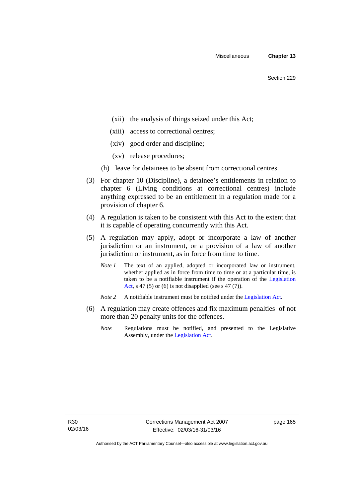- (xii) the analysis of things seized under this Act;
- (xiii) access to correctional centres;
- (xiv) good order and discipline;
- (xv) release procedures;
- (h) leave for detainees to be absent from correctional centres.
- (3) For chapter 10 (Discipline), a detainee's entitlements in relation to chapter 6 (Living conditions at correctional centres) include anything expressed to be an entitlement in a regulation made for a provision of chapter 6.
- (4) A regulation is taken to be consistent with this Act to the extent that it is capable of operating concurrently with this Act.
- (5) A regulation may apply, adopt or incorporate a law of another jurisdiction or an instrument, or a provision of a law of another jurisdiction or instrument, as in force from time to time.
	- *Note 1* The text of an applied, adopted or incorporated law or instrument, whether applied as in force from time to time or at a particular time, is taken to be a notifiable instrument if the operation of the [Legislation](http://www.legislation.act.gov.au/a/2001-14)  [Act,](http://www.legislation.act.gov.au/a/2001-14) s 47 (5) or (6) is not disapplied (see s  $47(7)$ ).
	- *Note 2* A notifiable instrument must be notified under the [Legislation Act](http://www.legislation.act.gov.au/a/2001-14).
- (6) A regulation may create offences and fix maximum penalties of not more than 20 penalty units for the offences.
	- *Note* Regulations must be notified, and presented to the Legislative Assembly, under the [Legislation Act](http://www.legislation.act.gov.au/a/2001-14).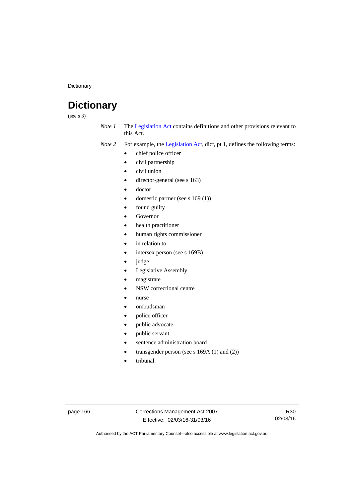**Dictionary** 

# **Dictionary**

(see s 3)

*Note 1* The [Legislation Act](http://www.legislation.act.gov.au/a/2001-14) contains definitions and other provisions relevant to this Act.

*Note 2* For example, the [Legislation Act,](http://www.legislation.act.gov.au/a/2001-14) dict, pt 1, defines the following terms:

- chief police officer
- civil partnership
- civil union
- director-general (see s 163)
- doctor
- domestic partner (see s 169 (1))
- found guilty
- Governor
- health practitioner
- human rights commissioner
- in relation to
- intersex person (see s 169B)
- judge
- Legislative Assembly
- magistrate
- NSW correctional centre
- nurse
- ombudsman
- police officer
- public advocate
- public servant
- sentence administration board
- transgender person (see s 169A (1) and (2))
- tribunal.

page 166 Corrections Management Act 2007 Effective: 02/03/16-31/03/16

R30 02/03/16

Authorised by the ACT Parliamentary Counsel—also accessible at www.legislation.act.gov.au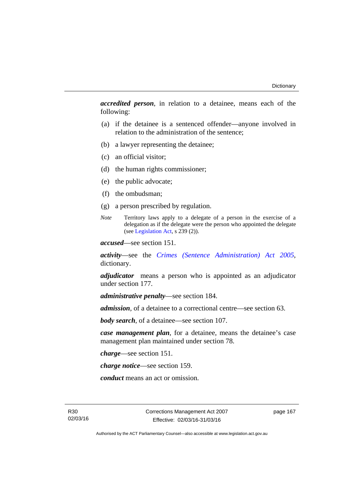*accredited person*, in relation to a detainee, means each of the following:

- (a) if the detainee is a sentenced offender—anyone involved in relation to the administration of the sentence;
- (b) a lawyer representing the detainee;
- (c) an official visitor;
- (d) the human rights commissioner;
- (e) the public advocate;
- (f) the ombudsman;
- (g) a person prescribed by regulation.
- *Note* Territory laws apply to a delegate of a person in the exercise of a delegation as if the delegate were the person who appointed the delegate (see [Legislation Act,](http://www.legislation.act.gov.au/a/2001-14) s 239 (2)).

*accused*—see section 151.

*activity*—see the *[Crimes \(Sentence Administration\) Act 2005](http://www.legislation.act.gov.au/a/2005-59)*, dictionary.

*adjudicator* means a person who is appointed as an adjudicator under section 177.

*administrative penalty*—see section 184.

*admission*, of a detainee to a correctional centre—see section 63.

*body search*, of a detainee—see section 107.

*case management plan*, for a detainee, means the detainee's case management plan maintained under section 78.

*charge*—see section 151.

*charge notice*—see section 159.

*conduct* means an act or omission.

R30 02/03/16 Corrections Management Act 2007 Effective: 02/03/16-31/03/16

page 167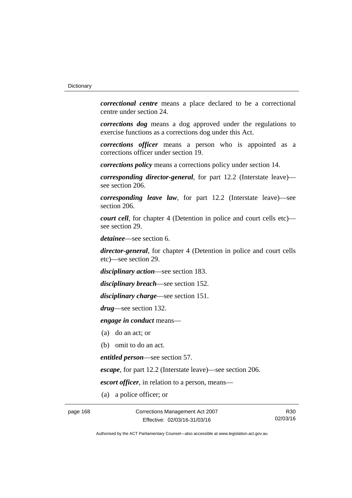*correctional centre* means a place declared to be a correctional centre under section 24.

*corrections dog* means a dog approved under the regulations to exercise functions as a corrections dog under this Act.

*corrections officer* means a person who is appointed as a corrections officer under section 19.

*corrections policy* means a corrections policy under section 14.

*corresponding director-general*, for part 12.2 (Interstate leave) see section 206.

*corresponding leave law*, for part 12.2 (Interstate leave)—see section 206.

*court cell*, for chapter 4 (Detention in police and court cells etc) see section 29.

*detainee*—see section 6.

*director-general*, for chapter 4 (Detention in police and court cells etc)—see section 29.

*disciplinary action*—see section 183.

*disciplinary breach*—see section 152.

*disciplinary charge*—see section 151.

*drug*—see section 132.

*engage in conduct* means—

(a) do an act; or

(b) omit to do an act.

*entitled person*—see section 57.

*escape*, for part 12.2 (Interstate leave)—see section 206.

*escort officer*, in relation to a person, means—

(a) a police officer; or

page 168 Corrections Management Act 2007 Effective: 02/03/16-31/03/16

R30 02/03/16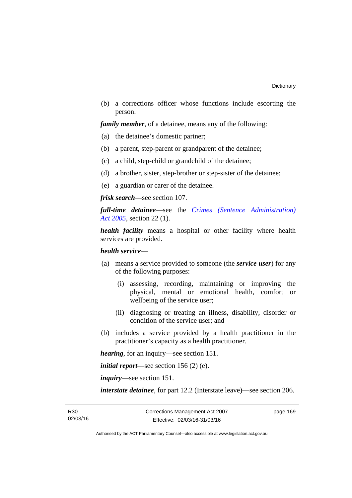(b) a corrections officer whose functions include escorting the person.

*family member*, of a detainee, means any of the following:

- (a) the detainee's domestic partner;
- (b) a parent, step-parent or grandparent of the detainee;
- (c) a child, step-child or grandchild of the detainee;
- (d) a brother, sister, step-brother or step-sister of the detainee;
- (e) a guardian or carer of the detainee.

*frisk search*—see section 107.

*full-time detainee*—see the *[Crimes \(Sentence Administration\)](http://www.legislation.act.gov.au/a/2005-59)  [Act 2005](http://www.legislation.act.gov.au/a/2005-59)*, section 22 (1).

*health facility* means a hospital or other facility where health services are provided.

### *health service*—

- (a) means a service provided to someone (the *service user*) for any of the following purposes:
	- (i) assessing, recording, maintaining or improving the physical, mental or emotional health, comfort or wellbeing of the service user;
	- (ii) diagnosing or treating an illness, disability, disorder or condition of the service user; and
- (b) includes a service provided by a health practitioner in the practitioner's capacity as a health practitioner.

*hearing*, for an inquiry—see section 151.

*initial report*—see section 156 (2) (e).

*inquiry*—see section 151.

*interstate detainee*, for part 12.2 (Interstate leave)—see section 206.

page 169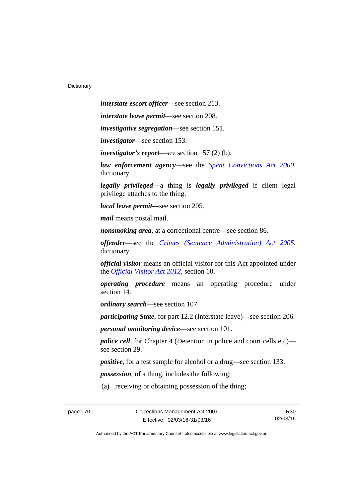page 170 Corrections Management Act 2007 *interstate escort officer*—see section 213. *interstate leave permit*—see section 208. *investigative segregation*—see section 151. *investigator*—see section 153. *investigator's report*—see section 157 (2) (b). *law enforcement agency*—see the *[Spent Convictions Act 2000](http://www.legislation.act.gov.au/a/2000-48)*, dictionary. *legally privileged—*a thing is *legally privileged* if client legal privilege attaches to the thing. *local leave permit—*see section 205. *mail* means postal mail. *nonsmoking area*, at a correctional centre—see section 86. *offender*—see the *[Crimes \(Sentence Administration\) Act 2005](http://www.legislation.act.gov.au/a/2005-59)*, dictionary. *official visitor* means an official visitor for this Act appointed under the *[Official Visitor Act 2012](http://www.legislation.act.gov.au/a/2012-33)*, section 10. *operating procedure* means an operating procedure under section 14. *ordinary search*—see section 107. *participating State*, for part 12.2 (Interstate leave)—see section 206. *personal monitoring device*—see section 101. *police cell*, for Chapter 4 (Detention in police and court cells etc) see section 29. *positive*, for a test sample for alcohol or a drug—see section 133. *possession*, of a thing, includes the following: (a) receiving or obtaining possession of the thing;

Effective: 02/03/16-31/03/16

R30 02/03/16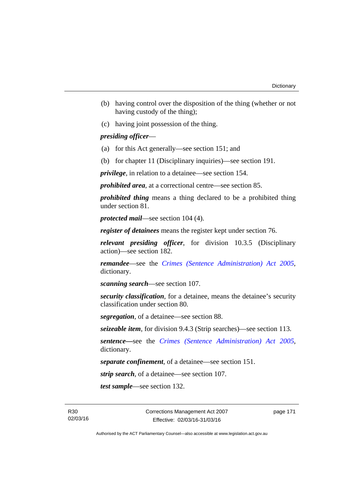- (b) having control over the disposition of the thing (whether or not having custody of the thing);
- (c) having joint possession of the thing.

### *presiding officer*—

- (a) for this Act generally—see section 151; and
- (b) for chapter 11 (Disciplinary inquiries)—see section 191.

*privilege*, in relation to a detainee—see section 154.

*prohibited area*, at a correctional centre—see section 85.

*prohibited thing* means a thing declared to be a prohibited thing under section 81.

*protected mail*—see section 104 (4).

*register of detainees* means the register kept under section 76.

*relevant presiding officer*, for division 10.3.5 (Disciplinary action)—see section 182.

*remandee*—see the *[Crimes \(Sentence Administration\) Act 2005](http://www.legislation.act.gov.au/a/2005-59)*, dictionary.

*scanning search*—see section 107.

*security classification*, for a detainee, means the detainee's security classification under section 80.

*segregation*, of a detainee—see section 88.

*seizeable item*, for division 9.4.3 (Strip searches)—see section 113.

*sentence—*see the *[Crimes \(Sentence Administration\) Act 2005](http://www.legislation.act.gov.au/a/2005-59)*, dictionary.

*separate confinement*, of a detainee—see section 151.

*strip search*, of a detainee—see section 107.

*test sample*—see section 132.

R30 02/03/16 page 171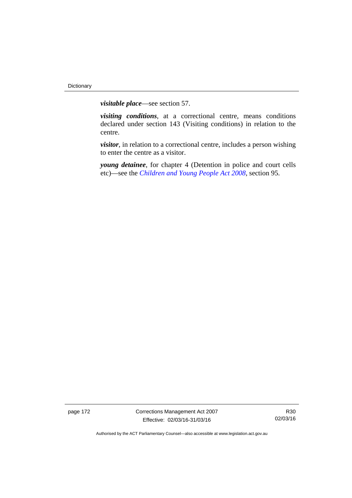*visitable place*—see section 57.

*visiting conditions*, at a correctional centre, means conditions declared under section 143 (Visiting conditions) in relation to the centre.

*visitor*, in relation to a correctional centre, includes a person wishing to enter the centre as a visitor.

*young detainee*, for chapter 4 (Detention in police and court cells etc)—see the *[Children and Young People Act 2008](http://www.legislation.act.gov.au/a/2008-19)*, section 95.

page 172 Corrections Management Act 2007 Effective: 02/03/16-31/03/16

R30 02/03/16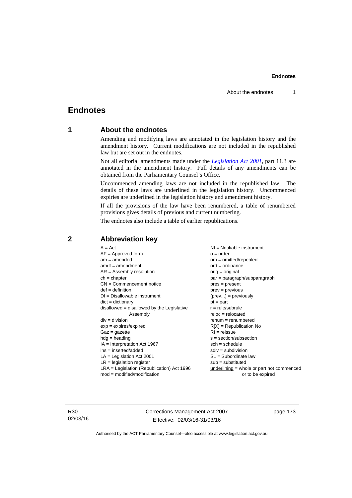# **Endnotes**

### **1 About the endnotes**

Amending and modifying laws are annotated in the legislation history and the amendment history. Current modifications are not included in the republished law but are set out in the endnotes.

Not all editorial amendments made under the *[Legislation Act 2001](http://www.legislation.act.gov.au/a/2001-14)*, part 11.3 are annotated in the amendment history. Full details of any amendments can be obtained from the Parliamentary Counsel's Office.

Uncommenced amending laws are not included in the republished law. The details of these laws are underlined in the legislation history. Uncommenced expiries are underlined in the legislation history and amendment history.

If all the provisions of the law have been renumbered, a table of renumbered provisions gives details of previous and current numbering.

The endnotes also include a table of earlier republications.

| $A = Act$<br>$AF =$ Approved form<br>$am = amended$<br>$amdt = amendment$<br>$AR = Assembly resolution$<br>$ch = chapter$<br>$CN =$ Commencement notice<br>$def = definition$<br>$DI = Disallowable instrument$<br>$dict = dictionary$<br>$disallowed = disallowed by the Legislative$<br>Assembly<br>$div = division$<br>$exp = expires/expired$<br>$Gaz = gazette$<br>$hdg =$ heading<br>$IA = Interpretation Act 1967$<br>$ins = inserted/added$<br>$LA =$ Legislation Act 2001<br>$LR =$ legislation register<br>$LRA =$ Legislation (Republication) Act 1996 | $NI = Notifiable$ instrument<br>$o = order$<br>$om = omitted/repealed$<br>$ord = ordinance$<br>$orig = original$<br>par = paragraph/subparagraph<br>$pres = present$<br>$prev = previous$<br>$(\text{prev}) = \text{previously}$<br>$pt = part$<br>$r = rule/subrule$<br>$reloc = relocated$<br>$renum = renumbered$<br>$R[X]$ = Republication No<br>$RI = reissue$<br>$s = section/subsection$<br>$sch = schedule$<br>$sdiv = subdivision$<br>$SL = Subordinate$ law<br>$sub =$ substituted<br>$underlining = whole or part not commenced$ |
|-------------------------------------------------------------------------------------------------------------------------------------------------------------------------------------------------------------------------------------------------------------------------------------------------------------------------------------------------------------------------------------------------------------------------------------------------------------------------------------------------------------------------------------------------------------------|---------------------------------------------------------------------------------------------------------------------------------------------------------------------------------------------------------------------------------------------------------------------------------------------------------------------------------------------------------------------------------------------------------------------------------------------------------------------------------------------------------------------------------------------|
| $mod = modified/modification$                                                                                                                                                                                                                                                                                                                                                                                                                                                                                                                                     | or to be expired                                                                                                                                                                                                                                                                                                                                                                                                                                                                                                                            |
|                                                                                                                                                                                                                                                                                                                                                                                                                                                                                                                                                                   |                                                                                                                                                                                                                                                                                                                                                                                                                                                                                                                                             |

### **2 Abbreviation key**

R30 02/03/16 Corrections Management Act 2007 Effective: 02/03/16-31/03/16

page 173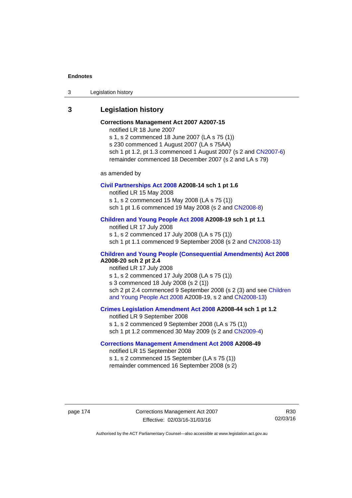3 Legislation history

### **3 Legislation history**

# **Corrections Management Act 2007 A2007-15**

notified LR 18 June 2007

s 1, s 2 commenced 18 June 2007 (LA s 75 (1)) s 230 commenced 1 August 2007 (LA s 75AA) sch 1 pt 1.2, pt 1.3 commenced 1 August 2007 (s 2 and [CN2007-6](http://www.legislation.act.gov.au/cn/2007-6/default.asp)) remainder commenced 18 December 2007 (s 2 and LA s 79)

as amended by

#### **[Civil Partnerships Act 2008](http://www.legislation.act.gov.au/a/2008-14) A2008-14 sch 1 pt 1.6**

notified LR 15 May 2008

s 1, s 2 commenced 15 May 2008 (LA s 75 (1))

sch 1 pt 1.6 commenced 19 May 2008 (s 2 and [CN2008-8\)](http://www.legislation.act.gov.au/cn/2008-8/default.asp)

### **[Children and Young People Act 2008](http://www.legislation.act.gov.au/a/2008-19) A2008-19 sch 1 pt 1.1**

notified LR 17 July 2008 s 1, s 2 commenced 17 July 2008 (LA s 75 (1)) sch 1 pt 1.1 commenced 9 September 2008 (s 2 and [CN2008-13\)](http://www.legislation.act.gov.au/cn/2008-13/default.asp)

### **[Children and Young People \(Consequential Amendments\) Act 2008](http://www.legislation.act.gov.au/a/2008-20) A2008-20 sch 2 pt 2.4**

notified LR 17 July 2008 s 1, s 2 commenced 17 July 2008 (LA s 75 (1)) s 3 commenced 18 July 2008 (s 2 (1)) sch 2 pt 2.4 commenced 9 September 2008 (s 2 (3) and see Children [and Young People Act 2008](http://www.legislation.act.gov.au/a/2008-19) A2008-19, s 2 and [CN2008-13](http://www.legislation.act.gov.au/cn/2008-13/default.asp))

#### **[Crimes Legislation Amendment Act 2008](http://www.legislation.act.gov.au/a/2008-44) A2008-44 sch 1 pt 1.2**

notified LR 9 September 2008 s 1, s 2 commenced 9 September 2008 (LA s 75 (1)) sch 1 pt 1.2 commenced 30 May 2009 (s 2 and [CN2009-4\)](http://www.legislation.act.gov.au/cn/2009-4/default.asp)

### **[Corrections Management Amendment Act 2008](http://www.legislation.act.gov.au/a/2008-49) A2008-49**

notified LR 15 September 2008 s 1, s 2 commenced 15 September (LA s 75 (1)) remainder commenced 16 September 2008 (s 2)

page 174 Corrections Management Act 2007 Effective: 02/03/16-31/03/16

R30 02/03/16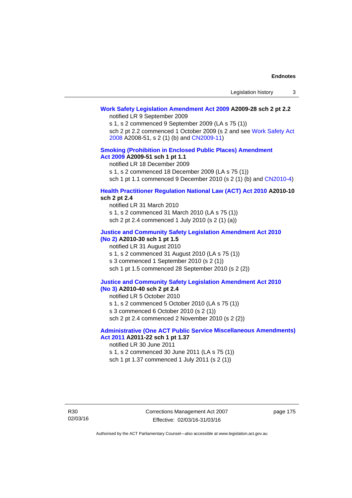# **[Work Safety Legislation Amendment Act 2009](http://www.legislation.act.gov.au/a/2009-28) A2009-28 sch 2 pt 2.2**

notified LR 9 September 2009

s 1, s 2 commenced 9 September 2009 (LA s 75 (1))

sch 2 pt 2.2 commenced 1 October 2009 (s 2 and see [Work Safety Act](http://www.legislation.act.gov.au/a/2008-51)  [2008](http://www.legislation.act.gov.au/a/2008-51) A2008-51, s 2 (1) (b) and [CN2009-11\)](http://www.legislation.act.gov.au/cn/2009-11/default.asp)

### **[Smoking \(Prohibition in Enclosed Public Places\) Amendment](http://www.legislation.act.gov.au/a/2009-51)  [Act 2009](http://www.legislation.act.gov.au/a/2009-51) A2009-51 sch 1 pt 1.1**

notified LR 18 December 2009

s 1, s 2 commenced 18 December 2009 (LA s 75 (1))

sch 1 pt 1.1 commenced 9 December 2010 (s 2 (1) (b) and [CN2010-4\)](http://www.legislation.act.gov.au/cn/2010-4/default.asp)

### **[Health Practitioner Regulation National Law \(ACT\) Act 2010](http://www.legislation.act.gov.au/a/2010-10) A2010-10 sch 2 pt 2.4**

notified LR 31 March 2010 s 1, s 2 commenced 31 March 2010 (LA s 75 (1)) sch 2 pt 2.4 commenced 1 July 2010 (s 2 (1) (a))

#### **[Justice and Community Safety Legislation Amendment Act 2010](http://www.legislation.act.gov.au/a/2010-30)**

# **[\(No 2\)](http://www.legislation.act.gov.au/a/2010-30) A2010-30 sch 1 pt 1.5**

notified LR 31 August 2010 s 1, s 2 commenced 31 August 2010 (LA s 75 (1)) s 3 commenced 1 September 2010 (s 2 (1)) sch 1 pt 1.5 commenced 28 September 2010 (s 2 (2))

#### **[Justice and Community Safety Legislation Amendment Act 2010](http://www.legislation.act.gov.au/a/2010-40)  [\(No 3\)](http://www.legislation.act.gov.au/a/2010-40) A2010-40 sch 2 pt 2.4**

notified LR 5 October 2010

s 1, s 2 commenced 5 October 2010 (LA s 75 (1))

s 3 commenced 6 October 2010 (s 2 (1))

sch 2 pt 2.4 commenced 2 November 2010 (s 2 (2))

### **[Administrative \(One ACT Public Service Miscellaneous Amendments\)](http://www.legislation.act.gov.au/a/2011-22)  [Act 2011](http://www.legislation.act.gov.au/a/2011-22) A2011-22 sch 1 pt 1.37**

notified LR 30 June 2011

s 1, s 2 commenced 30 June 2011 (LA s 75 (1)) sch 1 pt 1.37 commenced 1 July 2011 (s 2 (1))

R30 02/03/16 Corrections Management Act 2007 Effective: 02/03/16-31/03/16

page 175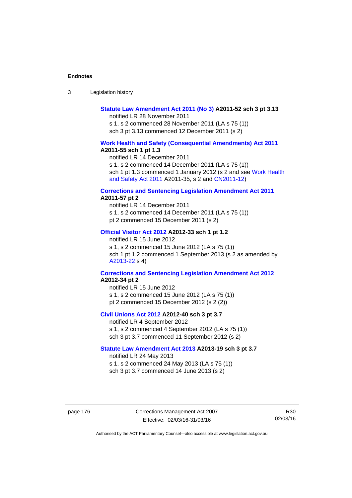| -3 | Legislation history |  |
|----|---------------------|--|
|----|---------------------|--|

### **[Statute Law Amendment Act 2011 \(No 3\)](http://www.legislation.act.gov.au/a/2011-52) A2011-52 sch 3 pt 3.13**

notified LR 28 November 2011

s 1, s 2 commenced 28 November 2011 (LA s 75 (1)) sch 3 pt 3.13 commenced 12 December 2011 (s 2)

#### **[Work Health and Safety \(Consequential Amendments\) Act 2011](http://www.legislation.act.gov.au/a/2011-55) A2011-55 sch 1 pt 1.3**

notified LR 14 December 2011

s 1, s 2 commenced 14 December 2011 (LA s 75 (1))

sch 1 pt 1.3 commenced 1 January 2012 (s 2 and see Work Health [and Safety Act 2011](http://www.legislation.act.gov.au/a/2011-35) A2011-35, s 2 and [CN2011-12\)](http://www.legislation.act.gov.au/cn/2011-12/default.asp)

#### **[Corrections and Sentencing Legislation Amendment Act 2011](http://www.legislation.act.gov.au/a/2011-57) A2011-57 pt 2**

notified LR 14 December 2011 s 1, s 2 commenced 14 December 2011 (LA s 75 (1)) pt 2 commenced 15 December 2011 (s 2)

#### **[Official Visitor Act 2012](http://www.legislation.act.gov.au/a/2012-33) A2012-33 sch 1 pt 1.2**

notified LR 15 June 2012 s 1, s 2 commenced 15 June 2012 (LA s 75 (1)) sch 1 pt 1.2 commenced 1 September 2013 (s 2 as amended by [A2013-22](http://www.legislation.act.gov.au/a/2013-22) s 4)

### **[Corrections and Sentencing Legislation Amendment Act 2012](http://www.legislation.act.gov.au/a/2012-34) A2012-34 pt 2**

notified LR 15 June 2012 s 1, s 2 commenced 15 June 2012 (LA s 75 (1)) pt 2 commenced 15 December 2012 (s 2 (2))

### **[Civil Unions Act 2012](http://www.legislation.act.gov.au/a/2012-40) A2012-40 sch 3 pt 3.7**

notified LR 4 September 2012 s 1, s 2 commenced 4 September 2012 (LA s 75 (1)) sch 3 pt 3.7 commenced 11 September 2012 (s 2)

#### **[Statute Law Amendment Act 2013](http://www.legislation.act.gov.au/a/2013-19) A2013-19 sch 3 pt 3.7**

notified LR 24 May 2013 s 1, s 2 commenced 24 May 2013 (LA s 75 (1)) sch 3 pt 3.7 commenced 14 June 2013 (s 2)

page 176 Corrections Management Act 2007 Effective: 02/03/16-31/03/16

R30 02/03/16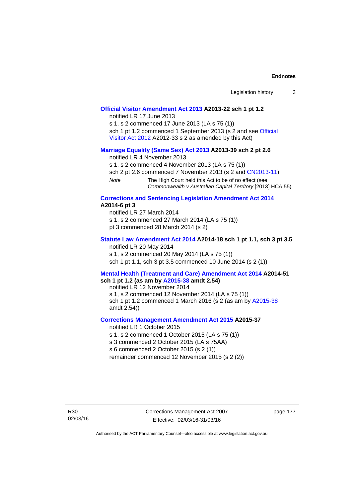| Legislation history |  |
|---------------------|--|
|                     |  |

### **[Official Visitor Amendment Act 2013](http://www.legislation.act.gov.au/a/2013-22) A2013-22 sch 1 pt 1.2**

notified LR 17 June 2013

s 1, s 2 commenced 17 June 2013 (LA s 75 (1)) sch 1 pt 1.2 commenced 1 September 2013 (s 2 and see Official [Visitor Act 2012](http://www.legislation.act.gov.au/a/2012-33) A2012-33 s 2 as amended by this Act)

### **[Marriage Equality \(Same Sex\) Act 2013](http://www.legislation.act.gov.au/a/2013-39) A2013-39 sch 2 pt 2.6**

notified LR 4 November 2013

s 1, s 2 commenced 4 November 2013 (LA s 75 (1))

sch 2 pt 2.6 commenced 7 November 2013 (s 2 and [CN2013-11](http://www.legislation.act.gov.au/cn/2013-11))

*Note* The High Court held this Act to be of no effect (see *Commonwealth v Australian Capital Territory* [2013] HCA 55)

#### **[Corrections and Sentencing Legislation Amendment Act 2014](http://www.legislation.act.gov.au/a/2014-6) A2014-6 pt 3**

notified LR 27 March 2014 s 1, s 2 commenced 27 March 2014 (LA s 75 (1)) pt 3 commenced 28 March 2014 (s 2)

### **[Statute Law Amendment Act 2014](http://www.legislation.act.gov.au/a/2014-18) A2014-18 sch 1 pt 1.1, sch 3 pt 3.5**  notified LR 20 May 2014

s 1, s 2 commenced 20 May 2014 (LA s 75 (1)) sch 1 pt 1.1, sch 3 pt 3.5 commenced 10 June 2014 (s 2 (1))

#### **[Mental Health \(Treatment and Care\) Amendment Act 2014](http://www.legislation.act.gov.au/a/2014-51/default.asp) A2014-51 sch 1 pt 1.2 (as am by [A2015-38](http://www.legislation.act.gov.au/a/2015-38) amdt 2.54)**

notified LR 12 November 2014

s 1, s 2 commenced 12 November 2014 (LA s 75 (1)) sch 1 pt 1.2 commenced 1 March 2016 (s 2 (as am by [A2015-38](http://www.legislation.act.gov.au/a/2015-38) amdt 2.54))

### **[Corrections Management Amendment Act 2015](http://www.legislation.act.gov.au/a/2015-37) A2015-37**

notified LR 1 October 2015

s 1, s 2 commenced 1 October 2015 (LA s 75 (1))

s 3 commenced 2 October 2015 (LA s 75AA)

s 6 commenced 2 October 2015 (s 2 (1))

remainder commenced 12 November 2015 (s 2 (2))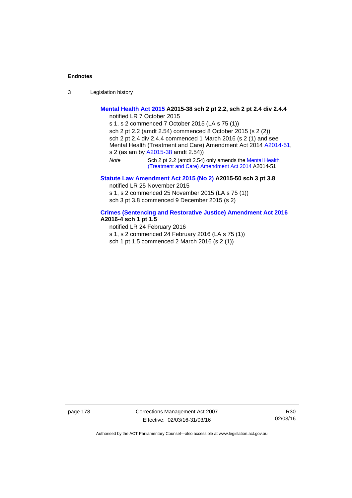3 Legislation history

### **[Mental Health Act 2015](http://www.legislation.act.gov.au/a/2015-38) A2015-38 sch 2 pt 2.2, sch 2 pt 2.4 div 2.4.4**

notified LR 7 October 2015

s 1, s 2 commenced 7 October 2015 (LA s 75 (1)) sch 2 pt 2.2 (amdt 2.54) commenced 8 October 2015 (s 2 (2)) sch 2 pt 2.4 div 2.4.4 commenced 1 March 2016 (s 2 (1) and see Mental Health (Treatment and Care) Amendment Act 2014 [A2014-51,](http://www.legislation.act.gov.au/a/2014-51/default.asp) s 2 (as am by [A2015-38](http://www.legislation.act.gov.au/a/2015-38) amdt 2.54)) *Note* Sch 2 pt 2.2 (amdt 2.54) only amends the [Mental Health](http://www.legislation.act.gov.au/a/2014-51/default.asp)  [\(Treatment and Care\) Amendment Act 2014](http://www.legislation.act.gov.au/a/2014-51/default.asp) A2014-51

### **[Statute Law Amendment Act 2015 \(No 2\)](http://www.legislation.act.gov.au/a/2015-50) A2015-50 sch 3 pt 3.8**

notified LR 25 November 2015

s 1, s 2 commenced 25 November 2015 (LA s 75 (1)) sch 3 pt 3.8 commenced 9 December 2015 (s 2)

# **[Crimes \(Sentencing and Restorative Justice\) Amendment Act 2016](http://www.legislation.act.gov.au/a/2016-4/default.asp)**

## **A2016-4 sch 1 pt 1.5**

notified LR 24 February 2016 s 1, s 2 commenced 24 February 2016 (LA s 75 (1)) sch 1 pt 1.5 commenced 2 March 2016 (s 2 (1))

page 178 Corrections Management Act 2007 Effective: 02/03/16-31/03/16

R30 02/03/16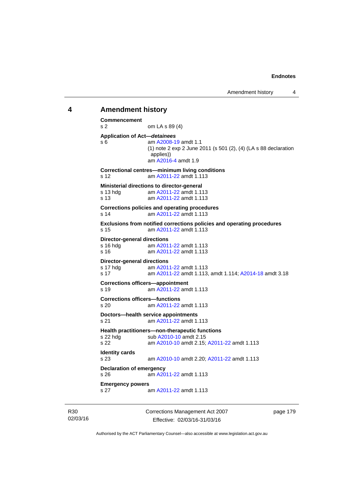### **4 Amendment history Commencement**  s 2 om LA s 89 (4) **Application of Act—***detainees* s 6 am [A2008-19](http://www.legislation.act.gov.au/a/2008-19) amdt 1.1 (1) note 2 exp 2 June 2011 (s 501 (2), (4) (LA s 88 declaration applies)) am [A2016-4](http://www.legislation.act.gov.au/a/2016-4/default.asp) amdt 1.9

**Correctional centres—minimum living conditions**  s 12 am [A2011-22](http://www.legislation.act.gov.au/a/2011-22) amdt 1.113 **Ministerial directions to director-general**  s 13 hdg am [A2011-22](http://www.legislation.act.gov.au/a/2011-22) amdt 1.113 s 13 am [A2011-22](http://www.legislation.act.gov.au/a/2011-22) amdt 1.113 **Corrections policies and operating procedures**  s 14 am [A2011-22](http://www.legislation.act.gov.au/a/2011-22) amdt 1.113 **Exclusions from notified corrections policies and operating procedures**  s 15 am [A2011-22](http://www.legislation.act.gov.au/a/2011-22) amdt 1.113 **Director-general directions**  s 16 hdg am [A2011-22](http://www.legislation.act.gov.au/a/2011-22) amdt 1.113 s 16 am [A2011-22](http://www.legislation.act.gov.au/a/2011-22) amdt 1.113 **Director-general directions**<br>s 17 hdg am A201 am [A2011-22](http://www.legislation.act.gov.au/a/2011-22) amdt 1.113 s 17 am [A2011-22](http://www.legislation.act.gov.au/a/2011-22) amdt 1.113, amdt 1.114; [A2014-18](http://www.legislation.act.gov.au/a/2014-18) amdt 3.18 **Corrections officers—appointment**  s 19 am [A2011-22](http://www.legislation.act.gov.au/a/2011-22) amdt 1.113 **Corrections officers—functions**  s 20 am [A2011-22](http://www.legislation.act.gov.au/a/2011-22) amdt 1.113 **Doctors—health service appointments**  s 21 am [A2011-22](http://www.legislation.act.gov.au/a/2011-22) amdt 1.113 **Health practitioners—non-therapeutic functions**  s 22 hdg sub [A2010-10](http://www.legislation.act.gov.au/a/2010-10) amdt 2.15 s 22 am [A2010-10](http://www.legislation.act.gov.au/a/2010-10) amdt 2.15; [A2011-22](http://www.legislation.act.gov.au/a/2011-22) amdt 1.113 **Identity cards**  s 23 am [A2010-10](http://www.legislation.act.gov.au/a/2010-10) amdt 2.20; [A2011-22](http://www.legislation.act.gov.au/a/2011-22) amdt 1.113 **Declaration of emergency**  s 26 am [A2011-22](http://www.legislation.act.gov.au/a/2011-22) amdt 1.113 **Emergency powers**  s 27 am [A2011-22](http://www.legislation.act.gov.au/a/2011-22) amdt 1.113

R30 02/03/16 Corrections Management Act 2007 Effective: 02/03/16-31/03/16

page 179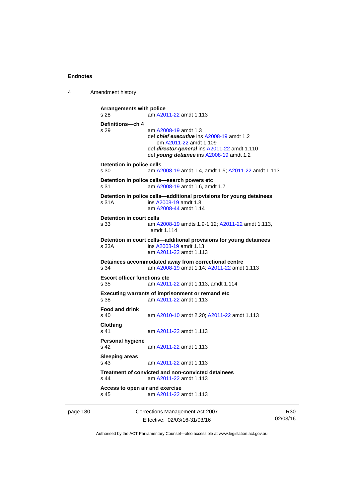4 Amendment history

```
Arrangements with police 
s 28 am A2011-22 amdt 1.113
Definitions—ch 4 
s 29 am A2008-19 amdt 1.3
                def chief executive ins A2008-19 amdt 1.2 
                    om A2011-22 amdt 1.109
                 def director-general ins A2011-22 amdt 1.110 
                 def young detainee ins A2008-19 amdt 1.2 
Detention in police cells 
s 30 am A2008-19 amdt 1.4, amdt 1.5; A2011-22 amdt 1.113
Detention in police cells—search powers etc 
s 31 am A2008-19 amdt 1.6, amdt 1.7 
Detention in police cells—additional provisions for young detainees 
s 31A ins A2008-19 amdt 1.8 
                am A2008-44 amdt 1.14
Detention in court cells 
s 33 am A2008-19 amdts 1.9-1.12; A2011-22 amdt 1.113, 
                amdt 1.114 
Detention in court cells—additional provisions for young detainees 
s 33A ins A2008-19 amdt 1.13 
                 am A2011-22 amdt 1.113
Detainees accommodated away from correctional centre 
s 34 am A2008-19 amdt 1.14; A2011-22 amdt 1.113 
Escort officer functions etc 
s 35 am A2011-22 amdt 1.113, amdt 1.114 
Executing warrants of imprisonment or remand etc 
s 38 am A2011-22 amdt 1.113
Food and drink 
s 40 am A2010-10 amdt 2.20; A2011-22 amdt 1.113 
Clothing 
s 41 A2011-22 amdt 1.113
Personal hygiene 
s 42  A2011-22 amdt 1.113
Sleeping areas 
s 43  A2011-22 amdt 1.113
Treatment of convicted and non-convicted detainees 
s 44 am A2011-22 amdt 1.113
Access to open air and exercise 
s 45 am A2011-22 amdt 1.113
```
page 180 Corrections Management Act 2007 Effective: 02/03/16-31/03/16

R30 02/03/16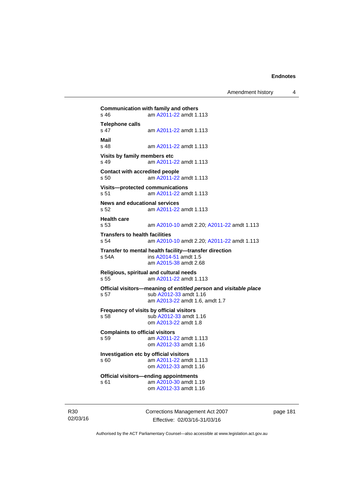**Communication with family and others**<br>s 46 **am A2011-22** amdt 1. am [A2011-22](http://www.legislation.act.gov.au/a/2011-22) amdt 1.113 **Telephone calls**  s 47 am [A2011-22](http://www.legislation.act.gov.au/a/2011-22) amdt 1.113 **Mail**  am [A2011-22](http://www.legislation.act.gov.au/a/2011-22) amdt 1.113 **Visits by family members etc**  s 49 am [A2011-22](http://www.legislation.act.gov.au/a/2011-22) amdt 1.113 **Contact with accredited people**  s 50 am [A2011-22](http://www.legislation.act.gov.au/a/2011-22) amdt 1.113 **Visits—protected communications**  s 51 am [A2011-22](http://www.legislation.act.gov.au/a/2011-22) amdt 1.113 **News and educational services**  s 52 am [A2011-22](http://www.legislation.act.gov.au/a/2011-22) amdt 1.113 **Health care**  s 53 am [A2010-10](http://www.legislation.act.gov.au/a/2010-10) amdt 2.20; [A2011-22](http://www.legislation.act.gov.au/a/2011-22) amdt 1.113 **Transfers to health facilities**  s 54 am [A2010-10](http://www.legislation.act.gov.au/a/2010-10) amdt 2.20; [A2011-22](http://www.legislation.act.gov.au/a/2011-22) amdt 1.113 **Transfer to mental health facility—transfer direction**  s 54A ins [A2014-51](http://www.legislation.act.gov.au/a/2014-51/default.asp) amdt 1.5 am [A2015-38](http://www.legislation.act.gov.au/a/2015-38) amdt 2.68 **Religious, spiritual and cultural needs**  s 55 am [A2011-22](http://www.legislation.act.gov.au/a/2011-22) amdt 1.113 **Official visitors—meaning of** *entitled person* **and** *visitable place*  s 57 sub [A2012-33](http://www.legislation.act.gov.au/a/2012-33) amdt 1.16 am [A2013-22](http://www.legislation.act.gov.au/a/2013-22) amdt 1.6, amdt 1.7 **Frequency of visits by official visitors** s 58 sub [A2012-33](http://www.legislation.act.gov.au/a/2012-33) amdt 1.16 om [A2013-22](http://www.legislation.act.gov.au/a/2013-22) amdt 1.8 **Complaints to official visitors**  s 59 **am [A2011-22](http://www.legislation.act.gov.au/a/2011-22) amdt 1.113**  om [A2012-33](http://www.legislation.act.gov.au/a/2012-33) amdt 1.16 **Investigation etc by official visitors**  s 60 am [A2011-22](http://www.legislation.act.gov.au/a/2011-22) amdt 1.113 om [A2012-33](http://www.legislation.act.gov.au/a/2012-33) amdt 1.16 **Official visitors—ending appointments**  s 61 am [A2010-30](http://www.legislation.act.gov.au/a/2010-30) amdt 1.19 om [A2012-33](http://www.legislation.act.gov.au/a/2012-33) amdt 1.16

R30 02/03/16 Corrections Management Act 2007 Effective: 02/03/16-31/03/16

page 181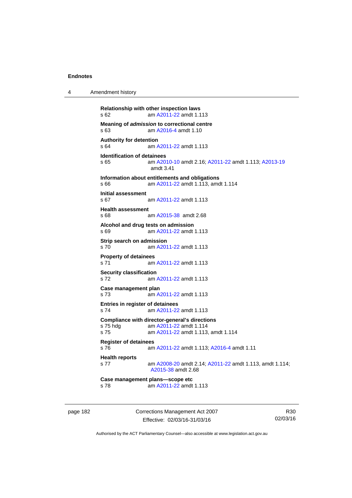| 4 | Amendment history |
|---|-------------------|
|---|-------------------|

```
Relationship with other inspection laws 
s 62 am A2011-22 amdt 1.113
Meaning of admission to correctional centre 
s 63 am A2016-4 amdt 1.10 
Authority for detention 
s 64 am A2011-22 amdt 1.113
Identification of detainees 
s 65 am A2010-10 amdt 2.16; A2011-22 amdt 1.113; A2013-19
                amdt 3.41
Information about entitlements and obligations 
s 66 am A2011-22 amdt 1.113, amdt 1.114 
Initial assessment 
s 67 am A2011-22 amdt 1.113
Health assessment 
s 68 am A2015-38 amdt 2.68
Alcohol and drug tests on admission 
s 69 am A2011-22 amdt 1.113
Strip search on admission 
s 70 am A2011-22 amdt 1.113
Property of detainees 
 A2011-22 amdt 1.113
Security classification 
s 72 am A2011-22 amdt 1.113
Case management plan 
s 73 am A2011-22 amdt 1.113
Entries in register of detainees 
s 74 am A2011-22 amdt 1.113
Compliance with director-general's directions<br>s 75 hdg am A2011-22 amdt 1.114
                A2011-22 amdt 1.114
s 75 am A2011-22 amdt 1.113, amdt 1.114 
Register of detainees 
s 76 am A2011-22 amdt 1.113; A2016-4 amdt 1.11 
Health reports 
s 77 am A2008-20 amdt 2.14; A2011-22 amdt 1.113, amdt 1.114; 
                A2015-38 amdt 2.68 
Case management plans—scope etc 
s 78 am A2011-22 amdt 1.113
```
page 182 Corrections Management Act 2007 Effective: 02/03/16-31/03/16

R30 02/03/16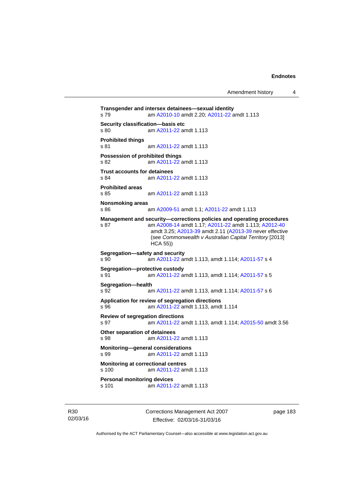Amendment history 4

**Transgender and intersex detainees—sexual identity**  s 79 am [A2010-10](http://www.legislation.act.gov.au/a/2010-10) amdt 2.20; [A2011-22](http://www.legislation.act.gov.au/a/2011-22) amdt 1.113 **Security classification—basis etc**  s 80 am [A2011-22](http://www.legislation.act.gov.au/a/2011-22) amdt 1.113 **Prohibited things**  s 81 am [A2011-22](http://www.legislation.act.gov.au/a/2011-22) amdt 1.113 **Possession of prohibited things**  s 82 am [A2011-22](http://www.legislation.act.gov.au/a/2011-22) amdt 1.113 **Trust accounts for detainees**  am [A2011-22](http://www.legislation.act.gov.au/a/2011-22) amdt 1.113 **Prohibited areas**  s 85 am [A2011-22](http://www.legislation.act.gov.au/a/2011-22) amdt 1.113 **Nonsmoking areas**  s 86 am [A2009-51](http://www.legislation.act.gov.au/a/2009-51) amdt 1.1; [A2011-22](http://www.legislation.act.gov.au/a/2011-22) amdt 1.113 **Management and security—corrections policies and operating procedures**  s 87 am [A2008-14](http://www.legislation.act.gov.au/a/2008-14) amdt 1.17; [A2011-22](http://www.legislation.act.gov.au/a/2011-22) amdt 1.113; [A2012-40](http://www.legislation.act.gov.au/a/2012-40) amdt 3.25; [A2013-39](http://www.legislation.act.gov.au/a/2013-39) amdt 2.11 [\(A2013-39](http://www.legislation.act.gov.au/a/2013-39) never effective (see *Commonwealth v Australian Capital Territory* [2013] HCA 55)) **Segregation—safety and security**  s 90 am [A2011-22](http://www.legislation.act.gov.au/a/2011-22) amdt 1.113, amdt 1.114; [A2011-57](http://www.legislation.act.gov.au/a/2011-57) s 4 **Segregation—protective custody**  s 91 am [A2011-22](http://www.legislation.act.gov.au/a/2011-22) amdt 1.113, amdt 1.114; [A2011-57](http://www.legislation.act.gov.au/a/2011-57) s 5 **Segregation—health**  s 92 am [A2011-22](http://www.legislation.act.gov.au/a/2011-22) amdt 1.113, amdt 1.114; [A2011-57](http://www.legislation.act.gov.au/a/2011-57) s 6 **Application for review of segregation directions**  s 96 am [A2011-22](http://www.legislation.act.gov.au/a/2011-22) amdt 1.113, amdt 1.114 **Review of segregation directions**  s 97 am [A2011-22](http://www.legislation.act.gov.au/a/2011-22) amdt 1.113, amdt 1.114; [A2015-50](http://www.legislation.act.gov.au/a/2015-50) amdt 3.56 **Other separation of detainees**  s 98 am [A2011-22](http://www.legislation.act.gov.au/a/2011-22) amdt 1.113 **Monitoring—general considerations**  s 99 am [A2011-22](http://www.legislation.act.gov.au/a/2011-22) amdt 1.113 **Monitoring at correctional centres**  s 100 am [A2011-22](http://www.legislation.act.gov.au/a/2011-22) amdt 1.113 **Personal monitoring devices**  s 101 am [A2011-22](http://www.legislation.act.gov.au/a/2011-22) amdt 1.113

R30 02/03/16 Corrections Management Act 2007 Effective: 02/03/16-31/03/16

page 183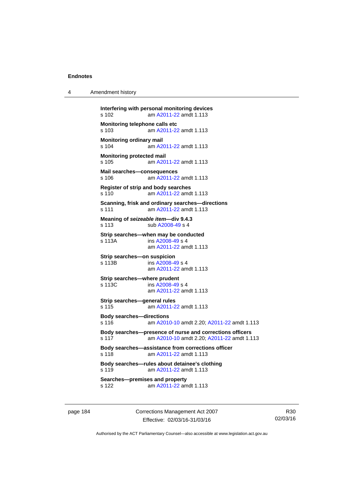4 Amendment history

```
Interfering with personal monitoring devices 
s 102 am A2011-22 amdt 1.113
Monitoring telephone calls etc 
s 103 am A2011-22 amdt 1.113
Monitoring ordinary mail 
s 104 am A2011-22 amdt 1.113
Monitoring protected mail 
s 105 am A2011-22 amdt 1.113
Mail searches—consequences 
s 106 am A2011-22 amdt 1.113
Register of strip and body searches 
s 110 am A2011-22 amdt 1.113
Scanning, frisk and ordinary searches—directions 
s 111 am A2011-22 amdt 1.113
Meaning of seizeable item—div 9.4.3 
s 113 sub A2008-49 s 4 
Strip searches—when may be conducted 
s 113A ins A2008-49 s 4
                am A2011-22 amdt 1.113
Strip searches—on suspicion<br>s 113B ins A2008-4
                A2008-49 s 4
                am A2011-22 amdt 1.113
Strip searches—where prudent 
s 113C ins A2008-49 s 4
                am A2011-22 amdt 1.113
Strip searches—general rules 
s 115 am A2011-22 amdt 1.113
Body searches—directions 
s 116 am A2010-10 amdt 2.20; A2011-22 amdt 1.113 
Body searches—presence of nurse and corrections officers 
s 117 am A2010-10 amdt 2.20; A2011-22 amdt 1.113 
Body searches—assistance from corrections officer 
s 118 am A2011-22 amdt 1.113
Body searches—rules about detainee's clothing 
s 119 am A2011-22 amdt 1.113
Searches—premises and property 
s 122 am A2011-22 amdt 1.113
```
page 184 Corrections Management Act 2007 Effective: 02/03/16-31/03/16

R30 02/03/16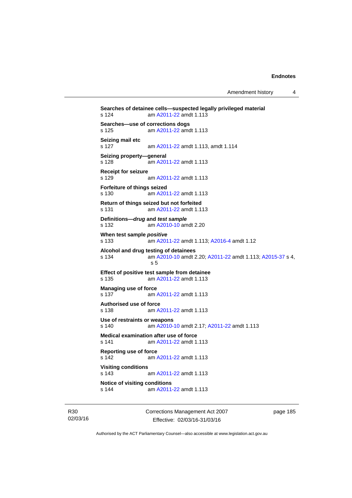Amendment history 4

```
Searches of detainee cells—suspected legally privileged material 
s 124 am A2011-22 amdt 1.113
Searches—use of corrections dogs 
s 125 am A2011-22 amdt 1.113
Seizing mail etc 
s 127 am A2011-22 amdt 1.113, amdt 1.114 
Seizing property—general 
s 128 am A2011-22 amdt 1.113
Receipt for seizure 
s 129  A2011-22 amdt 1.113
Forfeiture of things seized 
s 130 am A2011-22 amdt 1.113
Return of things seized but not forfeited 
s 131 am A2011-22 amdt 1.113
Definitions—drug and test sample
s 132 am A2010-10 amdt 2.20
When test sample positive
s 133 am A2011-22 amdt 1.113; A2016-4 amdt 1.12 
Alcohol and drug testing of detainees 
s 134 am A2010-10 amdt 2.20; A2011-22 amdt 1.113; A2015-37 s 4, 
                s 5 
Effect of positive test sample from detainee 
s 135 am A2011-22 amdt 1.113
Managing use of force 
 A2011-22 amdt 1.113
Authorised use of force 
s 138 am A2011-22 amdt 1.113
Use of restraints or weapons 
s 140 am A2010-10 amdt 2.17; A2011-22 amdt 1.113 
Medical examination after use of force 
s 141 am A2011-22 amdt 1.113
Reporting use of force 
s 142 am A2011-22 amdt 1.113
Visiting conditions 
s 143 am A2011-22 amdt 1.113
Notice of visiting conditions 
s 144 am A2011-22 amdt 1.113
```
R30 02/03/16 Corrections Management Act 2007 Effective: 02/03/16-31/03/16

page 185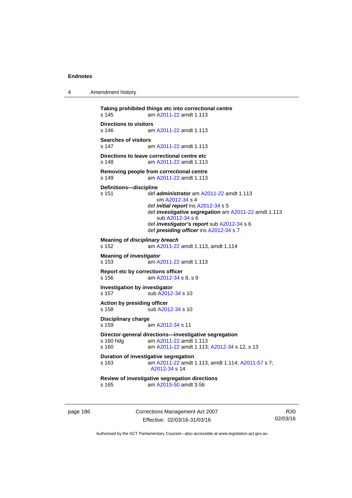4 Amendment history

```
Taking prohibited things etc into correctional centre 
A2011-22 amdt 1.113
Directions to visitors 
                 A2011-22 amdt 1.113
Searches of visitors<br>s 147 a
                  A2011-22 amdt 1.113
Directions to leave correctional centre etc 
s 148 am A2011-22 amdt 1.113
Removing people from correctional centre 
s 149  A2011-22 amdt 1.113
Definitions—discipline 
s 151 def administrator am A2011-22 amdt 1.113 
                     om A2012-34 s 4 
                  def initial report ins A2012-34 s 5 
                  def investigative segregation am A2011-22 amdt 1.113 
                     sub A2012-34 s 6 
                  def investigator's report sub A2012-34 s 6 
                  def presiding officer ins A2012-34 s 7 
Meaning of disciplinary breach
s 152 am A2011-22 amdt 1.113, amdt 1.114 
Meaning of investigator
s 153 am A2011-22 amdt 1.113
Report etc by corrections officer 
s 156 am A2012-34 s 8, s 9 
Investigation by investigator 
A2012-34 s 10
Action by presiding officer 
A2012-34 s 10
Disciplinary charge 
s 159 am A2012-34 s 11 
Director-general directions—investigative segregation<br>s 160 hdg am A2011-22 amdt 1.113
 A2011-22 amdt 1.113<br>s 160 am A2011-22 amdt 1.113:
                  A2011-22A2012-34 s 12, s 13
Duration of investigative segregation 
s 163 am A2011-22 amdt 1.113, amdt 1.114; A2011-57 s 7; 
                  A2012-34 s 14 
Review of investigative segregation directions 
s 165 am A2015-50 amdt 3.56
```
page 186 Corrections Management Act 2007 Effective: 02/03/16-31/03/16

R30 02/03/16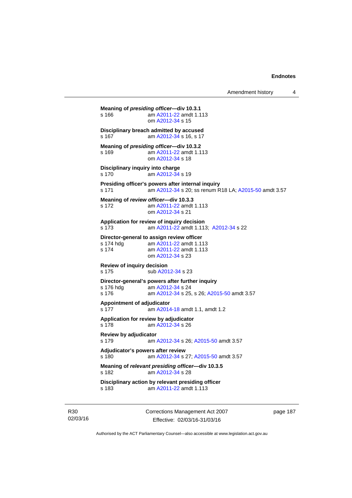Amendment history 4

**Meaning of** *presiding officer***—div 10.3.1**  s 166 **am [A2011-22](http://www.legislation.act.gov.au/a/2011-22) amdt 1.113**  om [A2012-34](http://www.legislation.act.gov.au/a/2012-34) s 15 **Disciplinary breach admitted by accused**  s 167 **am [A2012-34](http://www.legislation.act.gov.au/a/2012-34) s 16, s 17 Meaning of** *presiding officer***—div 10.3.2**  s 169 am [A2011-22](http://www.legislation.act.gov.au/a/2011-22) amdt 1.113 om [A2012-34](http://www.legislation.act.gov.au/a/2012-34) s 18 **Disciplinary inquiry into charge**  s 170 am [A2012-34](http://www.legislation.act.gov.au/a/2012-34) s 19 **Presiding officer's powers after internal inquiry**  s 171 am [A2012-34](http://www.legislation.act.gov.au/a/2012-34) s 20; ss renum R18 LA; [A2015-50](http://www.legislation.act.gov.au/a/2015-50) amdt 3.57 **Meaning of** *review officer***—div 10.3.3**  s 172 am [A2011-22](http://www.legislation.act.gov.au/a/2011-22) amdt 1.113 om [A2012-34](http://www.legislation.act.gov.au/a/2012-34) s 21 **Application for review of inquiry decision**  s 173 am [A2011-22](http://www.legislation.act.gov.au/a/2011-22) amdt 1.113; [A2012-34](http://www.legislation.act.gov.au/a/2012-34) s 22 **Director-general to assign review officer**  s 174 hdg am [A2011-22](http://www.legislation.act.gov.au/a/2011-22) amdt 1.113<br>s 174 am A2011-22 amdt 1.113 am [A2011-22](http://www.legislation.act.gov.au/a/2011-22) amdt 1.113 om [A2012-34](http://www.legislation.act.gov.au/a/2012-34) s 23 **Review of inquiry decision**  s 175 sub [A2012-34](http://www.legislation.act.gov.au/a/2012-34) s 23 **Director-general's powers after further inquiry**   $\frac{1}{2}$ am [A2012-34](http://www.legislation.act.gov.au/a/2012-34) s 24 s 176 am [A2012-34](http://www.legislation.act.gov.au/a/2012-34) s 25, s 26; [A2015-50](http://www.legislation.act.gov.au/a/2015-50) amdt 3.57 **Appointment of adjudicator**  s 177 am [A2014-18](http://www.legislation.act.gov.au/a/2014-18) amdt 1.1, amdt 1.2 **Application for review by adjudicator**  s 178 am [A2012-34](http://www.legislation.act.gov.au/a/2012-34) s 26 **Review by adjudicator**  s 179 am [A2012-34](http://www.legislation.act.gov.au/a/2012-34) s 26; [A2015-50](http://www.legislation.act.gov.au/a/2015-50) amdt 3.57 **Adjudicator's powers after review**  s 180 am [A2012-34](http://www.legislation.act.gov.au/a/2012-34) s 27; [A2015-50](http://www.legislation.act.gov.au/a/2015-50) amdt 3.57 **Meaning of** *relevant presiding officer***—div 10.3.5**  s 182 am [A2012-34](http://www.legislation.act.gov.au/a/2012-34) s 28 **Disciplinary action by relevant presiding officer**  s 183 am [A2011-22](http://www.legislation.act.gov.au/a/2011-22) amdt 1.113

R30 02/03/16 Corrections Management Act 2007 Effective: 02/03/16-31/03/16

page 187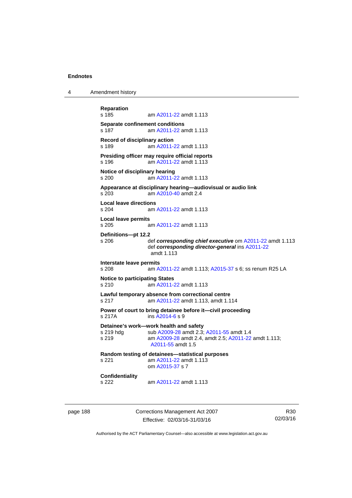4 Amendment history

```
Reparation 
               A2011-22 amdt 1.113
Separate confinement conditions 
s 187 am A2011-22 amdt 1.113
Record of disciplinary action 
s 189 am A2011-22 amdt 1.113
Presiding officer may require official reports 
s 196 am A2011-22 amdt 1.113
Notice of disciplinary hearing 
s 200 am A2011-22 amdt 1.113
Appearance at disciplinary hearing—audiovisual or audio link 
s 203 am A2010-40 amdt 2.4
Local leave directions 
s 204 am A2011-22 amdt 1.113
Local leave permits 
s 205 am A2011-22 amdt 1.113
Definitions—pt 12.2 
s 206 def corresponding chief executive om A2011-22 amdt 1.113 
                def corresponding director-general ins A2011-22
                amdt 1.113
Interstate leave permits 
               A2011-22A2015-37 s 6; ss renum R25 LA
Notice to participating States 
s 210 am A2011-22 amdt 1.113
Lawful temporary absence from correctional centre 
s 217 am A2011-22 amdt 1.113, amdt 1.114 
Power of court to bring detainee before it—civil proceeding 
s 217A ins A2014-6 s 9 
Detainee's work—work health and safety 
A2009-28A2011-55 amdt 1.4
s 219 am A2009-28 amdt 2.4, amdt 2.5; A2011-22 amdt 1.113; 
                A2011-55 amdt 1.5 
Random testing of detainees—statistical purposes 
s 221 am A2011-22 amdt 1.113
                om A2015-37 s 7 
Confidentiality 
s 222 am A2011-22 amdt 1.113
```
page 188 Corrections Management Act 2007 Effective: 02/03/16-31/03/16

R30 02/03/16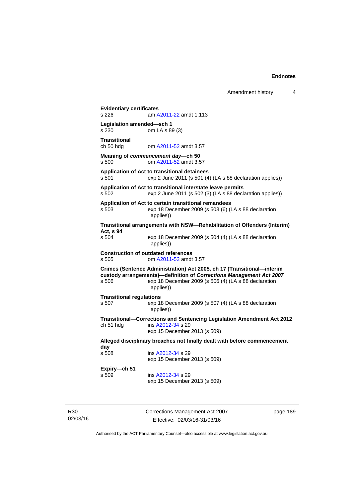**Evidentiary certificates**  s 226 am [A2011-22](http://www.legislation.act.gov.au/a/2011-22) amdt 1.113 **Legislation amended—sch 1**  s 230 om LA s 89 (3) **Transitional**  ch 50 hdg om [A2011-52](http://www.legislation.act.gov.au/a/2011-52) amdt 3.57 **Meaning of** *commencement day***—ch 50**  s 500 om [A2011-52](http://www.legislation.act.gov.au/a/2011-52) amdt 3.57 **Application of Act to transitional detainees**  s 501 exp 2 June 2011 (s 501 (4) (LA s 88 declaration applies)) **Application of Act to transitional interstate leave permits**  s 502 exp 2 June 2011 (s 502 (3) (LA s 88 declaration applies)) **Application of Act to certain transitional remandees**  s 503 exp 18 December 2009 (s 503 (6) (LA s 88 declaration applies)) **Transitional arrangements with NSW—Rehabilitation of Offenders (Interim) Act, s 94**  exp 18 December 2009 (s 504 (4) (LA s 88 declaration applies)) **Construction of outdated references**  s 505 om [A2011-52](http://www.legislation.act.gov.au/a/2011-52) amdt 3.57 **Crimes (Sentence Administration) Act 2005, ch 17 (Transitional—interim custody arrangements)—definition of** *Corrections Management Act 2007* s 506 exp 18 December 2009 (s 506 (4) (LA s 88 declaration applies)) **Transitional regulations**  s 507 exp 18 December 2009 (s 507 (4) (LA s 88 declaration applies)) **Transitional—Corrections and Sentencing Legislation Amendment Act 2012**  ch 51 hdg ins [A2012-34](http://www.legislation.act.gov.au/a/2012-34) s 29 exp 15 December 2013 (s 509) **Alleged disciplinary breaches not finally dealt with before commencement day**  ins [A2012-34](http://www.legislation.act.gov.au/a/2012-34) s 29 exp 15 December 2013 (s 509) **Expiry—ch 51**  s 509 ins [A2012-34](http://www.legislation.act.gov.au/a/2012-34) s 29 exp 15 December 2013 (s 509)

R30 02/03/16 Corrections Management Act 2007 Effective: 02/03/16-31/03/16

page 189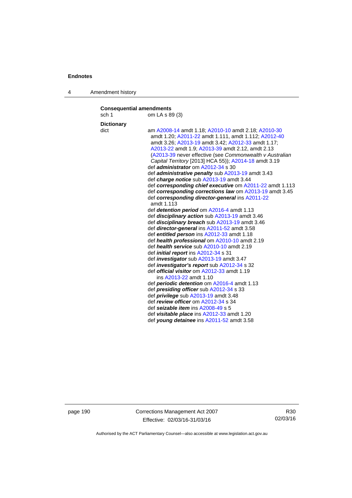4 Amendment history

| <b>Consequential amendments</b><br>sch 1 | om LA s 89 (3)                                                                                                                                                                                                                                                                                                                                                                                                                                                                                  |  |  |
|------------------------------------------|-------------------------------------------------------------------------------------------------------------------------------------------------------------------------------------------------------------------------------------------------------------------------------------------------------------------------------------------------------------------------------------------------------------------------------------------------------------------------------------------------|--|--|
|                                          |                                                                                                                                                                                                                                                                                                                                                                                                                                                                                                 |  |  |
| <b>Dictionary</b><br>dict                | am A2008-14 amdt 1.18; A2010-10 amdt 2.18; A2010-30<br>amdt 1.20; A2011-22 amdt 1.111, amdt 1.112; A2012-40<br>amdt 3.26; A2013-19 amdt 3.42; A2012-33 amdt 1.17;<br>A2013-22 amdt 1.9; A2013-39 amdt 2.12, amdt 2.13<br>(A2013-39 never effective (see Commonwealth v Australian<br>Capital Territory [2013] HCA 55)); A2014-18 amdt 3.19<br>def <i>administrator</i> om A2012-34 s 30<br>def <i>administrative penalty</i> sub A2013-19 amdt 3.43<br>def charge notice sub A2013-19 amdt 3.44 |  |  |
|                                          | def corresponding chief executive om A2011-22 amdt 1.113                                                                                                                                                                                                                                                                                                                                                                                                                                        |  |  |
|                                          | def corresponding corrections law om A2013-19 amdt 3.45                                                                                                                                                                                                                                                                                                                                                                                                                                         |  |  |
|                                          | def corresponding director-general ins A2011-22<br>amdt 1.113                                                                                                                                                                                                                                                                                                                                                                                                                                   |  |  |
|                                          | def <i>detention period</i> om A2016-4 amdt 1.13                                                                                                                                                                                                                                                                                                                                                                                                                                                |  |  |
|                                          | def disciplinary action sub A2013-19 amdt 3.46                                                                                                                                                                                                                                                                                                                                                                                                                                                  |  |  |
|                                          | def <i>disciplinary breach</i> sub A2013-19 amdt 3.46                                                                                                                                                                                                                                                                                                                                                                                                                                           |  |  |
|                                          | def <i>director-general</i> ins A2011-52 amdt 3.58                                                                                                                                                                                                                                                                                                                                                                                                                                              |  |  |
|                                          | def entitled person ins A2012-33 amdt 1.18                                                                                                                                                                                                                                                                                                                                                                                                                                                      |  |  |
|                                          | def health professional om A2010-10 amdt 2.19                                                                                                                                                                                                                                                                                                                                                                                                                                                   |  |  |
|                                          | def health service sub A2010-10 amdt 2.19                                                                                                                                                                                                                                                                                                                                                                                                                                                       |  |  |
|                                          | def <i>initial report</i> ins A2012-34 s 31                                                                                                                                                                                                                                                                                                                                                                                                                                                     |  |  |
|                                          | def <i>investigator</i> sub A2013-19 amdt 3.47                                                                                                                                                                                                                                                                                                                                                                                                                                                  |  |  |
|                                          | def <i>investigator's report</i> sub A2012-34 s 32                                                                                                                                                                                                                                                                                                                                                                                                                                              |  |  |
|                                          | def <b>official visitor</b> om A2012-33 amdt 1.19                                                                                                                                                                                                                                                                                                                                                                                                                                               |  |  |
|                                          | ins A2013-22 amdt 1.10                                                                                                                                                                                                                                                                                                                                                                                                                                                                          |  |  |
|                                          | def <i>periodic detention</i> om A2016-4 amdt 1.13                                                                                                                                                                                                                                                                                                                                                                                                                                              |  |  |
|                                          | def <b>presiding officer</b> sub A2012-34 s 33                                                                                                                                                                                                                                                                                                                                                                                                                                                  |  |  |
|                                          | def <i>privilege</i> sub A2013-19 amdt 3.48                                                                                                                                                                                                                                                                                                                                                                                                                                                     |  |  |
|                                          | def review officer om A2012-34 s 34                                                                                                                                                                                                                                                                                                                                                                                                                                                             |  |  |
|                                          | def seizable item ins A2008-49 s 5                                                                                                                                                                                                                                                                                                                                                                                                                                                              |  |  |
|                                          | def visitable place ins A2012-33 amdt 1.20                                                                                                                                                                                                                                                                                                                                                                                                                                                      |  |  |
|                                          | def young detainee ins A2011-52 amdt 3.58                                                                                                                                                                                                                                                                                                                                                                                                                                                       |  |  |

page 190 Corrections Management Act 2007 Effective: 02/03/16-31/03/16

R30 02/03/16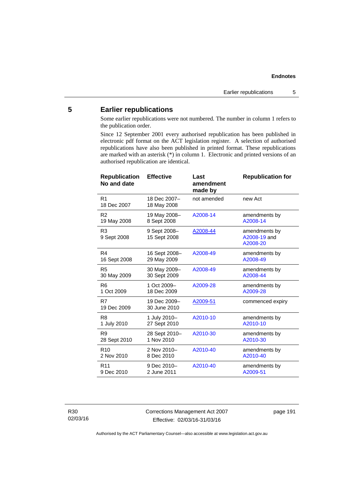## **5 Earlier republications**

Some earlier republications were not numbered. The number in column 1 refers to the publication order.

Since 12 September 2001 every authorised republication has been published in electronic pdf format on the ACT legislation register. A selection of authorised republications have also been published in printed format. These republications are marked with an asterisk (\*) in column 1. Electronic and printed versions of an authorised republication are identical.

| <b>Republication</b><br>No and date | <b>Effective</b>             | Last<br>amendment<br>made by | <b>Republication for</b>                  |
|-------------------------------------|------------------------------|------------------------------|-------------------------------------------|
| R1<br>18 Dec 2007                   | 18 Dec 2007-<br>18 May 2008  | not amended                  | new Act                                   |
| R <sub>2</sub>                      | 19 May 2008-                 | A2008-14                     | amendments by                             |
| 19 May 2008                         | 8 Sept 2008                  |                              | A2008-14                                  |
| R <sub>3</sub><br>9 Sept 2008       | 9 Sept 2008-<br>15 Sept 2008 | A2008-44                     | amendments by<br>A2008-19 and<br>A2008-20 |
| R4                                  | 16 Sept 2008-                | A2008-49                     | amendments by                             |
| 16 Sept 2008                        | 29 May 2009                  |                              | A2008-49                                  |
| R <sub>5</sub>                      | 30 May 2009-                 | A2008-49                     | amendments by                             |
| 30 May 2009                         | 30 Sept 2009                 |                              | A2008-44                                  |
| R <sub>6</sub>                      | 1 Oct 2009-                  | A2009-28                     | amendments by                             |
| 1 Oct 2009                          | 18 Dec 2009                  |                              | A2009-28                                  |
| R7<br>19 Dec 2009                   | 19 Dec 2009-<br>30 June 2010 | A2009-51                     | commenced expiry                          |
| R <sub>8</sub>                      | 1 July 2010-                 | A2010-10                     | amendments by                             |
| 1 July 2010                         | 27 Sept 2010                 |                              | A2010-10                                  |
| R9                                  | 28 Sept 2010-                | A2010-30                     | amendments by                             |
| 28 Sept 2010                        | 1 Nov 2010                   |                              | A2010-30                                  |
| R <sub>10</sub>                     | 2 Nov 2010-                  | A2010-40                     | amendments by                             |
| 2 Nov 2010                          | 8 Dec 2010                   |                              | A2010-40                                  |
| R <sub>11</sub>                     | 9 Dec 2010-                  | A2010-40                     | amendments by                             |
| 9 Dec 2010                          | 2 June 2011                  |                              | A2009-51                                  |

R30 02/03/16 Corrections Management Act 2007 Effective: 02/03/16-31/03/16

page 191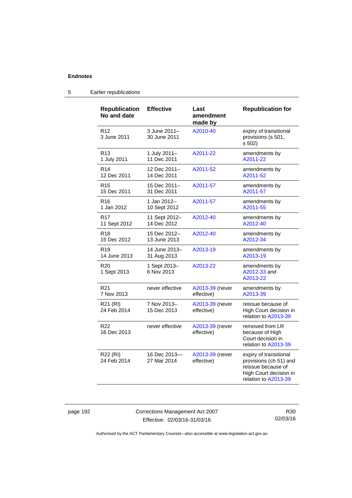| <b>Republication</b><br>No and date | <b>Effective</b>             | Last<br>amendment<br>made by  | <b>Republication for</b>                                                                                                 |
|-------------------------------------|------------------------------|-------------------------------|--------------------------------------------------------------------------------------------------------------------------|
| R <sub>12</sub><br>3 June 2011      | 3 June 2011-<br>30 June 2011 | A2010-40                      | expiry of transitional<br>provisions (s 501,<br>s 502)                                                                   |
| R <sub>13</sub>                     | 1 July 2011-                 | A2011-22                      | amendments by                                                                                                            |
| 1 July 2011                         | 11 Dec 2011                  |                               | A2011-22                                                                                                                 |
| R <sub>14</sub>                     | 12 Dec 2011-                 | A2011-52                      | amendments by                                                                                                            |
| 12 Dec 2011                         | 14 Dec 2011                  |                               | A2011-52                                                                                                                 |
| R <sub>15</sub>                     | 15 Dec 2011-                 | A2011-57                      | amendments by                                                                                                            |
| 15 Dec 2011                         | 31 Dec 2011                  |                               | A2011-57                                                                                                                 |
| R <sub>16</sub>                     | 1 Jan 2012-                  | A2011-57                      | amendments by                                                                                                            |
| 1 Jan 2012                          | 10 Sept 2012                 |                               | A2011-55                                                                                                                 |
| R <sub>17</sub>                     | 11 Sept 2012-                | A2012-40                      | amendments by                                                                                                            |
| 11 Sept 2012                        | 14 Dec 2012                  |                               | A2012-40                                                                                                                 |
| R <sub>18</sub>                     | 15 Dec 2012-                 | A2012-40                      | amendments by                                                                                                            |
| 15 Dec 2012                         | 13 June 2013                 |                               | A2012-34                                                                                                                 |
| R <sub>19</sub>                     | 14 June 2013-                | A2013-19                      | amendments by                                                                                                            |
| 14 June 2013                        | 31 Aug 2013                  |                               | A2013-19                                                                                                                 |
| R <sub>20</sub><br>1 Sept 2013      | 1 Sept 2013-<br>6 Nov 2013   | A2013-22                      | amendments by<br>A2012-33 and<br>A2013-22                                                                                |
| R <sub>21</sub>                     | never effective              | A2013-39 (never               | amendments by                                                                                                            |
| 7 Nov 2013                          |                              | effective)                    | A2013-39                                                                                                                 |
| R21 (RI)<br>24 Feb 2014             | 7 Nov 2013-<br>15 Dec 2013   | A2013-39 (never<br>effective) | reissue because of<br>High Court decision in<br>relation to A2013-39                                                     |
| R <sub>22</sub><br>16 Dec 2013      | never effective              | A2013-39 (never<br>effective) | removed from LR<br>because of High<br>Court decision in<br>relation to A2013-39                                          |
| R22 (RI)<br>24 Feb 2014             | 16 Dec 2013-<br>27 Mar 2014  | A2013-39 (never<br>effective) | expiry of transitional<br>provisions (ch 51) and<br>reissue because of<br>High Court decision in<br>relation to A2013-39 |

### 5 Earlier republications

page 192 Corrections Management Act 2007 Effective: 02/03/16-31/03/16

R30 02/03/16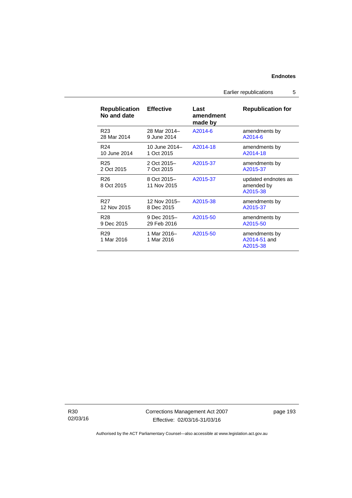Earlier republications 5

| <b>Republication</b><br>No and date | <b>Effective</b>           | Last<br>amendment<br>made by | <b>Republication for</b>                      |  |
|-------------------------------------|----------------------------|------------------------------|-----------------------------------------------|--|
| R <sub>23</sub>                     | 28 Mar 2014-               | A2014-6                      | amendments by                                 |  |
| 28 Mar 2014                         | 9 June 2014                |                              | A2014-6                                       |  |
| R <sub>24</sub>                     | 10 June 2014-              | A2014-18                     | amendments by                                 |  |
| 10 June 2014                        | 1 Oct 2015                 |                              | A2014-18                                      |  |
| R <sub>25</sub>                     | 2 Oct 2015-                | A2015-37                     | amendments by                                 |  |
| 2 Oct 2015                          | 7 Oct 2015                 |                              | A2015-37                                      |  |
| R <sub>26</sub><br>8 Oct 2015       | 8 Oct 2015-<br>11 Nov 2015 | A2015-37                     | updated endnotes as<br>amended by<br>A2015-38 |  |
| R <sub>27</sub>                     | 12 Nov 2015-               | A2015-38                     | amendments by                                 |  |
| 12 Nov 2015                         | 8 Dec 2015                 |                              | A2015-37                                      |  |
| R28                                 | 9 Dec 2015-                | A2015-50                     | amendments by                                 |  |
| 9 Dec 2015                          | 29 Feb 2016                |                              | A2015-50                                      |  |
| R <sub>29</sub><br>1 Mar 2016       | 1 Mar 2016-<br>1 Mar 2016  | A2015-50                     | amendments by<br>A2014-51 and<br>A2015-38     |  |

R30 02/03/16 Corrections Management Act 2007 Effective: 02/03/16-31/03/16

page 193